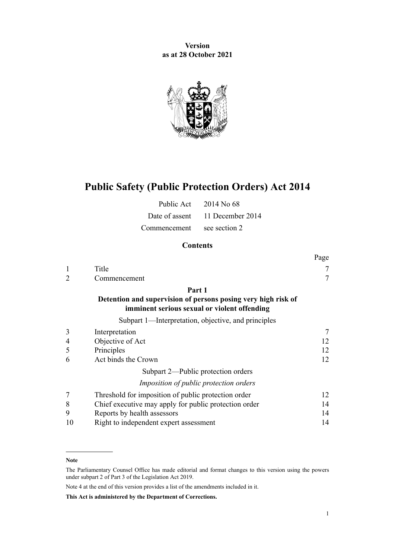**Version as at 28 October 2021**



# **Public Safety (Public Protection Orders) Act 2014**

|                            | Public Act $2014$ No 68         |
|----------------------------|---------------------------------|
|                            | Date of assent 11 December 2014 |
| Commencement see section 2 |                                 |

# **Contents**

|                             |                                                                                                               | Page |
|-----------------------------|---------------------------------------------------------------------------------------------------------------|------|
| $\mathbf{1}$                | Title                                                                                                         | 7    |
| $\mathcal{D}_{\mathcal{L}}$ | Commencement                                                                                                  | 7    |
|                             | Part 1                                                                                                        |      |
|                             | Detention and supervision of persons posing very high risk of<br>imminent serious sexual or violent offending |      |
|                             | Subpart 1—Interpretation, objective, and principles                                                           |      |
| 3                           | Interpretation                                                                                                | 7    |
| 4                           | Objective of Act                                                                                              | 12   |
| 5                           | Principles                                                                                                    | 12   |
| 6                           | Act binds the Crown                                                                                           | 12   |
|                             | Subpart 2—Public protection orders                                                                            |      |
|                             | <i>Imposition of public protection orders</i>                                                                 |      |
| 7                           | Threshold for imposition of public protection order                                                           | 12   |
| 8                           | Chief executive may apply for public protection order                                                         | 14   |
| 9                           | Reports by health assessors                                                                                   | 14   |
| 10                          | Right to independent expert assessment                                                                        | 14   |

#### **Note**

Note 4 at the end of this version provides a list of the amendments included in it.

**This Act is administered by the Department of Corrections.**

The Parliamentary Counsel Office has made editorial and format changes to this version using the powers under [subpart 2](http://legislation.govt.nz/pdflink.aspx?id=DLM7298371) of Part 3 of the Legislation Act 2019.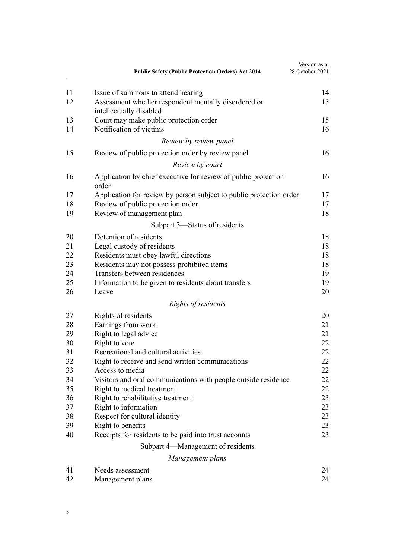|    | <b>Public Safety (Public Protection Orders) Act 2014</b>                        | Version as at<br>28 October 2021 |
|----|---------------------------------------------------------------------------------|----------------------------------|
| 11 | Issue of summons to attend hearing                                              | 14                               |
| 12 | Assessment whether respondent mentally disordered or<br>intellectually disabled | 15                               |
| 13 | Court may make public protection order                                          | 15                               |
| 14 | Notification of victims                                                         | 16                               |
|    | Review by review panel                                                          |                                  |
| 15 | Review of public protection order by review panel                               | 16                               |
|    | Review by court                                                                 |                                  |
| 16 | Application by chief executive for review of public protection<br>order         | 16                               |
| 17 | Application for review by person subject to public protection order             | 17                               |
| 18 | Review of public protection order                                               | 17                               |
| 19 | Review of management plan                                                       | 18                               |
|    | Subpart 3—Status of residents                                                   |                                  |
| 20 | Detention of residents                                                          | 18                               |
| 21 | Legal custody of residents                                                      | 18                               |
| 22 | Residents must obey lawful directions                                           | 18                               |
| 23 | Residents may not possess prohibited items                                      | 18                               |
| 24 | Transfers between residences                                                    | 19                               |
| 25 | Information to be given to residents about transfers                            | 19                               |
| 26 | Leave                                                                           | 20                               |
|    | Rights of residents                                                             |                                  |
| 27 | Rights of residents                                                             | 20                               |
| 28 | Earnings from work                                                              | 21                               |
| 29 | Right to legal advice                                                           | 21                               |
| 30 | Right to vote                                                                   | 22                               |
| 31 | Recreational and cultural activities                                            | 22                               |
| 32 | Right to receive and send written communications                                | 22                               |
| 33 | Access to media                                                                 | 22                               |
| 34 | Visitors and oral communications with people outside residence                  | 22                               |
| 35 | Right to medical treatment                                                      | 22                               |
| 36 | Right to rehabilitative treatment                                               | 23                               |
| 37 | Right to information                                                            | 23                               |
| 38 | Respect for cultural identity                                                   | 23                               |
| 39 | Right to benefits                                                               | 23                               |
| 40 | Receipts for residents to be paid into trust accounts                           | 23                               |
|    | Subpart 4—Management of residents                                               |                                  |
|    | Management plans                                                                |                                  |
| 41 | Needs assessment                                                                | 24                               |
| 42 | Management plans                                                                | 24                               |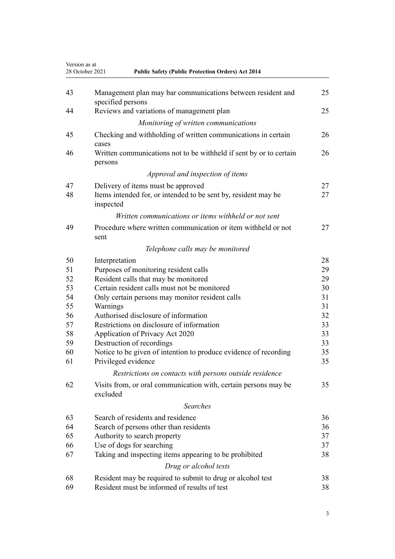| Version as at | <b>Public Safety (Public Protection Orders) Act 2014</b><br>28 October 2021      |    |
|---------------|----------------------------------------------------------------------------------|----|
| 43            | Management plan may bar communications between resident and<br>specified persons | 25 |
| 44            | Reviews and variations of management plan                                        | 25 |
|               | Monitoring of written communications                                             |    |
| 45            | Checking and withholding of written communications in certain<br>cases           | 26 |
| 46            | Written communications not to be withheld if sent by or to certain<br>persons    | 26 |
|               | Approval and inspection of items                                                 |    |
| 47            | Delivery of items must be approved                                               | 27 |
| 48            | Items intended for, or intended to be sent by, resident may be<br>inspected      | 27 |
|               | Written communications or items withheld or not sent                             |    |
| 49            | Procedure where written communication or item withheld or not<br>sent            | 27 |
|               | Telephone calls may be monitored                                                 |    |
| 50            | Interpretation                                                                   | 28 |
| 51            | Purposes of monitoring resident calls                                            | 29 |
| 52            | Resident calls that may be monitored                                             | 29 |
| 53            | Certain resident calls must not be monitored                                     | 30 |
| 54            | Only certain persons may monitor resident calls                                  | 31 |
| 55            | Warnings                                                                         | 31 |
| 56            | Authorised disclosure of information                                             | 32 |
| 57            | Restrictions on disclosure of information                                        | 33 |
| 58            | Application of Privacy Act 2020                                                  | 33 |
| 59            | Destruction of recordings                                                        | 33 |
| 60            | Notice to be given of intention to produce evidence of recording                 | 35 |
| 61            | Privileged evidence                                                              | 35 |
|               | Restrictions on contacts with persons outside residence                          |    |
| 62            | Visits from, or oral communication with, certain persons may be<br>excluded      | 35 |
|               | <b>Searches</b>                                                                  |    |
| 63            | Search of residents and residence                                                | 36 |
| 64            | Search of persons other than residents                                           | 36 |
| 65            | Authority to search property                                                     | 37 |
| 66            | Use of dogs for searching                                                        | 37 |
| 67            | Taking and inspecting items appearing to be prohibited                           | 38 |
|               | Drug or alcohol tests                                                            |    |
| 68            | Resident may be required to submit to drug or alcohol test                       | 38 |
| 69            | Resident must be informed of results of test                                     | 38 |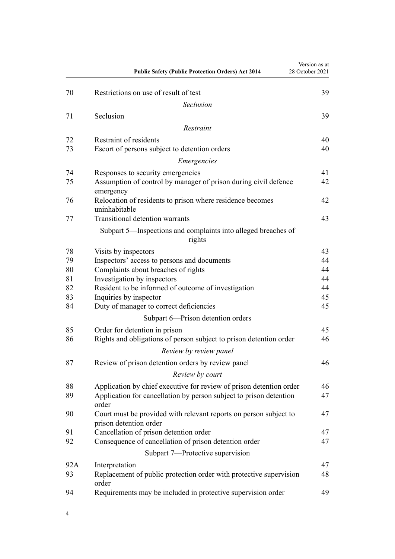|          | <b>Public Safety (Public Protection Orders) Act 2014</b>                                    | Version as at<br>28 October 2021 |
|----------|---------------------------------------------------------------------------------------------|----------------------------------|
| 70       | Restrictions on use of result of test                                                       | 39                               |
|          | Seclusion                                                                                   |                                  |
| 71       | Seclusion                                                                                   | 39                               |
|          | Restraint                                                                                   |                                  |
| 72       | Restraint of residents                                                                      | 40                               |
| 73       | Escort of persons subject to detention orders                                               | 40                               |
|          | Emergencies                                                                                 |                                  |
| 74       | Responses to security emergencies                                                           | 41                               |
| 75       | Assumption of control by manager of prison during civil defence<br>emergency                | 42                               |
| 76       | Relocation of residents to prison where residence becomes<br>uninhabitable                  | 42                               |
| 77       | <b>Transitional detention warrants</b>                                                      | 43                               |
|          | Subpart 5—Inspections and complaints into alleged breaches of<br>rights                     |                                  |
| 78       | Visits by inspectors                                                                        | 43                               |
| 79       | Inspectors' access to persons and documents                                                 | 44                               |
| 80       | Complaints about breaches of rights                                                         | 44                               |
| 81       | Investigation by inspectors                                                                 | 44                               |
| 82       | Resident to be informed of outcome of investigation                                         | 44                               |
| 83<br>84 | Inquiries by inspector                                                                      | 45<br>45                         |
|          | Duty of manager to correct deficiencies                                                     |                                  |
|          | Subpart 6-Prison detention orders                                                           |                                  |
| 85       | Order for detention in prison                                                               | 45                               |
| 86       | Rights and obligations of person subject to prison detention order                          | 46                               |
|          | Review by review panel                                                                      |                                  |
| 87       | Review of prison detention orders by review panel                                           | 46                               |
|          | Review by court                                                                             |                                  |
| 88       | Application by chief executive for review of prison detention order                         | 46                               |
| 89       | Application for cancellation by person subject to prison detention<br>order                 | 47                               |
| 90       | Court must be provided with relevant reports on person subject to<br>prison detention order | 47                               |
| 91       | Cancellation of prison detention order                                                      | 47                               |
| 92       | Consequence of cancellation of prison detention order                                       | 47                               |
|          | Subpart 7-Protective supervision                                                            |                                  |
| 92A      | Interpretation                                                                              | 47                               |
| 93       | Replacement of public protection order with protective supervision<br>order                 | 48                               |
| 94       | Requirements may be included in protective supervision order                                | 49                               |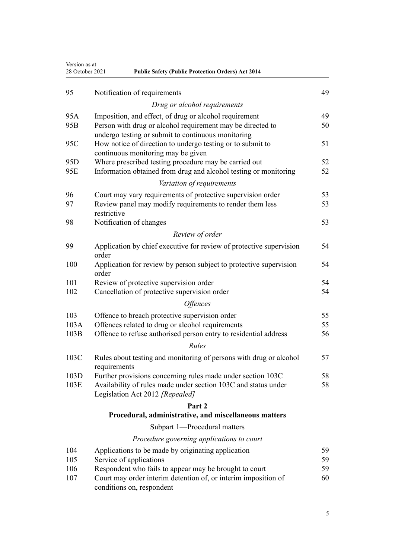| 28 October 2021 | <b>Public Safety (Public Protection Orders) Act 2014</b>                                    |    |
|-----------------|---------------------------------------------------------------------------------------------|----|
| 95              | Notification of requirements                                                                | 49 |
|                 | Drug or alcohol requirements                                                                |    |
| 95A             | Imposition, and effect, of drug or alcohol requirement                                      | 49 |
| 95 <sub>B</sub> | Person with drug or alcohol requirement may be directed to                                  | 50 |
|                 | undergo testing or submit to continuous monitoring                                          |    |
| 95C             | How notice of direction to undergo testing or to submit to                                  | 51 |
|                 | continuous monitoring may be given                                                          |    |
| 95 <sub>D</sub> | Where prescribed testing procedure may be carried out                                       | 52 |
| 95E             | Information obtained from drug and alcohol testing or monitoring                            | 52 |
|                 | Variation of requirements                                                                   |    |
| 96              | Court may vary requirements of protective supervision order                                 | 53 |
| 97              | Review panel may modify requirements to render them less                                    | 53 |
|                 | restrictive                                                                                 |    |
| 98              | Notification of changes                                                                     | 53 |
|                 | Review of order                                                                             |    |
| 99              | Application by chief executive for review of protective supervision                         | 54 |
|                 | order                                                                                       |    |
| 100             | Application for review by person subject to protective supervision                          | 54 |
|                 | order                                                                                       |    |
| 101             | Review of protective supervision order                                                      | 54 |
| 102             | Cancellation of protective supervision order                                                | 54 |
|                 | <i><b>Offences</b></i>                                                                      |    |
| 103             | Offence to breach protective supervision order                                              | 55 |
| 103A            | Offences related to drug or alcohol requirements                                            | 55 |
| 103B            | Offence to refuse authorised person entry to residential address                            | 56 |
|                 | Rules                                                                                       |    |
| 103C            | Rules about testing and monitoring of persons with drug or alcohol                          | 57 |
|                 | requirements                                                                                |    |
| 103D            | Further provisions concerning rules made under section 103C                                 | 58 |
| 103E            | Availability of rules made under section 103C and status under                              | 58 |
|                 | Legislation Act 2012 [Repealed]                                                             |    |
|                 | Part 2                                                                                      |    |
|                 | Procedural, administrative, and miscellaneous matters                                       |    |
|                 | Subpart 1-Procedural matters                                                                |    |
|                 | Procedure governing applications to court                                                   |    |
| 104             | Applications to be made by originating application                                          | 59 |
| 105             | Service of applications                                                                     | 59 |
| 106             | Respondent who fails to appear may be brought to court                                      | 59 |
| 107             | Court may order interim detention of, or interim imposition of<br>conditions on, respondent | 60 |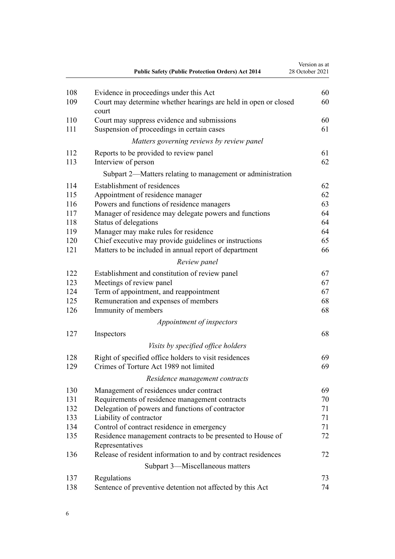|     | <b>Public Safety (Public Protection Orders) Act 2014</b>                 | Version as at<br>28 October 2021 |
|-----|--------------------------------------------------------------------------|----------------------------------|
| 108 | Evidence in proceedings under this Act                                   | 60                               |
| 109 | Court may determine whether hearings are held in open or closed<br>court | 60                               |
| 110 | Court may suppress evidence and submissions                              | 60                               |
| 111 | Suspension of proceedings in certain cases                               | 61                               |
|     | Matters governing reviews by review panel                                |                                  |
| 112 | Reports to be provided to review panel                                   | 61                               |
| 113 | Interview of person                                                      | 62                               |
|     | Subpart 2—Matters relating to management or administration               |                                  |
| 114 | Establishment of residences                                              | 62                               |
| 115 | Appointment of residence manager                                         | 62                               |
| 116 | Powers and functions of residence managers                               | 63                               |
| 117 | Manager of residence may delegate powers and functions                   | 64                               |
| 118 | Status of delegations                                                    | 64                               |
| 119 | Manager may make rules for residence                                     | 64                               |
| 120 | Chief executive may provide guidelines or instructions                   | 65                               |
| 121 | Matters to be included in annual report of department                    | 66                               |
|     | Review panel                                                             |                                  |
| 122 | Establishment and constitution of review panel                           | 67                               |
| 123 | Meetings of review panel                                                 | 67                               |
| 124 | Term of appointment, and reappointment                                   | 67                               |
| 125 | Remuneration and expenses of members                                     | 68                               |
| 126 | Immunity of members                                                      | 68                               |
|     | Appointment of inspectors                                                |                                  |
| 127 | Inspectors                                                               | 68                               |
|     | Visits by specified office holders                                       |                                  |
| 128 | Right of specified office holders to visit residences                    | 69                               |
| 129 | Crimes of Torture Act 1989 not limited                                   | 69                               |
|     | Residence management contracts                                           |                                  |
| 130 | Management of residences under contract                                  | 69                               |
| 131 | Requirements of residence management contracts                           | 70                               |
| 132 | Delegation of powers and functions of contractor                         | 71                               |
| 133 | Liability of contractor                                                  | 71                               |
| 134 | Control of contract residence in emergency                               | 71                               |
| 135 | Residence management contracts to be presented to House of               | 72                               |
|     | Representatives                                                          |                                  |
| 136 | Release of resident information to and by contract residences            | 72                               |
|     | Subpart 3—Miscellaneous matters                                          |                                  |
| 137 | Regulations                                                              | 73                               |
| 138 | Sentence of preventive detention not affected by this Act                | 74                               |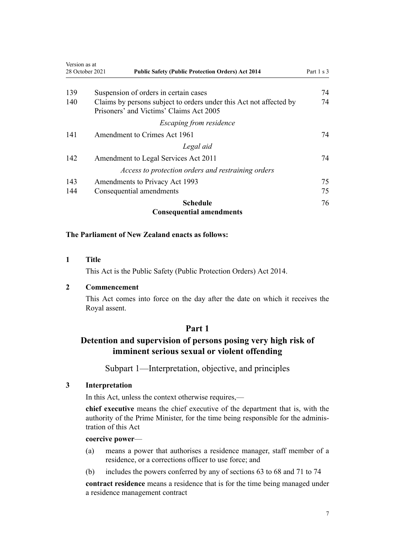<span id="page-6-0"></span>

| Version as at | 28 October 2021<br><b>Public Safety (Public Protection Orders) Act 2014</b> | Part 1 s 3 |
|---------------|-----------------------------------------------------------------------------|------------|
|               |                                                                             |            |
| 139           | Suspension of orders in certain cases                                       | 74         |
| 140           | Claims by persons subject to orders under this Act not affected by          | 74         |
|               | Prisoners' and Victims' Claims Act 2005                                     |            |
|               | Escaping from residence                                                     |            |
| 141           | Amendment to Crimes Act 1961                                                | 74         |
|               | Legal aid                                                                   |            |
| 142           | Amendment to Legal Services Act 2011                                        | 74         |
|               | Access to protection orders and restraining orders                          |            |
| 143           | Amendments to Privacy Act 1993                                              | 75         |
| 144           | Consequential amendments                                                    | 75         |
|               | <b>Schedule</b>                                                             | 76         |
|               | <b>Consequential amendments</b>                                             |            |

# **The Parliament of New Zealand enacts as follows:**

#### **1 Title**

This Act is the Public Safety (Public Protection Orders) Act 2014.

# **2 Commencement**

This Act comes into force on the day after the date on which it receives the Royal assent.

# **Part 1**

# **Detention and supervision of persons posing very high risk of imminent serious sexual or violent offending**

Subpart 1—Interpretation, objective, and principles

# **3 Interpretation**

In this Act, unless the context otherwise requires,—

**chief executive** means the chief executive of the department that is, with the authority of the Prime Minister, for the time being responsible for the adminis‐ tration of this Act

# **coercive power**—

- (a) means a power that authorises a residence manager, staff member of a residence, or a corrections officer to use force; and
- (b) includes the powers conferred by any of [sections 63 to 68](#page-35-0) and [71 to 74](#page-38-0)

**contract residence** means a residence that is for the time being managed under a residence management contract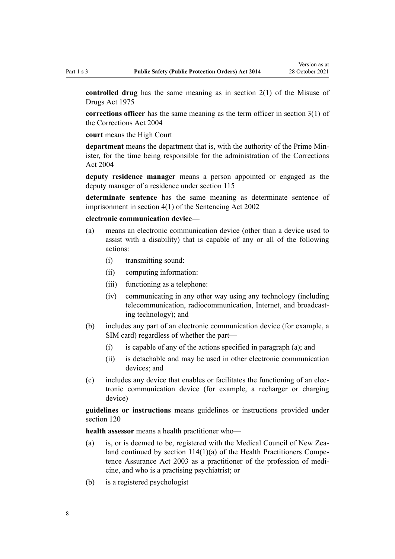**controlled drug** has the same meaning as in [section 2\(1\)](http://legislation.govt.nz/pdflink.aspx?id=DLM436106) of the Misuse of Drugs Act 1975

**corrections officer** has the same meaning as the term officer in [section 3\(1\)](http://legislation.govt.nz/pdflink.aspx?id=DLM294857) of the Corrections Act 2004

**court** means the High Court

**department** means the department that is, with the authority of the Prime Min‐ ister, for the time being responsible for the administration of the [Corrections](http://legislation.govt.nz/pdflink.aspx?id=DLM294848) [Act 2004](http://legislation.govt.nz/pdflink.aspx?id=DLM294848)

**deputy residence manager** means a person appointed or engaged as the deputy manager of a residence under [section 115](#page-61-0)

**determinate sentence** has the same meaning as determinate sentence of imprisonment in [section 4\(1\)](http://legislation.govt.nz/pdflink.aspx?id=DLM135350) of the Sentencing Act 2002

#### **electronic communication device**—

- (a) means an electronic communication device (other than a device used to assist with a disability) that is capable of any or all of the following actions:
	- (i) transmitting sound:
	- (ii) computing information:
	- (iii) functioning as a telephone:
	- (iv) communicating in any other way using any technology (including telecommunication, radiocommunication, Internet, and broadcasting technology); and
- (b) includes any part of an electronic communication device (for example, a SIM card) regardless of whether the part—
	- (i) is capable of any of the actions specified in paragraph (a); and
	- (ii) is detachable and may be used in other electronic communication devices; and
- (c) includes any device that enables or facilitates the functioning of an elec‐ tronic communication device (for example, a recharger or charging device)

**guidelines or instructions** means guidelines or instructions provided under [section 120](#page-64-0)

**health assessor** means a health practitioner who—

- (a) is, or is deemed to be, registered with the Medical Council of New Zealand continued by section  $114(1)(a)$  of the Health Practitioners Competence Assurance Act 2003 as a practitioner of the profession of medi‐ cine, and who is a practising psychiatrist; or
- (b) is a registered psychologist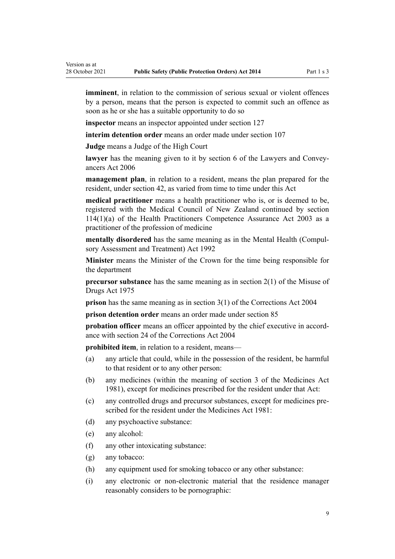**imminent**, in relation to the commission of serious sexual or violent offences by a person, means that the person is expected to commit such an offence as soon as he or she has a suitable opportunity to do so

**inspector** means an inspector appointed under [section 127](#page-67-0)

**interim detention order** means an order made under [section 107](#page-59-0)

**Judge** means a Judge of the High Court

**lawyer** has the meaning given to it by [section 6](http://legislation.govt.nz/pdflink.aspx?id=DLM364948) of the Lawyers and Convey‐ ancers Act 2006

**management plan**, in relation to a resident, means the plan prepared for the resident, under [section 42](#page-23-0), as varied from time to time under this Act

**medical practitioner** means a health practitioner who is, or is deemed to be, registered with the Medical Council of New Zealand continued by [section](http://legislation.govt.nz/pdflink.aspx?id=DLM204329) [114\(1\)\(a\)](http://legislation.govt.nz/pdflink.aspx?id=DLM204329) of the Health Practitioners Competence Assurance Act 2003 as a practitioner of the profession of medicine

**mentally disordered** has the same meaning as in the [Mental Health \(Compul‐](http://legislation.govt.nz/pdflink.aspx?id=DLM262175) [sory Assessment and Treatment\) Act 1992](http://legislation.govt.nz/pdflink.aspx?id=DLM262175)

**Minister** means the Minister of the Crown for the time being responsible for the department

**precursor substance** has the same meaning as in [section 2\(1\)](http://legislation.govt.nz/pdflink.aspx?id=DLM436106) of the Misuse of Drugs Act 1975

**prison** has the same meaning as in [section 3\(1\)](http://legislation.govt.nz/pdflink.aspx?id=DLM294857) of the Corrections Act 2004

**prison detention order** means an order made under [section 85](#page-44-0)

**probation officer** means an officer appointed by the chief executive in accordance with [section 24](http://legislation.govt.nz/pdflink.aspx?id=DLM295423) of the Corrections Act 2004

**prohibited item**, in relation to a resident, means—

- (a) any article that could, while in the possession of the resident, be harmful to that resident or to any other person:
- (b) any medicines (within the meaning of [section 3](http://legislation.govt.nz/pdflink.aspx?id=DLM54687) of the Medicines Act 1981), except for medicines prescribed for the resident under that Act:
- (c) any controlled drugs and precursor substances, except for medicines pre‐ scribed for the resident under the [Medicines Act 1981](http://legislation.govt.nz/pdflink.aspx?id=DLM53789):
- (d) any psychoactive substance:
- (e) any alcohol:
- (f) any other intoxicating substance:
- (g) any tobacco:
- (h) any equipment used for smoking tobacco or any other substance:
- (i) any electronic or non-electronic material that the residence manager reasonably considers to be pornographic: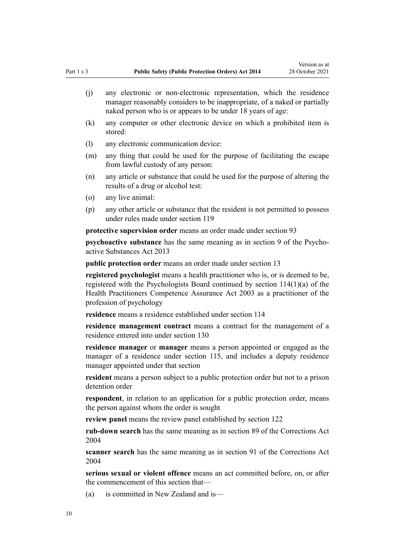- (j) any electronic or non-electronic representation, which the residence manager reasonably considers to be inappropriate, of a naked or partially naked person who is or appears to be under 18 years of age:
- (k) any computer or other electronic device on which a prohibited item is stored:
- (l) any electronic communication device:
- (m) any thing that could be used for the purpose of facilitating the escape from lawful custody of any person:
- (n) any article or substance that could be used for the purpose of altering the results of a drug or alcohol test:
- (o) any live animal:
- (p) any other article or substance that the resident is not permitted to possess under rules made under [section 119](#page-63-0)

**protective supervision order** means an order made under [section 93](#page-47-0)

**psychoactive substance** has the same meaning as in [section 9](http://legislation.govt.nz/pdflink.aspx?id=DLM5278431) of the Psychoactive Substances Act 2013

**public protection order** means an order made under [section 13](#page-14-0)

**registered psychologist** means a health practitioner who is, or is deemed to be, registered with the Psychologists Board continued by [section 114\(1\)\(a\)](http://legislation.govt.nz/pdflink.aspx?id=DLM204329) of the Health Practitioners Competence Assurance Act 2003 as a practitioner of the profession of psychology

**residence** means a residence established under [section 114](#page-61-0)

**residence management contract** means a contract for the management of a residence entered into under [section 130](#page-68-0)

**residence manager** or **manager** means a person appointed or engaged as the manager of a residence under [section 115,](#page-61-0) and includes a deputy residence manager appointed under that section

**resident** means a person subject to a public protection order but not to a prison detention order

**respondent**, in relation to an application for a public protection order, means the person against whom the order is sought

**review panel** means the review panel established by [section 122](#page-66-0)

**rub-down search** has the same meaning as in [section 89](http://legislation.govt.nz/pdflink.aspx?id=DLM296026) of the Corrections Act 2004

**scanner search** has the same meaning as in [section 91](http://legislation.govt.nz/pdflink.aspx?id=DLM296029) of the Corrections Act 2004

**serious sexual or violent offence** means an act committed before, on, or after the commencement of this section that—

(a) is committed in New Zealand and is—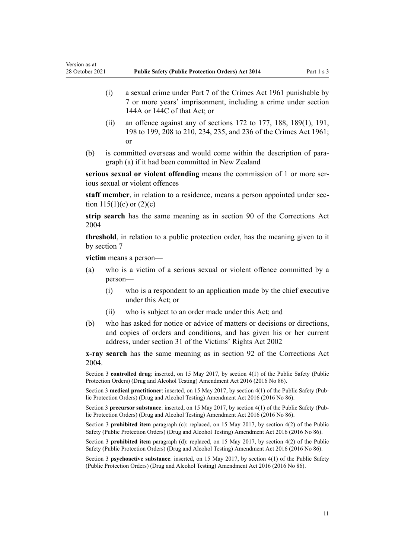- (i) a sexual crime under [Part 7](http://legislation.govt.nz/pdflink.aspx?id=DLM329034) of the Crimes Act 1961 punishable by 7 or more years' imprisonment, including a crime under [section](http://legislation.govt.nz/pdflink.aspx?id=DLM329264) [144A](http://legislation.govt.nz/pdflink.aspx?id=DLM329264) or [144C](http://legislation.govt.nz/pdflink.aspx?id=DLM329270) of that Act; or
- (ii) an offence against any of sections  $172$  to  $177$ ,  $188$ ,  $189(1)$ ,  $191$ , [198 to 199](http://legislation.govt.nz/pdflink.aspx?id=DLM329389), [208 to 210](http://legislation.govt.nz/pdflink.aspx?id=DLM329771), [234](http://legislation.govt.nz/pdflink.aspx?id=DLM330250), [235](http://legislation.govt.nz/pdflink.aspx?id=DLM330254), and [236](http://legislation.govt.nz/pdflink.aspx?id=DLM330259) of the Crimes Act 1961; or
- (b) is committed overseas and would come within the description of paragraph (a) if it had been committed in New Zealand

**serious sexual or violent offending** means the commission of 1 or more serious sexual or violent offences

staff member, in relation to a residence, means a person appointed under section  $115(1)(c)$  or  $(2)(c)$ 

**strip search** has the same meaning as in [section 90](http://legislation.govt.nz/pdflink.aspx?id=DLM296027) of the Corrections Act 2004

**threshold**, in relation to a public protection order, has the meaning given to it by [section 7](#page-11-0)

**victim** means a person—

Version as at

- (a) who is a victim of a serious sexual or violent offence committed by a person—
	- (i) who is a respondent to an application made by the chief executive under this Act; or
	- (ii) who is subject to an order made under this Act; and
- (b) who has asked for notice or advice of matters or decisions or directions, and copies of orders and conditions, and has given his or her current address, under [section 31](http://legislation.govt.nz/pdflink.aspx?id=DLM157897) of the Victims' Rights Act 2002

**x-ray search** has the same meaning as in [section 92](http://legislation.govt.nz/pdflink.aspx?id=DLM296031) of the Corrections Act 2004.

Section 3 **controlled drug**: inserted, on 15 May 2017, by [section 4\(1\)](http://legislation.govt.nz/pdflink.aspx?id=DLM7017309) of the Public Safety (Public Protection Orders) (Drug and Alcohol Testing) Amendment Act 2016 (2016 No 86).

Section 3 **medical practitioner**: inserted, on 15 May 2017, by [section 4\(1\)](http://legislation.govt.nz/pdflink.aspx?id=DLM7017309) of the Public Safety (Public Protection Orders) (Drug and Alcohol Testing) Amendment Act 2016 (2016 No 86).

Section 3 **precursor substance**: inserted, on 15 May 2017, by [section 4\(1\)](http://legislation.govt.nz/pdflink.aspx?id=DLM7017309) of the Public Safety (Pub‐ lic Protection Orders) (Drug and Alcohol Testing) Amendment Act 2016 (2016 No 86).

Section 3 **prohibited item** paragraph (c): replaced, on 15 May 2017, by [section 4\(2\)](http://legislation.govt.nz/pdflink.aspx?id=DLM7017309) of the Public Safety (Public Protection Orders) (Drug and Alcohol Testing) Amendment Act 2016 (2016 No 86).

Section 3 **prohibited item** paragraph (d): replaced, on 15 May 2017, by [section 4\(2\)](http://legislation.govt.nz/pdflink.aspx?id=DLM7017309) of the Public Safety (Public Protection Orders) (Drug and Alcohol Testing) Amendment Act 2016 (2016 No 86).

Section 3 **psychoactive substance**: inserted, on 15 May 2017, by [section 4\(1\)](http://legislation.govt.nz/pdflink.aspx?id=DLM7017309) of the Public Safety (Public Protection Orders) (Drug and Alcohol Testing) Amendment Act 2016 (2016 No 86).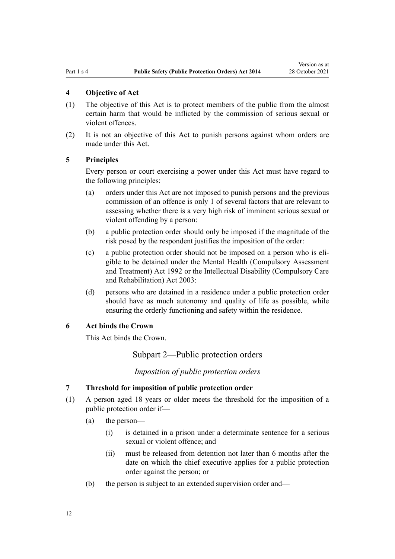#### <span id="page-11-0"></span>**4 Objective of Act**

- (1) The objective of this Act is to protect members of the public from the almost certain harm that would be inflicted by the commission of serious sexual or violent offences.
- (2) It is not an objective of this Act to punish persons against whom orders are made under this Act.

#### **5 Principles**

Every person or court exercising a power under this Act must have regard to the following principles:

- (a) orders under this Act are not imposed to punish persons and the previous commission of an offence is only 1 of several factors that are relevant to assessing whether there is a very high risk of imminent serious sexual or violent offending by a person:
- (b) a public protection order should only be imposed if the magnitude of the risk posed by the respondent justifies the imposition of the order:
- (c) a public protection order should not be imposed on a person who is eli‐ gible to be detained under the [Mental Health \(Compulsory Assessment](http://legislation.govt.nz/pdflink.aspx?id=DLM262175) [and Treatment\) Act 1992](http://legislation.govt.nz/pdflink.aspx?id=DLM262175) or the [Intellectual Disability \(Compulsory Care](http://legislation.govt.nz/pdflink.aspx?id=DLM224577) [and Rehabilitation\) Act 2003](http://legislation.govt.nz/pdflink.aspx?id=DLM224577):
- (d) persons who are detained in a residence under a public protection order should have as much autonomy and quality of life as possible, while ensuring the orderly functioning and safety within the residence.

### **6 Act binds the Crown**

This Act binds the Crown.

Subpart 2—Public protection orders

*Imposition of public protection orders*

# **7 Threshold for imposition of public protection order**

- (1) A person aged 18 years or older meets the threshold for the imposition of a public protection order if—
	- (a) the person—
		- (i) is detained in a prison under a determinate sentence for a serious sexual or violent offence; and
		- (ii) must be released from detention not later than 6 months after the date on which the chief executive applies for a public protection order against the person; or
	- (b) the person is subject to an extended supervision order and—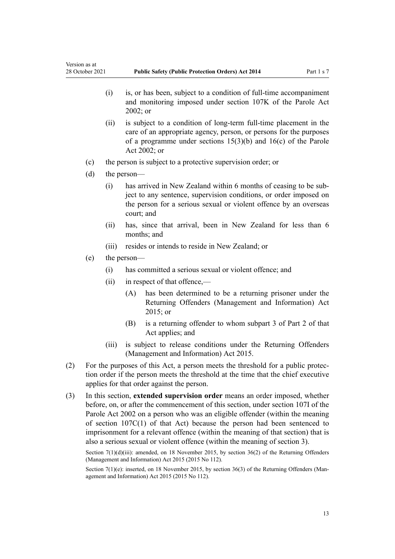- (i) is, or has been, subject to a condition of full-time accompaniment and monitoring imposed under [section 107K](http://legislation.govt.nz/pdflink.aspx?id=DLM139638) of the Parole Act 2002; or
- (ii) is subject to a condition of long-term full-time placement in the care of an appropriate agency, person, or persons for the purposes of a programme under [sections 15\(3\)\(b\)](http://legislation.govt.nz/pdflink.aspx?id=DLM138471) and [16\(c\)](http://legislation.govt.nz/pdflink.aspx?id=DLM138475) of the Parole Act 2002; or
- (c) the person is subject to a protective supervision order; or
- (d) the person—
	- (i) has arrived in New Zealand within 6 months of ceasing to be sub‐ ject to any sentence, supervision conditions, or order imposed on the person for a serious sexual or violent offence by an overseas court; and
	- (ii) has, since that arrival, been in New Zealand for less than 6 months; and
	- (iii) resides or intends to reside in New Zealand; or
- (e) the person—
	- (i) has committed a serious sexual or violent offence; and
	- (ii) in respect of that offence,—
		- (A) has been determined to be a returning prisoner under the [Returning Offenders \(Management and Information\) Act](http://legislation.govt.nz/pdflink.aspx?id=DLM6660002) [2015](http://legislation.govt.nz/pdflink.aspx?id=DLM6660002); or
		- (B) is a returning offender to whom [subpart 3](http://legislation.govt.nz/pdflink.aspx?id=DLM6660097) of Part 2 of that Act applies; and
	- (iii) is subject to release conditions under the [Returning Offenders](http://legislation.govt.nz/pdflink.aspx?id=DLM6660002) [\(Management and Information\) Act 2015.](http://legislation.govt.nz/pdflink.aspx?id=DLM6660002)
- (2) For the purposes of this Act, a person meets the threshold for a public protec‐ tion order if the person meets the threshold at the time that the chief executive applies for that order against the person.
- (3) In this section, **extended supervision order** means an order imposed, whether before, on, or after the commencement of this section, under [section 107I](http://legislation.govt.nz/pdflink.aspx?id=DLM139630) of the Parole Act 2002 on a person who was an eligible offender (within the meaning of [section 107C\(1\)](http://legislation.govt.nz/pdflink.aspx?id=DLM139611) of that Act) because the person had been sentenced to imprisonment for a relevant offence (within the meaning of that section) that is also a serious sexual or violent offence (within the meaning of [section 3\)](#page-6-0).

Section 7(1)(d)(iii): amended, on 18 November 2015, by [section 36\(2\)](http://legislation.govt.nz/pdflink.aspx?id=DLM6660105) of the Returning Offenders (Management and Information) Act 2015 (2015 No 112).

Section 7(1)(e): inserted, on 18 November 2015, by [section 36\(3\)](http://legislation.govt.nz/pdflink.aspx?id=DLM6660105) of the Returning Offenders (Management and Information) Act 2015 (2015 No 112).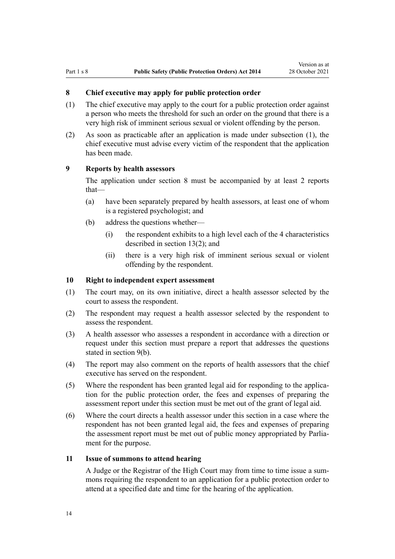#### <span id="page-13-0"></span>**8 Chief executive may apply for public protection order**

- (1) The chief executive may apply to the court for a public protection order against a person who meets the threshold for such an order on the ground that there is a very high risk of imminent serious sexual or violent offending by the person.
- (2) As soon as practicable after an application is made under subsection (1), the chief executive must advise every victim of the respondent that the application has been made.

#### **9 Reports by health assessors**

The application under section 8 must be accompanied by at least 2 reports that—

- (a) have been separately prepared by health assessors, at least one of whom is a registered psychologist; and
- (b) address the questions whether—
	- (i) the respondent exhibits to a high level each of the 4 characteristics described in [section 13\(2\)](#page-14-0); and
	- (ii) there is a very high risk of imminent serious sexual or violent offending by the respondent.

#### **10 Right to independent expert assessment**

- (1) The court may, on its own initiative, direct a health assessor selected by the court to assess the respondent.
- (2) The respondent may request a health assessor selected by the respondent to assess the respondent.
- (3) A health assessor who assesses a respondent in accordance with a direction or request under this section must prepare a report that addresses the questions stated in section 9(b).
- (4) The report may also comment on the reports of health assessors that the chief executive has served on the respondent.
- (5) Where the respondent has been granted legal aid for responding to the applica‐ tion for the public protection order, the fees and expenses of preparing the assessment report under this section must be met out of the grant of legal aid.
- (6) Where the court directs a health assessor under this section in a case where the respondent has not been granted legal aid, the fees and expenses of preparing the assessment report must be met out of public money appropriated by Parliament for the purpose.

# **11 Issue of summons to attend hearing**

A Judge or the Registrar of the High Court may from time to time issue a sum‐ mons requiring the respondent to an application for a public protection order to attend at a specified date and time for the hearing of the application.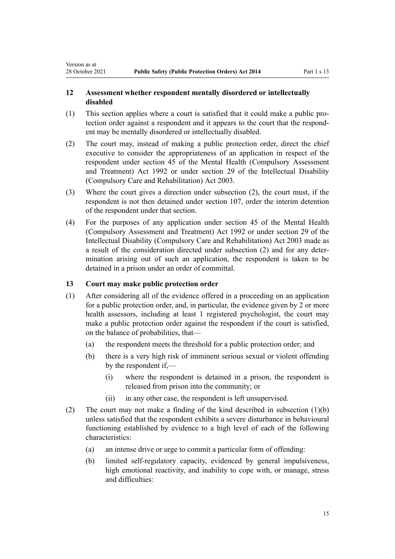# **12 Assessment whether respondent mentally disordered or intellectually disabled**

- (1) This section applies where a court is satisfied that it could make a public pro‐ tection order against a respondent and it appears to the court that the respond‐ ent may be mentally disordered or intellectually disabled.
- (2) The court may, instead of making a public protection order, direct the chief executive to consider the appropriateness of an application in respect of the respondent under [section 45](http://legislation.govt.nz/pdflink.aspx?id=DLM263090) of the Mental Health (Compulsory Assessment and Treatment) Act 1992 or under [section 29](http://legislation.govt.nz/pdflink.aspx?id=DLM225412) of the Intellectual Disability (Compulsory Care and Rehabilitation) Act 2003.
- (3) Where the court gives a direction under subsection (2), the court must, if the respondent is not then detained under [section 107,](#page-59-0) order the interim detention of the respondent under that section.
- (4) For the purposes of any application under [section 45](http://legislation.govt.nz/pdflink.aspx?id=DLM263090) of the Mental Health (Compulsory Assessment and Treatment) Act 1992 or under [section 29](http://legislation.govt.nz/pdflink.aspx?id=DLM225412) of the Intellectual Disability (Compulsory Care and Rehabilitation) Act 2003 made as a result of the consideration directed under subsection (2) and for any deter‐ mination arising out of such an application, the respondent is taken to be detained in a prison under an order of committal.

#### **13 Court may make public protection order**

<span id="page-14-0"></span>Version as at

- (1) After considering all of the evidence offered in a proceeding on an application for a public protection order, and, in particular, the evidence given by 2 or more health assessors, including at least 1 registered psychologist, the court may make a public protection order against the respondent if the court is satisfied, on the balance of probabilities, that—
	- (a) the respondent meets the threshold for a public protection order; and
	- (b) there is a very high risk of imminent serious sexual or violent offending by the respondent if,—
		- (i) where the respondent is detained in a prison, the respondent is released from prison into the community; or
		- (ii) in any other case, the respondent is left unsupervised.
- (2) The court may not make a finding of the kind described in subsection (1)(b) unless satisfied that the respondent exhibits a severe disturbance in behavioural functioning established by evidence to a high level of each of the following characteristics:
	- (a) an intense drive or urge to commit a particular form of offending:
	- (b) limited self-regulatory capacity, evidenced by general impulsiveness, high emotional reactivity, and inability to cope with, or manage, stress and difficulties: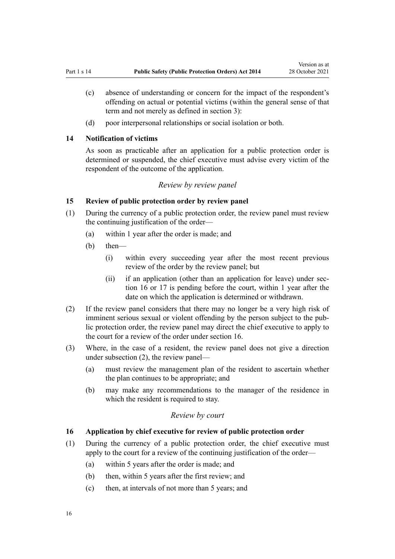- <span id="page-15-0"></span>(c) absence of understanding or concern for the impact of the respondent's offending on actual or potential victims (within the general sense of that term and not merely as defined in [section 3\)](#page-6-0):
- (d) poor interpersonal relationships or social isolation or both.

#### **14 Notification of victims**

As soon as practicable after an application for a public protection order is determined or suspended, the chief executive must advise every victim of the respondent of the outcome of the application.

# *Review by review panel*

# **15 Review of public protection order by review panel**

- (1) During the currency of a public protection order, the review panel must review the continuing justification of the order-
	- (a) within 1 year after the order is made; and
	- (b) then—
		- (i) within every succeeding year after the most recent previous review of the order by the review panel; but
		- (ii) if an application (other than an application for leave) under section 16 or [17](#page-16-0) is pending before the court, within 1 year after the date on which the application is determined or withdrawn.
- (2) If the review panel considers that there may no longer be a very high risk of imminent serious sexual or violent offending by the person subject to the public protection order, the review panel may direct the chief executive to apply to the court for a review of the order under section 16.
- (3) Where, in the case of a resident, the review panel does not give a direction under subsection (2), the review panel—
	- (a) must review the management plan of the resident to ascertain whether the plan continues to be appropriate; and
	- (b) may make any recommendations to the manager of the residence in which the resident is required to stay.

#### *Review by court*

#### **16 Application by chief executive for review of public protection order**

- (1) During the currency of a public protection order, the chief executive must apply to the court for a review of the continuing justification of the order—
	- (a) within 5 years after the order is made; and
	- (b) then, within 5 years after the first review; and
	- (c) then, at intervals of not more than 5 years; and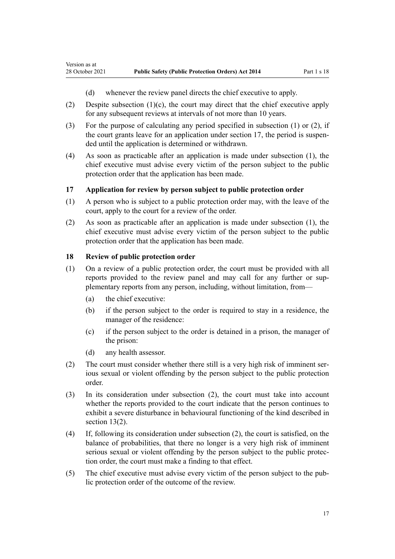- (d) whenever the review panel directs the chief executive to apply.
- (2) Despite subsection (1)(c), the court may direct that the chief executive apply for any subsequent reviews at intervals of not more than 10 years.
- (3) For the purpose of calculating any period specified in subsection (1) or (2), if the court grants leave for an application under section 17, the period is suspended until the application is determined or withdrawn.
- (4) As soon as practicable after an application is made under subsection (1), the chief executive must advise every victim of the person subject to the public protection order that the application has been made.

#### **17 Application for review by person subject to public protection order**

- (1) A person who is subject to a public protection order may, with the leave of the court, apply to the court for a review of the order.
- (2) As soon as practicable after an application is made under subsection (1), the chief executive must advise every victim of the person subject to the public protection order that the application has been made.

#### **18 Review of public protection order**

<span id="page-16-0"></span>Version as at

- (1) On a review of a public protection order, the court must be provided with all reports provided to the review panel and may call for any further or supplementary reports from any person, including, without limitation, from—
	- (a) the chief executive:
	- (b) if the person subject to the order is required to stay in a residence, the manager of the residence:
	- (c) if the person subject to the order is detained in a prison, the manager of the prison:
	- (d) any health assessor.
- (2) The court must consider whether there still is a very high risk of imminent serious sexual or violent offending by the person subject to the public protection order.
- (3) In its consideration under subsection (2), the court must take into account whether the reports provided to the court indicate that the person continues to exhibit a severe disturbance in behavioural functioning of the kind described in [section 13\(2\).](#page-14-0)
- (4) If, following its consideration under subsection (2), the court is satisfied, on the balance of probabilities, that there no longer is a very high risk of imminent serious sexual or violent offending by the person subject to the public protection order, the court must make a finding to that effect.
- (5) The chief executive must advise every victim of the person subject to the pub‐ lic protection order of the outcome of the review.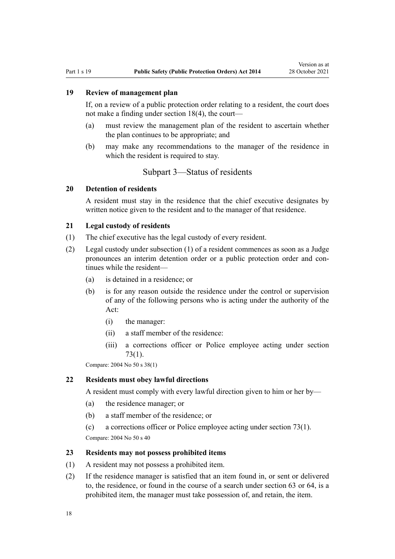# <span id="page-17-0"></span>**19 Review of management plan**

If, on a review of a public protection order relating to a resident, the court does not make a finding under [section 18\(4\)](#page-16-0), the court—

- (a) must review the management plan of the resident to ascertain whether the plan continues to be appropriate; and
- (b) may make any recommendations to the manager of the residence in which the resident is required to stay.

# Subpart 3—Status of residents

#### **20 Detention of residents**

A resident must stay in the residence that the chief executive designates by written notice given to the resident and to the manager of that residence.

# **21 Legal custody of residents**

- (1) The chief executive has the legal custody of every resident.
- (2) Legal custody under subsection (1) of a resident commences as soon as a Judge pronounces an interim detention order or a public protection order and continues while the resident—
	- (a) is detained in a residence; or
	- (b) is for any reason outside the residence under the control or supervision of any of the following persons who is acting under the authority of the Act:
		- (i) the manager:
		- (ii) a staff member of the residence:
		- (iii) a corrections officer or Police employee acting under [section](#page-39-0) [73\(1\)](#page-39-0).

Compare: 2004 No 50 [s 38\(1\)](http://legislation.govt.nz/pdflink.aspx?id=DLM295445)

#### **22 Residents must obey lawful directions**

A resident must comply with every lawful direction given to him or her by—

- (a) the residence manager; or
- (b) a staff member of the residence; or
- (c) a corrections officer or Police employee acting under section 73(1).

Compare: 2004 No 50 [s 40](http://legislation.govt.nz/pdflink.aspx?id=DLM295447)

#### **23 Residents may not possess prohibited items**

- (1) A resident may not possess a prohibited item.
- (2) If the residence manager is satisfied that an item found in, or sent or delivered to, the residence, or found in the course of a search under [section 63](#page-35-0) or [64](#page-35-0), is a prohibited item, the manager must take possession of, and retain, the item.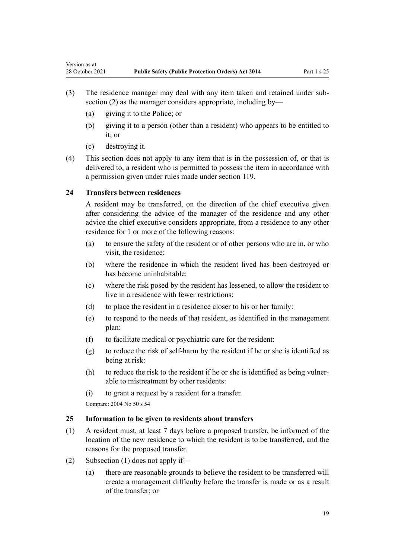- (3) The residence manager may deal with any item taken and retained under sub‐ section (2) as the manager considers appropriate, including by—
	- (a) giving it to the Police; or
	- (b) giving it to a person (other than a resident) who appears to be entitled to it; or
	- (c) destroying it.

<span id="page-18-0"></span>Version as at

(4) This section does not apply to any item that is in the possession of, or that is delivered to, a resident who is permitted to possess the item in accordance with a permission given under rules made under [section 119](#page-63-0).

# **24 Transfers between residences**

A resident may be transferred, on the direction of the chief executive given after considering the advice of the manager of the residence and any other advice the chief executive considers appropriate, from a residence to any other residence for 1 or more of the following reasons:

- (a) to ensure the safety of the resident or of other persons who are in, or who visit, the residence:
- (b) where the residence in which the resident lived has been destroyed or has become uninhabitable:
- (c) where the risk posed by the resident has lessened, to allow the resident to live in a residence with fewer restrictions:
- (d) to place the resident in a residence closer to his or her family:
- (e) to respond to the needs of that resident, as identified in the management plan:
- (f) to facilitate medical or psychiatric care for the resident:
- (g) to reduce the risk of self-harm by the resident if he or she is identified as being at risk:
- (h) to reduce the risk to the resident if he or she is identified as being vulner‐ able to mistreatment by other residents:
- (i) to grant a request by a resident for a transfer.

Compare: 2004 No 50 [s 54](http://legislation.govt.nz/pdflink.aspx?id=DLM295467)

#### **25 Information to be given to residents about transfers**

- (1) A resident must, at least 7 days before a proposed transfer, be informed of the location of the new residence to which the resident is to be transferred, and the reasons for the proposed transfer.
- (2) Subsection (1) does not apply if—
	- (a) there are reasonable grounds to believe the resident to be transferred will create a management difficulty before the transfer is made or as a result of the transfer; or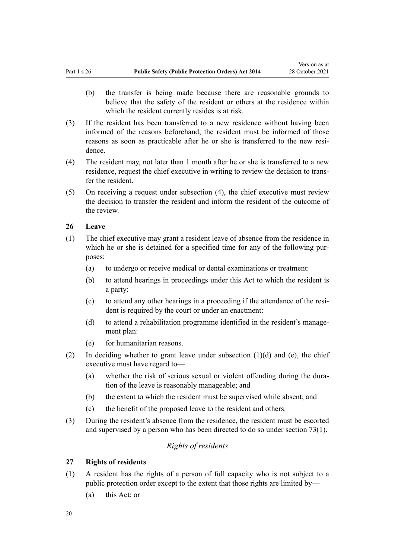- <span id="page-19-0"></span>(b) the transfer is being made because there are reasonable grounds to believe that the safety of the resident or others at the residence within which the resident currently resides is at risk.
- (3) If the resident has been transferred to a new residence without having been informed of the reasons beforehand, the resident must be informed of those reasons as soon as practicable after he or she is transferred to the new residence.
- (4) The resident may, not later than 1 month after he or she is transferred to a new residence, request the chief executive in writing to review the decision to trans‐ fer the resident.
- (5) On receiving a request under subsection (4), the chief executive must review the decision to transfer the resident and inform the resident of the outcome of the review.

# **26 Leave**

- (1) The chief executive may grant a resident leave of absence from the residence in which he or she is detained for a specified time for any of the following purposes:
	- (a) to undergo or receive medical or dental examinations or treatment:
	- (b) to attend hearings in proceedings under this Act to which the resident is a party:
	- (c) to attend any other hearings in a proceeding if the attendance of the resi‐ dent is required by the court or under an enactment:
	- (d) to attend a rehabilitation programme identified in the resident's management plan:
	- (e) for humanitarian reasons.
- (2) In deciding whether to grant leave under subsection  $(1)(d)$  and  $(e)$ , the chief executive must have regard to—
	- (a) whether the risk of serious sexual or violent offending during the dura‐ tion of the leave is reasonably manageable; and
	- (b) the extent to which the resident must be supervised while absent; and
	- (c) the benefit of the proposed leave to the resident and others.
- (3) During the resident's absence from the residence, the resident must be escorted and supervised by a person who has been directed to do so under [section 73\(1\).](#page-39-0)

# *Rights of residents*

#### **27 Rights of residents**

- (1) A resident has the rights of a person of full capacity who is not subject to a public protection order except to the extent that those rights are limited by—
	- (a) this Act; or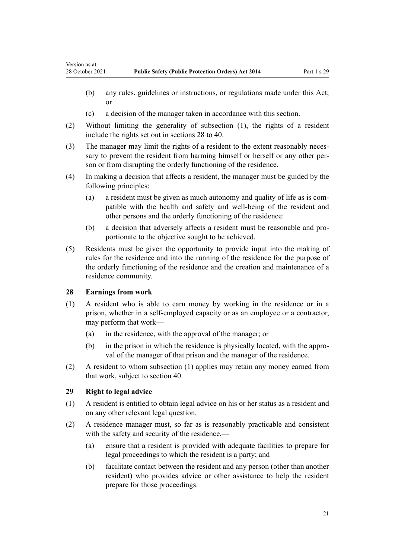- (b) any rules, guidelines or instructions, or regulations made under this Act; or
- (c) a decision of the manager taken in accordance with this section.
- (2) Without limiting the generality of subsection (1), the rights of a resident include the rights set out in sections 28 to 40.
- (3) The manager may limit the rights of a resident to the extent reasonably necessary to prevent the resident from harming himself or herself or any other person or from disrupting the orderly functioning of the residence.
- (4) In making a decision that affects a resident, the manager must be guided by the following principles:
	- (a) a resident must be given as much autonomy and quality of life as is com‐ patible with the health and safety and well-being of the resident and other persons and the orderly functioning of the residence:
	- (b) a decision that adversely affects a resident must be reasonable and pro‐ portionate to the objective sought to be achieved.
- (5) Residents must be given the opportunity to provide input into the making of rules for the residence and into the running of the residence for the purpose of the orderly functioning of the residence and the creation and maintenance of a residence community.

#### **28 Earnings from work**

<span id="page-20-0"></span>Version as at

- (1) A resident who is able to earn money by working in the residence or in a prison, whether in a self-employed capacity or as an employee or a contractor, may perform that work—
	- (a) in the residence, with the approval of the manager; or
	- (b) in the prison in which the residence is physically located, with the approval of the manager of that prison and the manager of the residence.
- (2) A resident to whom subsection (1) applies may retain any money earned from that work, subject to section 40.

# **29 Right to legal advice**

- (1) A resident is entitled to obtain legal advice on his or her status as a resident and on any other relevant legal question.
- (2) A residence manager must, so far as is reasonably practicable and consistent with the safety and security of the residence.—
	- (a) ensure that a resident is provided with adequate facilities to prepare for legal proceedings to which the resident is a party; and
	- (b) facilitate contact between the resident and any person (other than another resident) who provides advice or other assistance to help the resident prepare for those proceedings.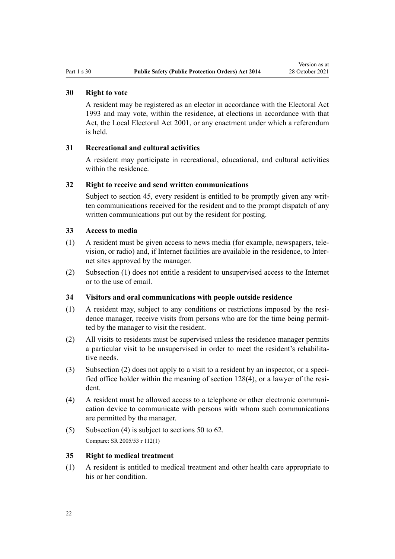# <span id="page-21-0"></span>**30 Right to vote**

A resident may be registered as an elector in accordance with the [Electoral Act](http://legislation.govt.nz/pdflink.aspx?id=DLM307518) [1993](http://legislation.govt.nz/pdflink.aspx?id=DLM307518) and may vote, within the residence, at elections in accordance with that Act, the [Local Electoral Act 2001,](http://legislation.govt.nz/pdflink.aspx?id=DLM93300) or any enactment under which a referendum is held.

#### **31 Recreational and cultural activities**

A resident may participate in recreational, educational, and cultural activities within the residence.

#### **32 Right to receive and send written communications**

Subject to [section 45](#page-25-0), every resident is entitled to be promptly given any written communications received for the resident and to the prompt dispatch of any written communications put out by the resident for posting.

# **33 Access to media**

- (1) A resident must be given access to news media (for example, newspapers, tele‐ vision, or radio) and, if Internet facilities are available in the residence, to Inter‐ net sites approved by the manager.
- (2) Subsection (1) does not entitle a resident to unsupervised access to the Internet or to the use of email.

### **34 Visitors and oral communications with people outside residence**

- (1) A resident may, subject to any conditions or restrictions imposed by the resi‐ dence manager, receive visits from persons who are for the time being permitted by the manager to visit the resident.
- (2) All visits to residents must be supervised unless the residence manager permits a particular visit to be unsupervised in order to meet the resident's rehabilitative needs.
- (3) Subsection (2) does not apply to a visit to a resident by an inspector, or a speci‐ fied office holder within the meaning of [section 128\(4\)](#page-68-0), or a lawyer of the resident.
- (4) A resident must be allowed access to a telephone or other electronic communi‐ cation device to communicate with persons with whom such communications are permitted by the manager.
- (5) Subsection (4) is subject to [sections 50 to 62](#page-27-0). Compare: SR 2005/53 [r 112\(1\)](http://legislation.govt.nz/pdflink.aspx?id=DLM316269)

#### **35 Right to medical treatment**

(1) A resident is entitled to medical treatment and other health care appropriate to his or her condition.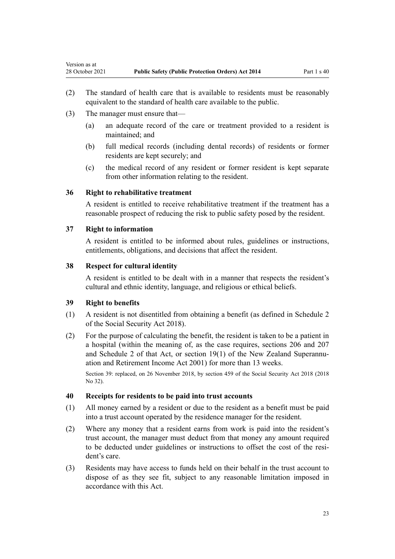- (2) The standard of health care that is available to residents must be reasonably equivalent to the standard of health care available to the public.
- (3) The manager must ensure that—

<span id="page-22-0"></span>Version as at

- (a) an adequate record of the care or treatment provided to a resident is maintained; and
- (b) full medical records (including dental records) of residents or former residents are kept securely; and
- (c) the medical record of any resident or former resident is kept separate from other information relating to the resident.

#### **36 Right to rehabilitative treatment**

A resident is entitled to receive rehabilitative treatment if the treatment has a reasonable prospect of reducing the risk to public safety posed by the resident.

#### **37 Right to information**

A resident is entitled to be informed about rules, guidelines or instructions, entitlements, obligations, and decisions that affect the resident.

# **38 Respect for cultural identity**

A resident is entitled to be dealt with in a manner that respects the resident's cultural and ethnic identity, language, and religious or ethical beliefs.

# **39 Right to benefits**

- (1) A resident is not disentitled from obtaining a benefit (as defined in [Schedule 2](http://legislation.govt.nz/pdflink.aspx?id=DLM6784375) of the Social Security Act 2018).
- (2) For the purpose of calculating the benefit, the resident is taken to be a patient in a hospital (within the meaning of, as the case requires, [sections 206](http://legislation.govt.nz/pdflink.aspx?id=DLM6783545) and [207](http://legislation.govt.nz/pdflink.aspx?id=DLM6783547) and [Schedule 2](http://legislation.govt.nz/pdflink.aspx?id=DLM6784375) of that Act, or [section 19\(1\)](http://legislation.govt.nz/pdflink.aspx?id=DLM114237) of the New Zealand Superannuation and Retirement Income Act 2001) for more than 13 weeks.

Section 39: replaced, on 26 November 2018, by [section 459](http://legislation.govt.nz/pdflink.aspx?id=DLM6784038) of the Social Security Act 2018 (2018 No 32).

#### **40 Receipts for residents to be paid into trust accounts**

- (1) All money earned by a resident or due to the resident as a benefit must be paid into a trust account operated by the residence manager for the resident.
- (2) Where any money that a resident earns from work is paid into the resident's trust account, the manager must deduct from that money any amount required to be deducted under guidelines or instructions to offset the cost of the resident's care.
- (3) Residents may have access to funds held on their behalf in the trust account to dispose of as they see fit, subject to any reasonable limitation imposed in accordance with this Act.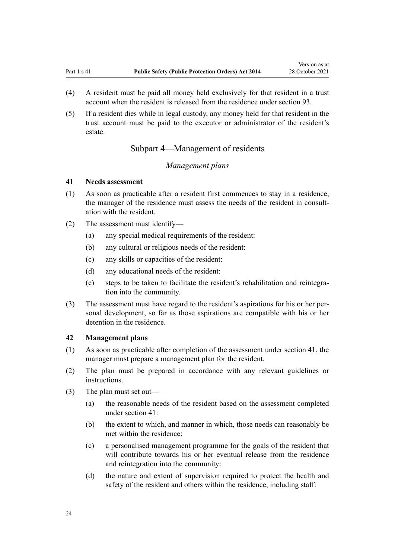<span id="page-23-0"></span>(5) If a resident dies while in legal custody, any money held for that resident in the trust account must be paid to the executor or administrator of the resident's estate.

# Subpart 4—Management of residents

# *Management plans*

#### **41 Needs assessment**

- (1) As soon as practicable after a resident first commences to stay in a residence, the manager of the residence must assess the needs of the resident in consultation with the resident.
- (2) The assessment must identify—
	- (a) any special medical requirements of the resident:
	- (b) any cultural or religious needs of the resident:
	- (c) any skills or capacities of the resident:
	- (d) any educational needs of the resident:
	- (e) steps to be taken to facilitate the resident's rehabilitation and reintegra‐ tion into the community.
- (3) The assessment must have regard to the resident's aspirations for his or her per‐ sonal development, so far as those aspirations are compatible with his or her detention in the residence.

# **42 Management plans**

- (1) As soon as practicable after completion of the assessment under section 41, the manager must prepare a management plan for the resident.
- (2) The plan must be prepared in accordance with any relevant guidelines or instructions.
- (3) The plan must set out—
	- (a) the reasonable needs of the resident based on the assessment completed under section 41:
	- (b) the extent to which, and manner in which, those needs can reasonably be met within the residence:
	- (c) a personalised management programme for the goals of the resident that will contribute towards his or her eventual release from the residence and reintegration into the community:
	- (d) the nature and extent of supervision required to protect the health and safety of the resident and others within the residence, including staff: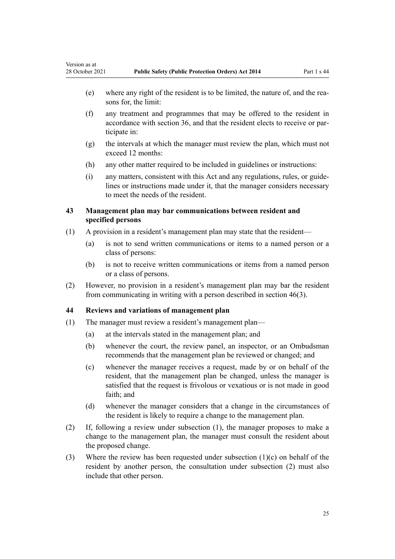- <span id="page-24-0"></span>(e) where any right of the resident is to be limited, the nature of, and the rea‐ sons for, the limit:
- (f) any treatment and programmes that may be offered to the resident in accordance with [section 36,](#page-22-0) and that the resident elects to receive or par‐ ticipate in:
- (g) the intervals at which the manager must review the plan, which must not exceed 12 months:
- (h) any other matter required to be included in guidelines or instructions:
- (i) any matters, consistent with this Act and any regulations, rules, or guide‐ lines or instructions made under it, that the manager considers necessary to meet the needs of the resident.

# **43 Management plan may bar communications between resident and specified persons**

- (1) A provision in a resident's management plan may state that the resident—
	- (a) is not to send written communications or items to a named person or a class of persons:
	- (b) is not to receive written communications or items from a named person or a class of persons.
- (2) However, no provision in a resident's management plan may bar the resident from communicating in writing with a person described in [section 46\(3\).](#page-25-0)

# **44 Reviews and variations of management plan**

- (1) The manager must review a resident's management plan—
	- (a) at the intervals stated in the management plan; and
	- (b) whenever the court, the review panel, an inspector, or an Ombudsman recommends that the management plan be reviewed or changed; and
	- (c) whenever the manager receives a request, made by or on behalf of the resident, that the management plan be changed, unless the manager is satisfied that the request is frivolous or vexatious or is not made in good faith; and
	- (d) whenever the manager considers that a change in the circumstances of the resident is likely to require a change to the management plan.
- (2) If, following a review under subsection (1), the manager proposes to make a change to the management plan, the manager must consult the resident about the proposed change.
- (3) Where the review has been requested under subsection (1)(c) on behalf of the resident by another person, the consultation under subsection (2) must also include that other person.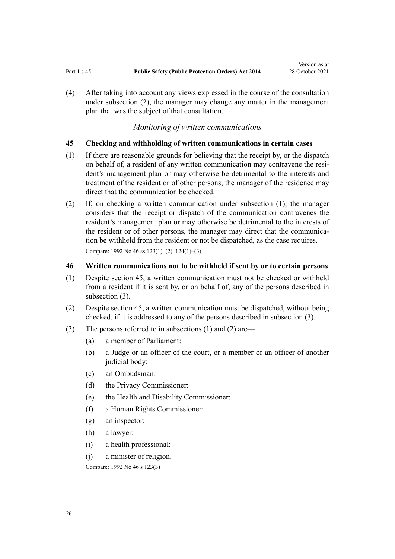<span id="page-25-0"></span>(4) After taking into account any views expressed in the course of the consultation under subsection (2), the manager may change any matter in the management plan that was the subject of that consultation.

*Monitoring of written communications*

#### **45 Checking and withholding of written communications in certain cases**

- (1) If there are reasonable grounds for believing that the receipt by, or the dispatch on behalf of, a resident of any written communication may contravene the resident's management plan or may otherwise be detrimental to the interests and treatment of the resident or of other persons, the manager of the residence may direct that the communication be checked.
- (2) If, on checking a written communication under subsection (1), the manager considers that the receipt or dispatch of the communication contravenes the resident's management plan or may otherwise be detrimental to the interests of the resident or of other persons, the manager may direct that the communication be withheld from the resident or not be dispatched, as the case requires. Compare: 1992 No 46 [ss 123\(1\), \(2\),](http://legislation.govt.nz/pdflink.aspx?id=DLM264226) [124\(1\)–\(3\)](http://legislation.govt.nz/pdflink.aspx?id=DLM264227)

# **46 Written communications not to be withheld if sent by or to certain persons**

- (1) Despite section 45, a written communication must not be checked or withheld from a resident if it is sent by, or on behalf of, any of the persons described in subsection (3).
- (2) Despite section 45, a written communication must be dispatched, without being checked, if it is addressed to any of the persons described in subsection (3).
- (3) The persons referred to in subsections (1) and (2) are—
	- (a) a member of Parliament:
	- (b) a Judge or an officer of the court, or a member or an officer of another judicial body:
	- (c) an Ombudsman:
	- (d) the Privacy Commissioner:
	- (e) the Health and Disability Commissioner:
	- (f) a Human Rights Commissioner:
	- (g) an inspector:
	- (h) a lawyer:
	- (i) a health professional:
	- (j) a minister of religion.

Compare: 1992 No 46 [s 123\(3\)](http://legislation.govt.nz/pdflink.aspx?id=DLM264226)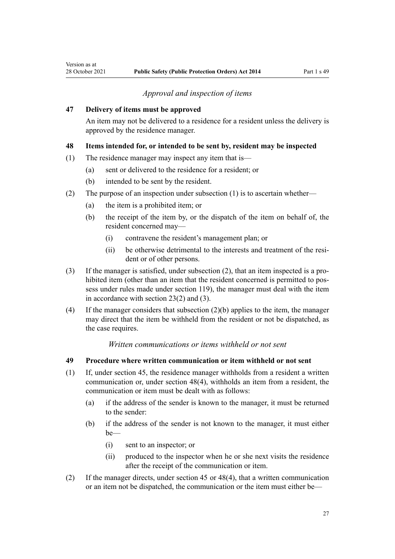# *Approval and inspection of items*

#### <span id="page-26-0"></span>**47 Delivery of items must be approved**

An item may not be delivered to a residence for a resident unless the delivery is approved by the residence manager.

# **48 Items intended for, or intended to be sent by, resident may be inspected**

- (1) The residence manager may inspect any item that is—
	- (a) sent or delivered to the residence for a resident; or
	- (b) intended to be sent by the resident.
- (2) The purpose of an inspection under subsection (1) is to ascertain whether—
	- (a) the item is a prohibited item; or
	- (b) the receipt of the item by, or the dispatch of the item on behalf of, the resident concerned may—
		- (i) contravene the resident's management plan; or
		- (ii) be otherwise detrimental to the interests and treatment of the resident or of other persons.
- (3) If the manager is satisfied, under subsection (2), that an item inspected is a pro‐ hibited item (other than an item that the resident concerned is permitted to possess under rules made under [section 119](#page-63-0)), the manager must deal with the item in accordance with [section 23\(2\) and \(3\)](#page-17-0).
- (4) If the manager considers that subsection (2)(b) applies to the item, the manager may direct that the item be withheld from the resident or not be dispatched, as the case requires.

#### *Written communications or items withheld or not sent*

# **49 Procedure where written communication or item withheld or not sent**

- (1) If, under [section 45,](#page-25-0) the residence manager withholds from a resident a written communication or, under section 48(4), withholds an item from a resident, the communication or item must be dealt with as follows:
	- (a) if the address of the sender is known to the manager, it must be returned to the sender:
	- (b) if the address of the sender is not known to the manager, it must either be—
		- (i) sent to an inspector; or
		- (ii) produced to the inspector when he or she next visits the residence after the receipt of the communication or item.
- (2) If the manager directs, under [section 45](#page-25-0) or 48(4), that a written communication or an item not be dispatched, the communication or the item must either be—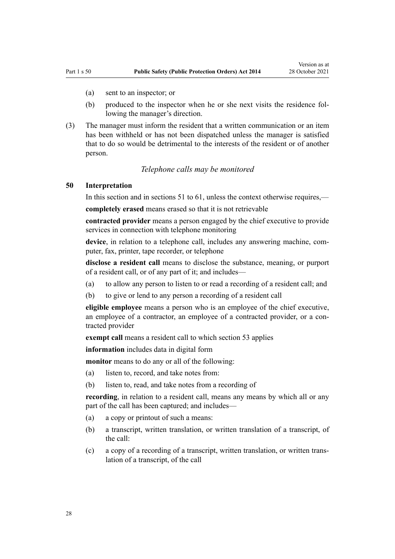- <span id="page-27-0"></span>(a) sent to an inspector; or
- (b) produced to the inspector when he or she next visits the residence following the manager's direction.
- (3) The manager must inform the resident that a written communication or an item has been withheld or has not been dispatched unless the manager is satisfied that to do so would be detrimental to the interests of the resident or of another person.

#### *Telephone calls may be monitored*

#### **50 Interpretation**

In this section and in [sections 51 to 61,](#page-28-0) unless the context otherwise requires,—

**completely erased** means erased so that it is not retrievable

**contracted provider** means a person engaged by the chief executive to provide services in connection with telephone monitoring

device, in relation to a telephone call, includes any answering machine, computer, fax, printer, tape recorder, or telephone

**disclose a resident call** means to disclose the substance, meaning, or purport of a resident call, or of any part of it; and includes—

(a) to allow any person to listen to or read a recording of a resident call; and

(b) to give or lend to any person a recording of a resident call

**eligible employee** means a person who is an employee of the chief executive, an employee of a contractor, an employee of a contracted provider, or a contracted provider

**exempt call** means a resident call to which [section 53](#page-29-0) applies

**information** includes data in digital form

**monitor** means to do any or all of the following:

- (a) listen to, record, and take notes from:
- (b) listen to, read, and take notes from a recording of

**recording**, in relation to a resident call, means any means by which all or any part of the call has been captured; and includes—

- (a) a copy or printout of such a means:
- (b) a transcript, written translation, or written translation of a transcript, of the call:
- (c) a copy of a recording of a transcript, written translation, or written trans‐ lation of a transcript, of the call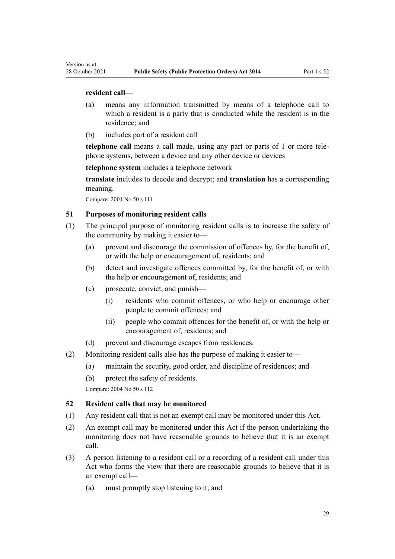#### **resident call**—

<span id="page-28-0"></span>Version as at

- (a) means any information transmitted by means of a telephone call to which a resident is a party that is conducted while the resident is in the residence; and
- (b) includes part of a resident call

**telephone call** means a call made, using any part or parts of 1 or more tele‐ phone systems, between a device and any other device or devices

**telephone system** includes a telephone network

**translate** includes to decode and decrypt; and **translation** has a corresponding meaning.

Compare: 2004 No 50 [s 111](http://legislation.govt.nz/pdflink.aspx?id=DLM296055)

# **51 Purposes of monitoring resident calls**

- (1) The principal purpose of monitoring resident calls is to increase the safety of the community by making it easier to—
	- (a) prevent and discourage the commission of offences by, for the benefit of, or with the help or encouragement of, residents; and
	- (b) detect and investigate offences committed by, for the benefit of, or with the help or encouragement of, residents; and
	- (c) prosecute, convict, and punish—
		- (i) residents who commit offences, or who help or encourage other people to commit offences; and
		- (ii) people who commit offences for the benefit of, or with the help or encouragement of, residents; and
	- (d) prevent and discourage escapes from residences.
- (2) Monitoring resident calls also has the purpose of making it easier to—
	- (a) maintain the security, good order, and discipline of residences; and
	- (b) protect the safety of residents.

Compare: 2004 No 50 [s 112](http://legislation.govt.nz/pdflink.aspx?id=DLM296083)

#### **52 Resident calls that may be monitored**

- (1) Any resident call that is not an exempt call may be monitored under this Act.
- (2) An exempt call may be monitored under this Act if the person undertaking the monitoring does not have reasonable grounds to believe that it is an exempt call.
- (3) A person listening to a resident call or a recording of a resident call under this Act who forms the view that there are reasonable grounds to believe that it is an exempt call—
	- (a) must promptly stop listening to it; and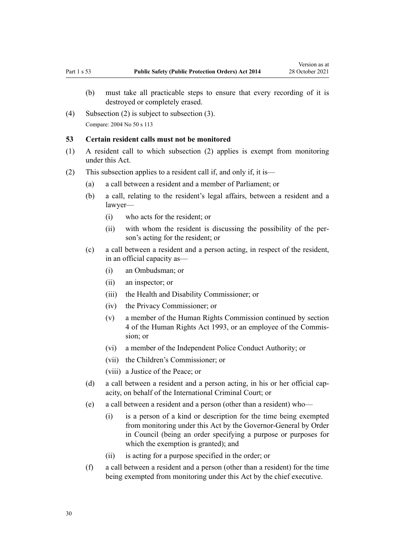- <span id="page-29-0"></span>(b) must take all practicable steps to ensure that every recording of it is destroyed or completely erased.
- (4) Subsection (2) is subject to subsection (3). Compare: 2004 No 50 [s 113](http://legislation.govt.nz/pdflink.aspx?id=DLM296084)

#### **53 Certain resident calls must not be monitored**

- (1) A resident call to which subsection (2) applies is exempt from monitoring under this Act.
- (2) This subsection applies to a resident call if, and only if, it is—
	- (a) a call between a resident and a member of Parliament; or
	- (b) a call, relating to the resident's legal affairs, between a resident and a lawyer—
		- (i) who acts for the resident; or
		- (ii) with whom the resident is discussing the possibility of the per‐ son's acting for the resident; or
	- (c) a call between a resident and a person acting, in respect of the resident, in an official capacity as—
		- (i) an Ombudsman; or
		- (ii) an inspector; or
		- (iii) the Health and Disability Commissioner; or
		- (iv) the Privacy Commissioner; or
		- (v) a member of the Human Rights Commission continued by [section](http://legislation.govt.nz/pdflink.aspx?id=DLM304269) [4](http://legislation.govt.nz/pdflink.aspx?id=DLM304269) of the Human Rights Act 1993, or an employee of the Commis‐ sion; or
		- (vi) a member of the Independent Police Conduct Authority; or
		- (vii) the Children's Commissioner; or
		- (viii) a Justice of the Peace; or
	- (d) a call between a resident and a person acting, in his or her official capacity, on behalf of the International Criminal Court; or
	- (e) a call between a resident and a person (other than a resident) who—
		- (i) is a person of a kind or description for the time being exempted from monitoring under this Act by the Governor-General by Order in Council (being an order specifying a purpose or purposes for which the exemption is granted); and
		- (ii) is acting for a purpose specified in the order; or
	- (f) a call between a resident and a person (other than a resident) for the time being exempted from monitoring under this Act by the chief executive.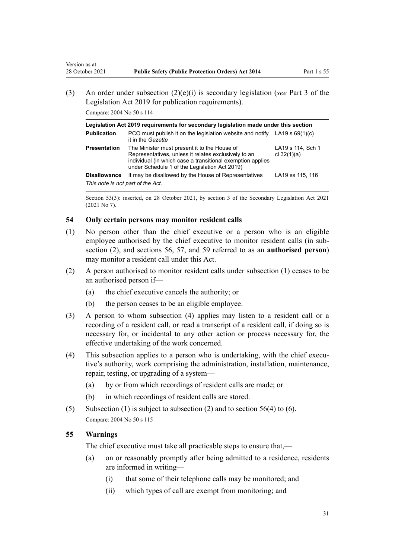<span id="page-30-0"></span>(3) An order under subsection (2)(e)(i) is secondary legislation (*see* [Part 3](http://legislation.govt.nz/pdflink.aspx?id=DLM7298343) of the Legislation Act 2019 for publication requirements).

Compare: 2004 No 50 [s 114](http://legislation.govt.nz/pdflink.aspx?id=DLM296085)

| Legislation Act 2019 requirements for secondary legislation made under this section |                                                                                                                                                                                                                     |                                    |  |
|-------------------------------------------------------------------------------------|---------------------------------------------------------------------------------------------------------------------------------------------------------------------------------------------------------------------|------------------------------------|--|
| <b>Publication</b>                                                                  | PCO must publish it on the legislation website and notify LA19 s $69(1)(c)$<br>it in the Gazette                                                                                                                    |                                    |  |
| <b>Presentation</b>                                                                 | The Minister must present it to the House of<br>Representatives, unless it relates exclusively to an<br>individual (in which case a transitional exemption applies<br>under Schedule 1 of the Legislation Act 2019) | LA19 s 114, Sch 1<br>cl $32(1)(a)$ |  |
| <b>Disallowance</b>                                                                 | It may be disallowed by the House of Representatives                                                                                                                                                                | LA19 ss 115, 116                   |  |
| This note is not part of the Act.                                                   |                                                                                                                                                                                                                     |                                    |  |

Section 53(3): inserted, on 28 October 2021, by [section 3](http://legislation.govt.nz/pdflink.aspx?id=LMS268932) of the Secondary Legislation Act 2021 (2021 No 7).

#### **54 Only certain persons may monitor resident calls**

- (1) No person other than the chief executive or a person who is an eligible employee authorised by the chief executive to monitor resident calls (in subsection (2), and [sections 56](#page-31-0), [57,](#page-32-0) and [59](#page-32-0) referred to as an **authorised person**) may monitor a resident call under this Act.
- (2) A person authorised to monitor resident calls under subsection (1) ceases to be an authorised person if—
	- (a) the chief executive cancels the authority; or
	- (b) the person ceases to be an eligible employee.
- (3) A person to whom subsection (4) applies may listen to a resident call or a recording of a resident call, or read a transcript of a resident call, if doing so is necessary for, or incidental to any other action or process necessary for, the effective undertaking of the work concerned.
- (4) This subsection applies to a person who is undertaking, with the chief executive's authority, work comprising the administration, installation, maintenance, repair, testing, or upgrading of a system—
	- (a) by or from which recordings of resident calls are made; or
	- (b) in which recordings of resident calls are stored.
- (5) Subsection (1) is subject to subsection (2) and to section  $56(4)$  to (6). Compare: 2004 No 50 [s 115](http://legislation.govt.nz/pdflink.aspx?id=DLM296086)

#### **55 Warnings**

The chief executive must take all practicable steps to ensure that,—

- (a) on or reasonably promptly after being admitted to a residence, residents are informed in writing—
	- (i) that some of their telephone calls may be monitored; and
	- (ii) which types of call are exempt from monitoring; and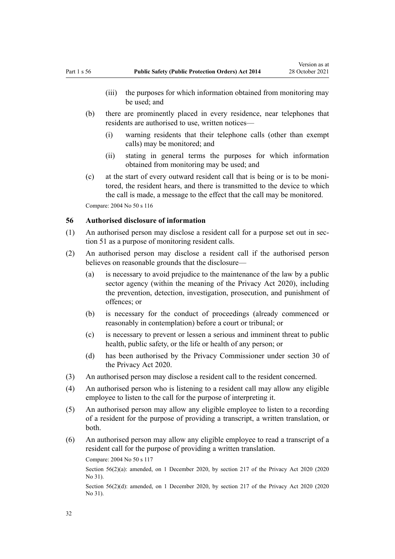- <span id="page-31-0"></span>(iii) the purposes for which information obtained from monitoring may be used; and
- (b) there are prominently placed in every residence, near telephones that residents are authorised to use, written notices—
	- (i) warning residents that their telephone calls (other than exempt calls) may be monitored; and
	- (ii) stating in general terms the purposes for which information obtained from monitoring may be used; and
- (c) at the start of every outward resident call that is being or is to be moni‐ tored, the resident hears, and there is transmitted to the device to which the call is made, a message to the effect that the call may be monitored. Compare: 2004 No 50 [s 116](http://legislation.govt.nz/pdflink.aspx?id=DLM296088)

#### **56 Authorised disclosure of information**

- (1) An authorised person may disclose a resident call for a purpose set out in [sec‐](#page-28-0) [tion 51](#page-28-0) as a purpose of monitoring resident calls.
- (2) An authorised person may disclose a resident call if the authorised person believes on reasonable grounds that the disclosure—
	- (a) is necessary to avoid prejudice to the maintenance of the law by a public sector agency (within the meaning of the [Privacy Act 2020\)](http://legislation.govt.nz/pdflink.aspx?id=LMS23193), including the prevention, detection, investigation, prosecution, and punishment of offences; or
	- (b) is necessary for the conduct of proceedings (already commenced or reasonably in contemplation) before a court or tribunal; or
	- (c) is necessary to prevent or lessen a serious and imminent threat to public health, public safety, or the life or health of any person; or
	- (d) has been authorised by the Privacy Commissioner under [section 30](http://legislation.govt.nz/pdflink.aspx?id=LMS23350) of the Privacy Act 2020.
- (3) An authorised person may disclose a resident call to the resident concerned.
- (4) An authorised person who is listening to a resident call may allow any eligible employee to listen to the call for the purpose of interpreting it.
- (5) An authorised person may allow any eligible employee to listen to a recording of a resident for the purpose of providing a transcript, a written translation, or both.
- (6) An authorised person may allow any eligible employee to read a transcript of a resident call for the purpose of providing a written translation.

Compare: 2004 No 50 [s 117](http://legislation.govt.nz/pdflink.aspx?id=DLM296089)

Section 56(2)(a): amended, on 1 December 2020, by [section 217](http://legislation.govt.nz/pdflink.aspx?id=LMS23706) of the Privacy Act 2020 (2020) No 31).

Section 56(2)(d): amended, on 1 December 2020, by [section 217](http://legislation.govt.nz/pdflink.aspx?id=LMS23706) of the Privacy Act 2020 (2020) No 31).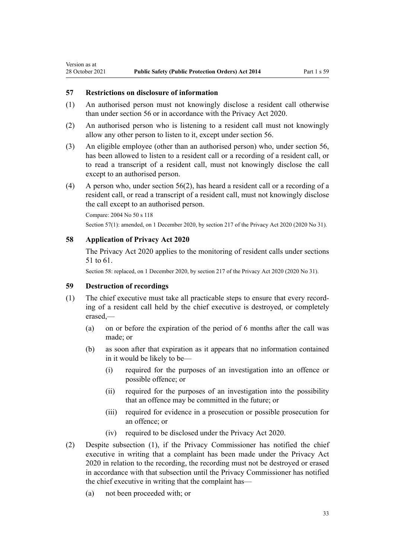#### **57 Restrictions on disclosure of information**

<span id="page-32-0"></span>Version as at

- (1) An authorised person must not knowingly disclose a resident call otherwise than under [section 56](#page-31-0) or in accordance with the [Privacy Act 2020](http://legislation.govt.nz/pdflink.aspx?id=LMS23193).
- (2) An authorised person who is listening to a resident call must not knowingly allow any other person to listen to it, except under [section 56.](#page-31-0)
- (3) An eligible employee (other than an authorised person) who, under [section 56](#page-31-0), has been allowed to listen to a resident call or a recording of a resident call, or to read a transcript of a resident call, must not knowingly disclose the call except to an authorised person.
- (4) A person who, under [section 56\(2\),](#page-31-0) has heard a resident call or a recording of a resident call, or read a transcript of a resident call, must not knowingly disclose the call except to an authorised person.

Section 57(1): amended, on 1 December 2020, by [section 217](http://legislation.govt.nz/pdflink.aspx?id=LMS23706) of the Privacy Act 2020 (2020 No 31).

# **58 Application of Privacy Act 2020**

The [Privacy Act 2020](http://legislation.govt.nz/pdflink.aspx?id=LMS23193) applies to the monitoring of resident calls under [sections](#page-28-0) [51 to 61.](#page-28-0)

Section 58: replaced, on 1 December 2020, by [section 217](http://legislation.govt.nz/pdflink.aspx?id=LMS23706) of the Privacy Act 2020 (2020 No 31).

#### **59 Destruction of recordings**

- (1) The chief executive must take all practicable steps to ensure that every record‐ ing of a resident call held by the chief executive is destroyed, or completely erased,—
	- (a) on or before the expiration of the period of 6 months after the call was made; or
	- (b) as soon after that expiration as it appears that no information contained in it would be likely to be—
		- (i) required for the purposes of an investigation into an offence or possible offence; or
		- (ii) required for the purposes of an investigation into the possibility that an offence may be committed in the future; or
		- (iii) required for evidence in a prosecution or possible prosecution for an offence; or
		- (iv) required to be disclosed under the [Privacy Act 2020](http://legislation.govt.nz/pdflink.aspx?id=LMS23193).
- (2) Despite subsection (1), if the Privacy Commissioner has notified the chief executive in writing that a complaint has been made under the [Privacy Act](http://legislation.govt.nz/pdflink.aspx?id=LMS23193) [2020](http://legislation.govt.nz/pdflink.aspx?id=LMS23193) in relation to the recording, the recording must not be destroyed or erased in accordance with that subsection until the Privacy Commissioner has notified the chief executive in writing that the complaint has—
	- (a) not been proceeded with; or

Compare: 2004 No 50 s 118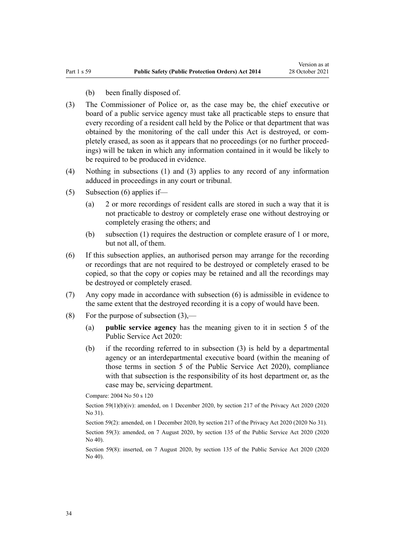- (b) been finally disposed of.
- (3) The Commissioner of Police or, as the case may be, the chief executive or board of a public service agency must take all practicable steps to ensure that every recording of a resident call held by the Police or that department that was obtained by the monitoring of the call under this Act is destroyed, or com‐ pletely erased, as soon as it appears that no proceedings (or no further proceed‐ ings) will be taken in which any information contained in it would be likely to be required to be produced in evidence.
- (4) Nothing in subsections (1) and (3) applies to any record of any information adduced in proceedings in any court or tribunal.
- (5) Subsection (6) applies if—
	- (a) 2 or more recordings of resident calls are stored in such a way that it is not practicable to destroy or completely erase one without destroying or completely erasing the others; and
	- (b) subsection (1) requires the destruction or complete erasure of 1 or more, but not all, of them.
- (6) If this subsection applies, an authorised person may arrange for the recording or recordings that are not required to be destroyed or completely erased to be copied, so that the copy or copies may be retained and all the recordings may be destroyed or completely erased.
- (7) Any copy made in accordance with subsection (6) is admissible in evidence to the same extent that the destroyed recording it is a copy of would have been.
- (8) For the purpose of subsection  $(3)$ ,—
	- (a) **public service agency** has the meaning given to it in [section 5](http://legislation.govt.nz/pdflink.aspx?id=LMS356868) of the Public Service Act 2020:
	- (b) if the recording referred to in subsection (3) is held by a departmental agency or an interdepartmental executive board (within the meaning of those terms in [section 5](http://legislation.govt.nz/pdflink.aspx?id=LMS356868) of the Public Service Act 2020), compliance with that subsection is the responsibility of its host department or, as the case may be, servicing department.

Compare: 2004 No 50 [s 120](http://legislation.govt.nz/pdflink.aspx?id=DLM296092)

Section 59(1)(b)(iv): amended, on 1 December 2020, by [section 217](http://legislation.govt.nz/pdflink.aspx?id=LMS23706) of the Privacy Act 2020 (2020) No 31).

Section 59(2): amended, on 1 December 2020, by [section 217](http://legislation.govt.nz/pdflink.aspx?id=LMS23706) of the Privacy Act 2020 (2020 No 31).

Section 59(3): amended, on 7 August 2020, by [section 135](http://legislation.govt.nz/pdflink.aspx?id=LMS176959) of the Public Service Act 2020 (2020 No 40).

Section 59(8): inserted, on 7 August 2020, by [section 135](http://legislation.govt.nz/pdflink.aspx?id=LMS176959) of the Public Service Act 2020 (2020 No 40).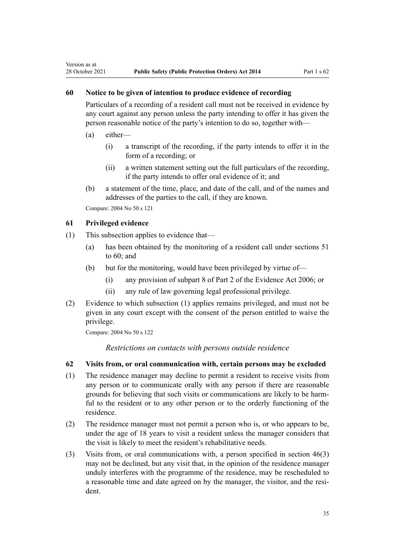# **60 Notice to be given of intention to produce evidence of recording**

Particulars of a recording of a resident call must not be received in evidence by any court against any person unless the party intending to offer it has given the person reasonable notice of the party's intention to do so, together with—

(a) either—

<span id="page-34-0"></span>Version as at

- (i) a transcript of the recording, if the party intends to offer it in the form of a recording; or
- (ii) a written statement setting out the full particulars of the recording, if the party intends to offer oral evidence of it; and
- (b) a statement of the time, place, and date of the call, and of the names and addresses of the parties to the call, if they are known.

Compare: 2004 No 50 [s 121](http://legislation.govt.nz/pdflink.aspx?id=DLM296093)

#### **61 Privileged evidence**

- (1) This subsection applies to evidence that—
	- (a) has been obtained by the monitoring of a resident call under [sections 51](#page-28-0) [to 60;](#page-28-0) and
	- (b) but for the monitoring, would have been privileged by virtue of—
		- (i) any provision of [subpart 8](http://legislation.govt.nz/pdflink.aspx?id=DLM393646) of Part 2 of the Evidence Act 2006; or
		- (ii) any rule of law governing legal professional privilege.
- (2) Evidence to which subsection (1) applies remains privileged, and must not be given in any court except with the consent of the person entitled to waive the privilege.

Compare: 2004 No 50 [s 122](http://legislation.govt.nz/pdflink.aspx?id=DLM296094)

*Restrictions on contacts with persons outside residence*

# **62 Visits from, or oral communication with, certain persons may be excluded**

- (1) The residence manager may decline to permit a resident to receive visits from any person or to communicate orally with any person if there are reasonable grounds for believing that such visits or communications are likely to be harm‐ ful to the resident or to any other person or to the orderly functioning of the residence.
- (2) The residence manager must not permit a person who is, or who appears to be, under the age of 18 years to visit a resident unless the manager considers that the visit is likely to meet the resident's rehabilitative needs.
- (3) Visits from, or oral communications with, a person specified in [section 46\(3\)](#page-25-0) may not be declined, but any visit that, in the opinion of the residence manager unduly interferes with the programme of the residence, may be rescheduled to a reasonable time and date agreed on by the manager, the visitor, and the resident.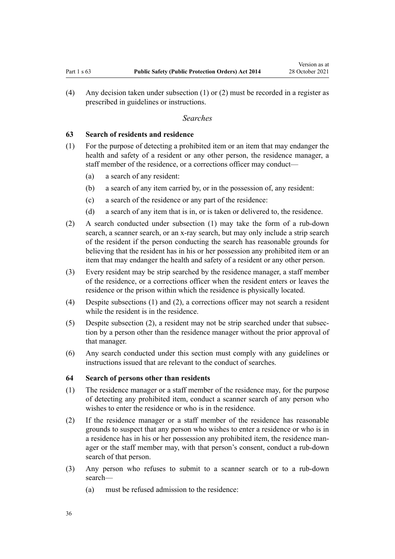<span id="page-35-0"></span>(4) Any decision taken under subsection (1) or (2) must be recorded in a register as prescribed in guidelines or instructions.

#### *Searches*

#### **63 Search of residents and residence**

- (1) For the purpose of detecting a prohibited item or an item that may endanger the health and safety of a resident or any other person, the residence manager, a staff member of the residence, or a corrections officer may conduct—
	- (a) a search of any resident:
	- (b) a search of any item carried by, or in the possession of, any resident:
	- (c) a search of the residence or any part of the residence:
	- (d) a search of any item that is in, or is taken or delivered to, the residence.
- (2) A search conducted under subsection (1) may take the form of a rub-down search, a scanner search, or an x-ray search, but may only include a strip search of the resident if the person conducting the search has reasonable grounds for believing that the resident has in his or her possession any prohibited item or an item that may endanger the health and safety of a resident or any other person.
- (3) Every resident may be strip searched by the residence manager, a staff member of the residence, or a corrections officer when the resident enters or leaves the residence or the prison within which the residence is physically located.
- (4) Despite subsections (1) and (2), a corrections officer may not search a resident while the resident is in the residence.
- (5) Despite subsection (2), a resident may not be strip searched under that subsec‐ tion by a person other than the residence manager without the prior approval of that manager.
- (6) Any search conducted under this section must comply with any guidelines or instructions issued that are relevant to the conduct of searches.

#### **64 Search of persons other than residents**

- (1) The residence manager or a staff member of the residence may, for the purpose of detecting any prohibited item, conduct a scanner search of any person who wishes to enter the residence or who is in the residence.
- (2) If the residence manager or a staff member of the residence has reasonable grounds to suspect that any person who wishes to enter a residence or who is in a residence has in his or her possession any prohibited item, the residence man‐ ager or the staff member may, with that person's consent, conduct a rub-down search of that person.
- (3) Any person who refuses to submit to a scanner search or to a rub-down search—
	- (a) must be refused admission to the residence: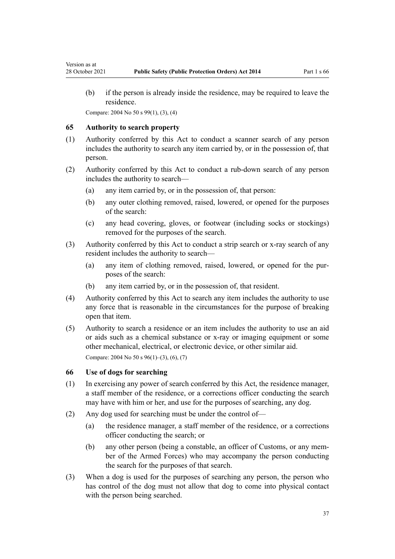(b) if the person is already inside the residence, may be required to leave the residence.

Compare: 2004 No 50 [s 99\(1\), \(3\), \(4\)](http://legislation.govt.nz/pdflink.aspx?id=DLM296039)

### **65 Authority to search property**

Version as at

- (1) Authority conferred by this Act to conduct a scanner search of any person includes the authority to search any item carried by, or in the possession of, that person.
- (2) Authority conferred by this Act to conduct a rub-down search of any person includes the authority to search—
	- (a) any item carried by, or in the possession of, that person:
	- (b) any outer clothing removed, raised, lowered, or opened for the purposes of the search:
	- (c) any head covering, gloves, or footwear (including socks or stockings) removed for the purposes of the search.
- (3) Authority conferred by this Act to conduct a strip search or x-ray search of any resident includes the authority to search—
	- (a) any item of clothing removed, raised, lowered, or opened for the purposes of the search:
	- (b) any item carried by, or in the possession of, that resident.
- (4) Authority conferred by this Act to search any item includes the authority to use any force that is reasonable in the circumstances for the purpose of breaking open that item.
- (5) Authority to search a residence or an item includes the authority to use an aid or aids such as a chemical substance or x-ray or imaging equipment or some other mechanical, electrical, or electronic device, or other similar aid. Compare: 2004 No 50 [s 96\(1\)–\(3\), \(6\), \(7\)](http://legislation.govt.nz/pdflink.aspx?id=DLM296036)

#### **66 Use of dogs for searching**

- (1) In exercising any power of search conferred by this Act, the residence manager, a staff member of the residence, or a corrections officer conducting the search may have with him or her, and use for the purposes of searching, any dog.
- (2) Any dog used for searching must be under the control of—
	- (a) the residence manager, a staff member of the residence, or a corrections officer conducting the search; or
	- (b) any other person (being a constable, an officer of Customs, or any mem‐ ber of the Armed Forces) who may accompany the person conducting the search for the purposes of that search.
- (3) When a dog is used for the purposes of searching any person, the person who has control of the dog must not allow that dog to come into physical contact with the person being searched.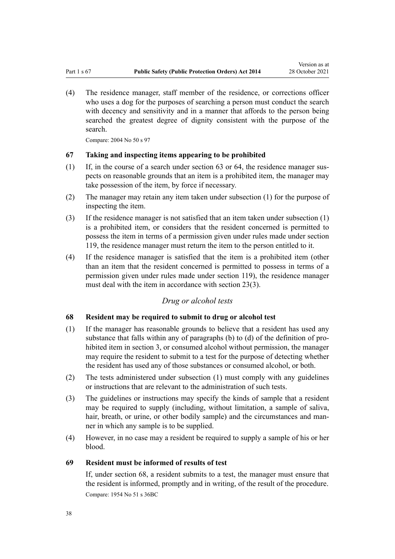<span id="page-37-0"></span>(4) The residence manager, staff member of the residence, or corrections officer who uses a dog for the purposes of searching a person must conduct the search with decency and sensitivity and in a manner that affords to the person being searched the greatest degree of dignity consistent with the purpose of the search.

Compare: 2004 No 50 [s 97](http://legislation.govt.nz/pdflink.aspx?id=DLM296037)

## **67 Taking and inspecting items appearing to be prohibited**

- $(1)$  If, in the course of a search under [section 63](#page-35-0) or [64](#page-35-0), the residence manager suspects on reasonable grounds that an item is a prohibited item, the manager may take possession of the item, by force if necessary.
- (2) The manager may retain any item taken under subsection (1) for the purpose of inspecting the item.
- (3) If the residence manager is not satisfied that an item taken under subsection (1) is a prohibited item, or considers that the resident concerned is permitted to possess the item in terms of a permission given under rules made under [section](#page-63-0) [119](#page-63-0), the residence manager must return the item to the person entitled to it.
- (4) If the residence manager is satisfied that the item is a prohibited item (other than an item that the resident concerned is permitted to possess in terms of a permission given under rules made under [section 119\)](#page-63-0), the residence manager must deal with the item in accordance with [section 23\(3\)](#page-17-0).

# *Drug or alcohol tests*

## **68 Resident may be required to submit to drug or alcohol test**

- (1) If the manager has reasonable grounds to believe that a resident has used any substance that falls within any of paragraphs (b) to (d) of the definition of prohibited item in [section 3,](#page-6-0) or consumed alcohol without permission, the manager may require the resident to submit to a test for the purpose of detecting whether the resident has used any of those substances or consumed alcohol, or both.
- (2) The tests administered under subsection (1) must comply with any guidelines or instructions that are relevant to the administration of such tests.
- (3) The guidelines or instructions may specify the kinds of sample that a resident may be required to supply (including, without limitation, a sample of saliva, hair, breath, or urine, or other bodily sample) and the circumstances and manner in which any sample is to be supplied.
- (4) However, in no case may a resident be required to supply a sample of his or her blood.

## **69 Resident must be informed of results of test**

If, under section 68, a resident submits to a test, the manager must ensure that the resident is informed, promptly and in writing, of the result of the procedure. Compare: 1954 No 51 s 36BC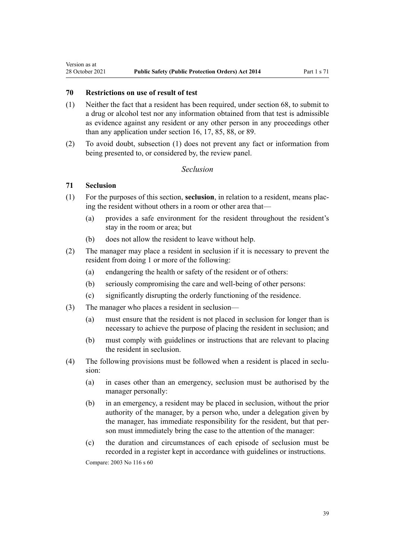## **70 Restrictions on use of result of test**

- (1) Neither the fact that a resident has been required, under [section 68](#page-37-0), to submit to a drug or alcohol test nor any information obtained from that test is admissible as evidence against any resident or any other person in any proceedings other than any application under [section 16](#page-15-0), [17,](#page-16-0) [85,](#page-44-0) [88](#page-45-0), or [89.](#page-46-0)
- (2) To avoid doubt, subsection (1) does not prevent any fact or information from being presented to, or considered by, the review panel.

# *Seclusion*

## **71 Seclusion**

Version as at

- (1) For the purposes of this section, **seclusion**, in relation to a resident, means plac‐ ing the resident without others in a room or other area that—
	- (a) provides a safe environment for the resident throughout the resident's stay in the room or area; but
	- (b) does not allow the resident to leave without help.
- (2) The manager may place a resident in seclusion if it is necessary to prevent the resident from doing 1 or more of the following:
	- (a) endangering the health or safety of the resident or of others:
	- (b) seriously compromising the care and well-being of other persons:
	- (c) significantly disrupting the orderly functioning of the residence.
- (3) The manager who places a resident in seclusion—
	- (a) must ensure that the resident is not placed in seclusion for longer than is necessary to achieve the purpose of placing the resident in seclusion; and
	- (b) must comply with guidelines or instructions that are relevant to placing the resident in seclusion.
- (4) The following provisions must be followed when a resident is placed in seclusion:
	- (a) in cases other than an emergency, seclusion must be authorised by the manager personally:
	- (b) in an emergency, a resident may be placed in seclusion, without the prior authority of the manager, by a person who, under a delegation given by the manager, has immediate responsibility for the resident, but that person must immediately bring the case to the attention of the manager:
	- (c) the duration and circumstances of each episode of seclusion must be recorded in a register kept in accordance with guidelines or instructions.

Compare: 2003 No 116 [s 60](http://legislation.govt.nz/pdflink.aspx?id=DLM225476)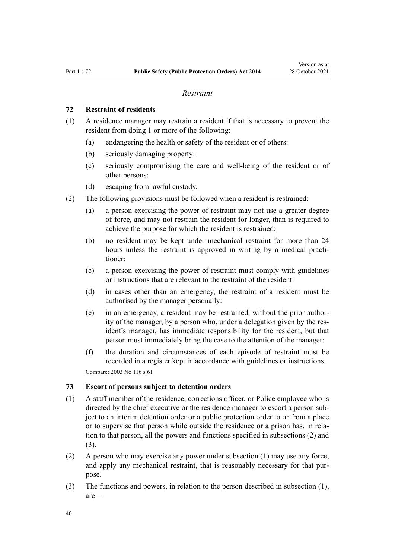### *Restraint*

### <span id="page-39-0"></span>**72 Restraint of residents**

- (1) A residence manager may restrain a resident if that is necessary to prevent the resident from doing 1 or more of the following:
	- (a) endangering the health or safety of the resident or of others:
	- (b) seriously damaging property:
	- (c) seriously compromising the care and well-being of the resident or of other persons:
	- (d) escaping from lawful custody.
- (2) The following provisions must be followed when a resident is restrained:
	- (a) a person exercising the power of restraint may not use a greater degree of force, and may not restrain the resident for longer, than is required to achieve the purpose for which the resident is restrained:
	- (b) no resident may be kept under mechanical restraint for more than 24 hours unless the restraint is approved in writing by a medical practitioner:
	- (c) a person exercising the power of restraint must comply with guidelines or instructions that are relevant to the restraint of the resident:
	- (d) in cases other than an emergency, the restraint of a resident must be authorised by the manager personally:
	- $(e)$  in an emergency, a resident may be restrained, without the prior authority of the manager, by a person who, under a delegation given by the res‐ ident's manager, has immediate responsibility for the resident, but that person must immediately bring the case to the attention of the manager:
	- (f) the duration and circumstances of each episode of restraint must be recorded in a register kept in accordance with guidelines or instructions.

Compare: 2003 No 116 [s 61](http://legislation.govt.nz/pdflink.aspx?id=DLM225477)

### **73 Escort of persons subject to detention orders**

- (1) A staff member of the residence, corrections officer, or Police employee who is directed by the chief executive or the residence manager to escort a person subject to an interim detention order or a public protection order to or from a place or to supervise that person while outside the residence or a prison has, in rela‐ tion to that person, all the powers and functions specified in subsections (2) and (3).
- (2) A person who may exercise any power under subsection (1) may use any force, and apply any mechanical restraint, that is reasonably necessary for that purpose.
- (3) The functions and powers, in relation to the person described in subsection (1), are—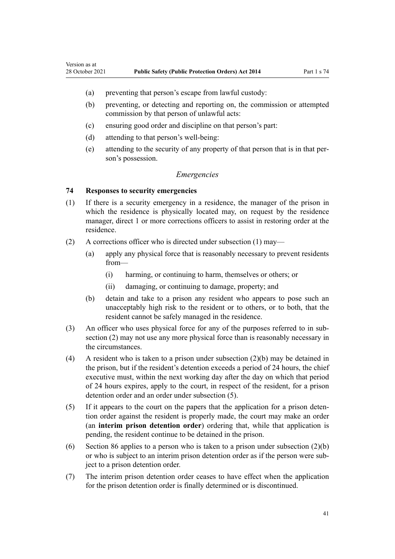- (a) preventing that person's escape from lawful custody:
- (b) preventing, or detecting and reporting on, the commission or attempted commission by that person of unlawful acts:
- (c) ensuring good order and discipline on that person's part:
- (d) attending to that person's well-being:
- (e) attending to the security of any property of that person that is in that per‐ son's possession.

### *Emergencies*

### **74 Responses to security emergencies**

Version as at

- (1) If there is a security emergency in a residence, the manager of the prison in which the residence is physically located may, on request by the residence manager, direct 1 or more corrections officers to assist in restoring order at the residence.
- (2) A corrections officer who is directed under subsection (1) may—
	- (a) apply any physical force that is reasonably necessary to prevent residents from—
		- (i) harming, or continuing to harm, themselves or others; or
		- (ii) damaging, or continuing to damage, property; and
	- (b) detain and take to a prison any resident who appears to pose such an unacceptably high risk to the resident or to others, or to both, that the resident cannot be safely managed in the residence.
- (3) An officer who uses physical force for any of the purposes referred to in subsection (2) may not use any more physical force than is reasonably necessary in the circumstances.
- (4) A resident who is taken to a prison under subsection  $(2)(b)$  may be detained in the prison, but if the resident's detention exceeds a period of 24 hours, the chief executive must, within the next working day after the day on which that period of 24 hours expires, apply to the court, in respect of the resident, for a prison detention order and an order under subsection (5).
- (5) If it appears to the court on the papers that the application for a prison deten‐ tion order against the resident is properly made, the court may make an order (an **interim prison detention order**) ordering that, while that application is pending, the resident continue to be detained in the prison.
- (6) [Section 86](#page-45-0) applies to a person who is taken to a prison under subsection (2)(b) or who is subject to an interim prison detention order as if the person were sub‐ ject to a prison detention order.
- (7) The interim prison detention order ceases to have effect when the application for the prison detention order is finally determined or is discontinued.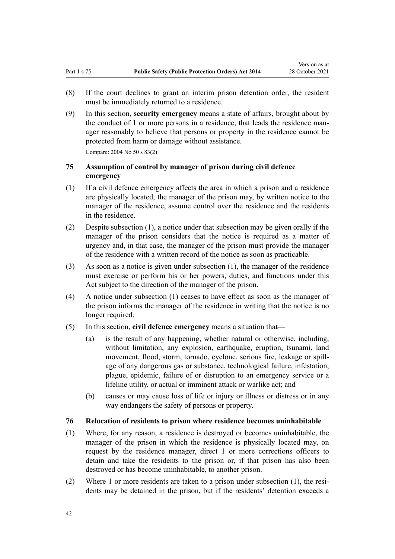<span id="page-41-0"></span>(9) In this section, **security emergency** means a state of affairs, brought about by the conduct of 1 or more persons in a residence, that leads the residence manager reasonably to believe that persons or property in the residence cannot be protected from harm or damage without assistance. Compare: 2004 No 50 [s 83\(2\)](http://legislation.govt.nz/pdflink.aspx?id=DLM296018)

# **75 Assumption of control by manager of prison during civil defence emergency**

- (1) If a civil defence emergency affects the area in which a prison and a residence are physically located, the manager of the prison may, by written notice to the manager of the residence, assume control over the residence and the residents in the residence.
- (2) Despite subsection (1), a notice under that subsection may be given orally if the manager of the prison considers that the notice is required as a matter of urgency and, in that case, the manager of the prison must provide the manager of the residence with a written record of the notice as soon as practicable.
- (3) As soon as a notice is given under subsection (1), the manager of the residence must exercise or perform his or her powers, duties, and functions under this Act subject to the direction of the manager of the prison.
- (4) A notice under subsection (1) ceases to have effect as soon as the manager of the prison informs the manager of the residence in writing that the notice is no longer required.
- (5) In this section, **civil defence emergency** means a situation that—
	- (a) is the result of any happening, whether natural or otherwise, including, without limitation, any explosion, earthquake, eruption, tsunami, land movement, flood, storm, tornado, cyclone, serious fire, leakage or spill‐ age of any dangerous gas or substance, technological failure, infestation, plague, epidemic, failure of or disruption to an emergency service or a lifeline utility, or actual or imminent attack or warlike act; and
	- (b) causes or may cause loss of life or injury or illness or distress or in any way endangers the safety of persons or property.

## **76 Relocation of residents to prison where residence becomes uninhabitable**

- (1) Where, for any reason, a residence is destroyed or becomes uninhabitable, the manager of the prison in which the residence is physically located may, on request by the residence manager, direct 1 or more corrections officers to detain and take the residents to the prison or, if that prison has also been destroyed or has become uninhabitable, to another prison.
- (2) Where 1 or more residents are taken to a prison under subsection  $(1)$ , the residents may be detained in the prison, but if the residents' detention exceeds a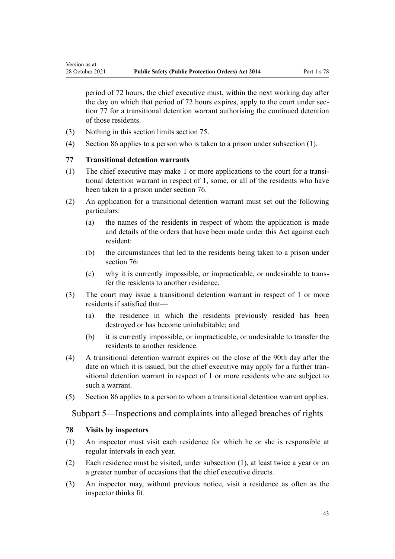period of 72 hours, the chief executive must, within the next working day after the day on which that period of 72 hours expires, apply to the court under section 77 for a transitional detention warrant authorising the continued detention of those residents.

- (3) Nothing in this section limits [section 75.](#page-41-0)
- (4) [Section 86](#page-45-0) applies to a person who is taken to a prison under subsection (1).

## **77 Transitional detention warrants**

Version as at

- (1) The chief executive may make 1 or more applications to the court for a transi‐ tional detention warrant in respect of 1, some, or all of the residents who have been taken to a prison under [section 76](#page-41-0).
- (2) An application for a transitional detention warrant must set out the following particulars:
	- (a) the names of the residents in respect of whom the application is made and details of the orders that have been made under this Act against each resident:
	- (b) the circumstances that led to the residents being taken to a prison under [section 76](#page-41-0):
	- (c) why it is currently impossible, or impracticable, or undesirable to trans‐ fer the residents to another residence.
- (3) The court may issue a transitional detention warrant in respect of 1 or more residents if satisfied that—
	- (a) the residence in which the residents previously resided has been destroyed or has become uninhabitable; and
	- (b) it is currently impossible, or impracticable, or undesirable to transfer the residents to another residence.
- (4) A transitional detention warrant expires on the close of the 90th day after the date on which it is issued, but the chief executive may apply for a further transitional detention warrant in respect of 1 or more residents who are subject to such a warrant.
- (5) [Section 86](#page-45-0) applies to a person to whom a transitional detention warrant applies.

Subpart 5—Inspections and complaints into alleged breaches of rights

#### **78 Visits by inspectors**

- (1) An inspector must visit each residence for which he or she is responsible at regular intervals in each year.
- (2) Each residence must be visited, under subsection (1), at least twice a year or on a greater number of occasions that the chief executive directs.
- (3) An inspector may, without previous notice, visit a residence as often as the inspector thinks fit.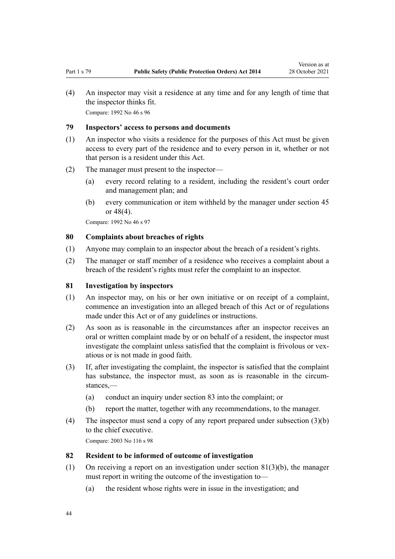<span id="page-43-0"></span>(4) An inspector may visit a residence at any time and for any length of time that the inspector thinks fit. Compare: 1992 No 46 [s 96](http://legislation.govt.nz/pdflink.aspx?id=DLM263843)

## **79 Inspectors' access to persons and documents**

- (1) An inspector who visits a residence for the purposes of this Act must be given access to every part of the residence and to every person in it, whether or not that person is a resident under this Act.
- (2) The manager must present to the inspector—
	- (a) every record relating to a resident, including the resident's court order and management plan; and
	- (b) every communication or item withheld by the manager under [section 45](#page-25-0) or [48\(4\).](#page-26-0)

Compare: 1992 No 46 [s 97](http://legislation.govt.nz/pdflink.aspx?id=DLM263847)

### **80 Complaints about breaches of rights**

- (1) Anyone may complain to an inspector about the breach of a resident's rights.
- (2) The manager or staff member of a residence who receives a complaint about a breach of the resident's rights must refer the complaint to an inspector.

### **81 Investigation by inspectors**

- (1) An inspector may, on his or her own initiative or on receipt of a complaint, commence an investigation into an alleged breach of this Act or of regulations made under this Act or of any guidelines or instructions.
- (2) As soon as is reasonable in the circumstances after an inspector receives an oral or written complaint made by or on behalf of a resident, the inspector must investigate the complaint unless satisfied that the complaint is frivolous or vexatious or is not made in good faith.
- (3) If, after investigating the complaint, the inspector is satisfied that the complaint has substance, the inspector must, as soon as is reasonable in the circumstances,—
	- (a) conduct an inquiry under section 83 into the complaint; or
	- (b) report the matter, together with any recommendations, to the manager.
- (4) The inspector must send a copy of any report prepared under subsection (3)(b) to the chief executive. Compare: 2003 No 116 [s 98](http://legislation.govt.nz/pdflink.aspx?id=DLM225935)

## **82 Resident to be informed of outcome of investigation**

- (1) On receiving a report on an investigation under section  $81(3)(b)$ , the manager must report in writing the outcome of the investigation to—
	- (a) the resident whose rights were in issue in the investigation; and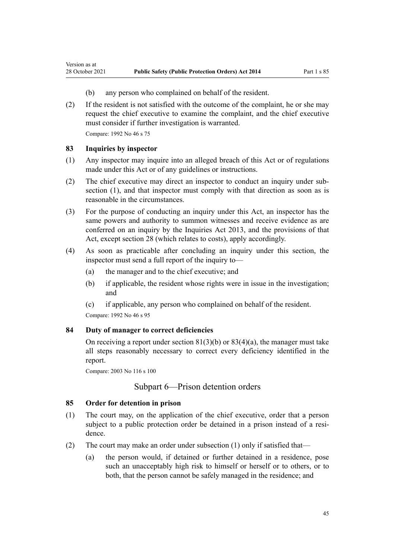- (b) any person who complained on behalf of the resident.
- (2) If the resident is not satisfied with the outcome of the complaint, he or she may request the chief executive to examine the complaint, and the chief executive must consider if further investigation is warranted.

Compare: 1992 No 46 [s 75](http://legislation.govt.nz/pdflink.aspx?id=DLM263473)

## **83 Inquiries by inspector**

<span id="page-44-0"></span>Version as at

- (1) Any inspector may inquire into an alleged breach of this Act or of regulations made under this Act or of any guidelines or instructions.
- (2) The chief executive may direct an inspector to conduct an inquiry under sub‐ section (1), and that inspector must comply with that direction as soon as is reasonable in the circumstances.
- (3) For the purpose of conducting an inquiry under this Act, an inspector has the same powers and authority to summon witnesses and receive evidence as are conferred on an inquiry by the [Inquiries Act 2013](http://legislation.govt.nz/pdflink.aspx?id=DLM1566100), and the provisions of that Act, except [section 28](#page-20-0) (which relates to costs), apply accordingly.
- (4) As soon as practicable after concluding an inquiry under this section, the inspector must send a full report of the inquiry to—
	- (a) the manager and to the chief executive; and
	- (b) if applicable, the resident whose rights were in issue in the investigation; and
	- (c) if applicable, any person who complained on behalf of the resident.

Compare: 1992 No 46 [s 95](http://legislation.govt.nz/pdflink.aspx?id=DLM263841)

## **84 Duty of manager to correct deficiencies**

On receiving a report under section  $81(3)(b)$  or  $83(4)(a)$ , the manager must take all steps reasonably necessary to correct every deficiency identified in the report.

Compare: 2003 No 116 [s 100](http://legislation.govt.nz/pdflink.aspx?id=DLM225937)

## Subpart 6—Prison detention orders

### **85 Order for detention in prison**

- (1) The court may, on the application of the chief executive, order that a person subject to a public protection order be detained in a prison instead of a residence.
- (2) The court may make an order under subsection (1) only if satisfied that—
	- (a) the person would, if detained or further detained in a residence, pose such an unacceptably high risk to himself or herself or to others, or to both, that the person cannot be safely managed in the residence; and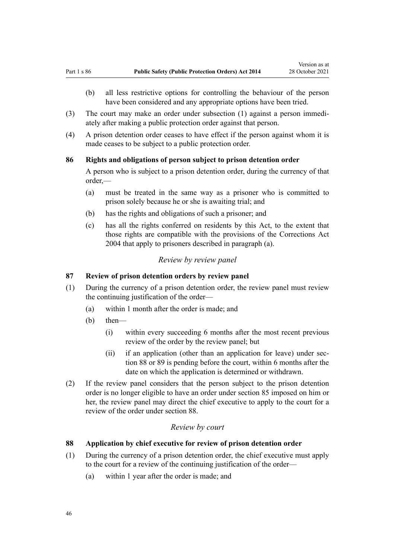- <span id="page-45-0"></span>(b) all less restrictive options for controlling the behaviour of the person have been considered and any appropriate options have been tried.
- (3) The court may make an order under subsection (1) against a person immedi‐ ately after making a public protection order against that person.
- (4) A prison detention order ceases to have effect if the person against whom it is made ceases to be subject to a public protection order.

### **86 Rights and obligations of person subject to prison detention order**

A person who is subject to a prison detention order, during the currency of that order,—

- (a) must be treated in the same way as a prisoner who is committed to prison solely because he or she is awaiting trial; and
- (b) has the rights and obligations of such a prisoner; and
- (c) has all the rights conferred on residents by this Act, to the extent that those rights are compatible with the provisions of the [Corrections Act](http://legislation.govt.nz/pdflink.aspx?id=DLM294848) [2004](http://legislation.govt.nz/pdflink.aspx?id=DLM294848) that apply to prisoners described in paragraph (a).

# *Review by review panel*

# **87 Review of prison detention orders by review panel**

- (1) During the currency of a prison detention order, the review panel must review the continuing justification of the order—
	- (a) within 1 month after the order is made; and
	- (b) then—
		- (i) within every succeeding 6 months after the most recent previous review of the order by the review panel; but
		- (ii) if an application (other than an application for leave) under section 88 or [89](#page-46-0) is pending before the court, within 6 months after the date on which the application is determined or withdrawn.
- (2) If the review panel considers that the person subject to the prison detention order is no longer eligible to have an order under [section 85](#page-44-0) imposed on him or her, the review panel may direct the chief executive to apply to the court for a review of the order under section 88.

# *Review by court*

### **88 Application by chief executive for review of prison detention order**

- (1) During the currency of a prison detention order, the chief executive must apply to the court for a review of the continuing justification of the order—
	- (a) within 1 year after the order is made; and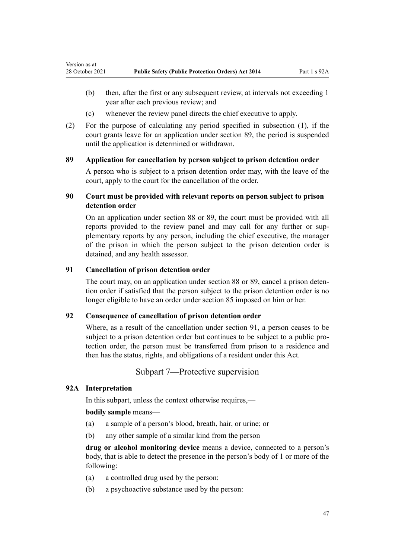- (b) then, after the first or any subsequent review, at intervals not exceeding 1 year after each previous review; and
- (c) whenever the review panel directs the chief executive to apply.
- (2) For the purpose of calculating any period specified in subsection (1), if the court grants leave for an application under section 89, the period is suspended until the application is determined or withdrawn.

## **89 Application for cancellation by person subject to prison detention order**

A person who is subject to a prison detention order may, with the leave of the court, apply to the court for the cancellation of the order.

# **90 Court must be provided with relevant reports on person subject to prison detention order**

On an application under [section 88](#page-45-0) or 89, the court must be provided with all reports provided to the review panel and may call for any further or supplementary reports by any person, including the chief executive, the manager of the prison in which the person subject to the prison detention order is detained, and any health assessor.

### **91 Cancellation of prison detention order**

The court may, on an application under [section 88](#page-45-0) or 89, cancel a prison detention order if satisfied that the person subject to the prison detention order is no longer eligible to have an order under [section 85](#page-44-0) imposed on him or her.

### **92 Consequence of cancellation of prison detention order**

Where, as a result of the cancellation under section 91, a person ceases to be subject to a prison detention order but continues to be subject to a public protection order, the person must be transferred from prison to a residence and then has the status, rights, and obligations of a resident under this Act.

Subpart 7—Protective supervision

# **92A Interpretation**

<span id="page-46-0"></span>Version as at

In this subpart, unless the context otherwise requires,—

### **bodily sample** means—

- (a) a sample of a person's blood, breath, hair, or urine; or
- (b) any other sample of a similar kind from the person

**drug or alcohol monitoring device** means a device, connected to a person's body, that is able to detect the presence in the person's body of 1 or more of the following:

- (a) a controlled drug used by the person:
- (b) a psychoactive substance used by the person: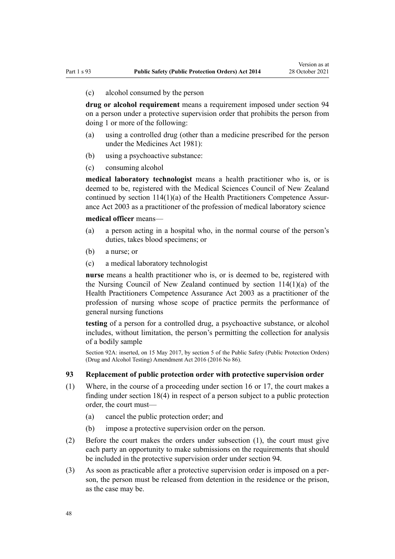<span id="page-47-0"></span>(c) alcohol consumed by the person

**drug or alcohol requirement** means a requirement imposed under [section 94](#page-48-0) on a person under a protective supervision order that prohibits the person from doing 1 or more of the following:

- (a) using a controlled drug (other than a medicine prescribed for the person under the [Medicines Act 1981](http://legislation.govt.nz/pdflink.aspx?id=DLM53789)):
- (b) using a psychoactive substance:
- (c) consuming alcohol

**medical laboratory technologist** means a health practitioner who is, or is deemed to be, registered with the Medical Sciences Council of New Zealand continued by section  $114(1)(a)$  of the Health Practitioners Competence Assurance Act 2003 as a practitioner of the profession of medical laboratory science

**medical officer** means—

- (a) a person acting in a hospital who, in the normal course of the person's duties, takes blood specimens; or
- (b) a nurse; or
- (c) a medical laboratory technologist

**nurse** means a health practitioner who is, or is deemed to be, registered with the Nursing Council of New Zealand continued by [section 114\(1\)\(a\)](http://legislation.govt.nz/pdflink.aspx?id=DLM204329) of the Health Practitioners Competence Assurance Act 2003 as a practitioner of the profession of nursing whose scope of practice permits the performance of general nursing functions

**testing** of a person for a controlled drug, a psychoactive substance, or alcohol includes, without limitation, the person's permitting the collection for analysis of a bodily sample

Section 92A: inserted, on 15 May 2017, by [section 5](http://legislation.govt.nz/pdflink.aspx?id=DLM7017319) of the Public Safety (Public Protection Orders) (Drug and Alcohol Testing) Amendment Act 2016 (2016 No 86).

### **93 Replacement of public protection order with protective supervision order**

- (1) Where, in the course of a proceeding under [section 16](#page-15-0) or [17](#page-16-0), the court makes a finding under [section 18\(4\)](#page-16-0) in respect of a person subject to a public protection order, the court must—
	- (a) cancel the public protection order; and
	- (b) impose a protective supervision order on the person.
- (2) Before the court makes the orders under subsection (1), the court must give each party an opportunity to make submissions on the requirements that should be included in the protective supervision order under [section 94](#page-48-0).
- (3) As soon as practicable after a protective supervision order is imposed on a per‐ son, the person must be released from detention in the residence or the prison, as the case may be.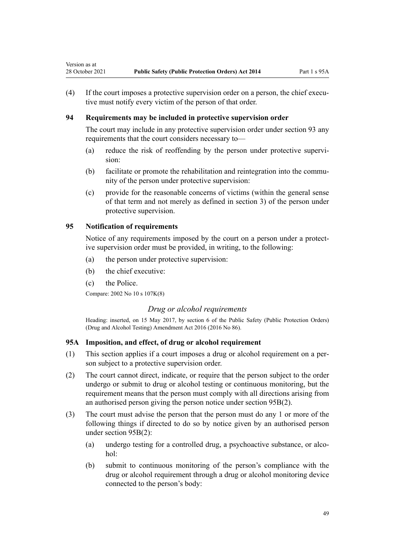(4) If the court imposes a protective supervision order on a person, the chief executive must notify every victim of the person of that order.

# **94 Requirements may be included in protective supervision order**

The court may include in any protective supervision order under [section 93](#page-47-0) any requirements that the court considers necessary to—

- (a) reduce the risk of reoffending by the person under protective supervision:
- (b) facilitate or promote the rehabilitation and reintegration into the commu‐ nity of the person under protective supervision:
- (c) provide for the reasonable concerns of victims (within the general sense of that term and not merely as defined in [section 3](#page-6-0)) of the person under protective supervision.

# **95 Notification of requirements**

<span id="page-48-0"></span>Version as at

Notice of any requirements imposed by the court on a person under a protective supervision order must be provided, in writing, to the following:

- (a) the person under protective supervision:
- (b) the chief executive:
- (c) the Police.

Compare: 2002 No 10 [s 107K\(8\)](http://legislation.govt.nz/pdflink.aspx?id=DLM139638)

# *Drug or alcohol requirements*

Heading: inserted, on 15 May 2017, by [section 6](http://legislation.govt.nz/pdflink.aspx?id=DLM7017335) of the Public Safety (Public Protection Orders) (Drug and Alcohol Testing) Amendment Act 2016 (2016 No 86).

## **95A Imposition, and effect, of drug or alcohol requirement**

- (1) This section applies if a court imposes a drug or alcohol requirement on a per‐ son subject to a protective supervision order.
- (2) The court cannot direct, indicate, or require that the person subject to the order undergo or submit to drug or alcohol testing or continuous monitoring, but the requirement means that the person must comply with all directions arising from an authorised person giving the person notice under [section 95B\(2\)](#page-49-0).
- (3) The court must advise the person that the person must do any 1 or more of the following things if directed to do so by notice given by an authorised person under [section 95B\(2\)](#page-49-0):
	- (a) undergo testing for a controlled drug, a psychoactive substance, or alcohol:
	- (b) submit to continuous monitoring of the person's compliance with the drug or alcohol requirement through a drug or alcohol monitoring device connected to the person's body: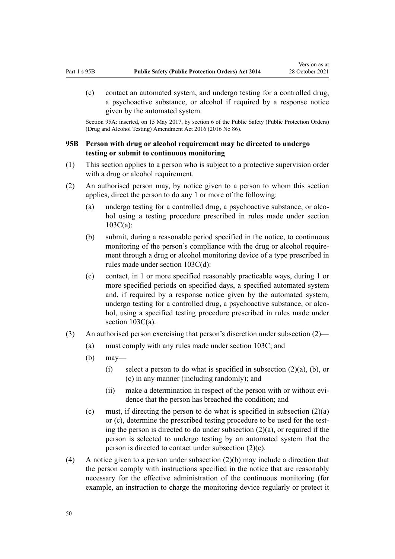<span id="page-49-0"></span>(c) contact an automated system, and undergo testing for a controlled drug, a psychoactive substance, or alcohol if required by a response notice given by the automated system.

Section 95A: inserted, on 15 May 2017, by [section 6](http://legislation.govt.nz/pdflink.aspx?id=DLM7017335) of the Public Safety (Public Protection Orders) (Drug and Alcohol Testing) Amendment Act 2016 (2016 No 86).

# **95B Person with drug or alcohol requirement may be directed to undergo testing or submit to continuous monitoring**

- (1) This section applies to a person who is subject to a protective supervision order with a drug or alcohol requirement.
- (2) An authorised person may, by notice given to a person to whom this section applies, direct the person to do any 1 or more of the following:
	- (a) undergo testing for a controlled drug, a psychoactive substance, or alcohol using a testing procedure prescribed in rules made under [section](#page-56-0) [103C\(a\):](#page-56-0)
	- (b) submit, during a reasonable period specified in the notice, to continuous monitoring of the person's compliance with the drug or alcohol requirement through a drug or alcohol monitoring device of a type prescribed in rules made under [section 103C\(d\)](#page-56-0):
	- (c) contact, in 1 or more specified reasonably practicable ways, during 1 or more specified periods on specified days, a specified automated system and, if required by a response notice given by the automated system, undergo testing for a controlled drug, a psychoactive substance, or alcohol, using a specified testing procedure prescribed in rules made under [section 103C\(a\)](#page-56-0).
- (3) An authorised person exercising that person's discretion under subsection (2)—
	- (a) must comply with any rules made under [section 103C](#page-56-0); and
	- (b) may—
		- (i) select a person to do what is specified in subsection  $(2)(a)$ ,  $(b)$ , or (c) in any manner (including randomly); and
		- (ii) make a determination in respect of the person with or without evidence that the person has breached the condition; and
	- (c) must, if directing the person to do what is specified in subsection  $(2)(a)$ or (c), determine the prescribed testing procedure to be used for the test‐ ing the person is directed to do under subsection  $(2)(a)$ , or required if the person is selected to undergo testing by an automated system that the person is directed to contact under subsection (2)(c).
- (4) A notice given to a person under subsection  $(2)(b)$  may include a direction that the person comply with instructions specified in the notice that are reasonably necessary for the effective administration of the continuous monitoring (for example, an instruction to charge the monitoring device regularly or protect it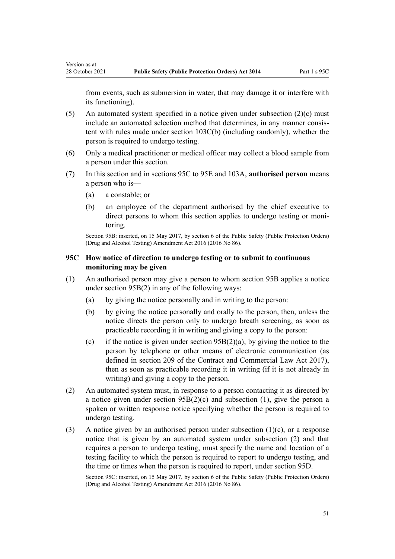<span id="page-50-0"></span>from events, such as submersion in water, that may damage it or interfere with its functioning).

- (5) An automated system specified in a notice given under subsection  $(2)(c)$  must include an automated selection method that determines, in any manner consistent with rules made under [section 103C\(b\)](#page-56-0) (including randomly), whether the person is required to undergo testing.
- (6) Only a medical practitioner or medical officer may collect a blood sample from a person under this section.
- (7) In this section and in sections 95C to 95E and [103A](#page-54-0), **authorised person** means a person who is—
	- (a) a constable; or
	- (b) an employee of the department authorised by the chief executive to direct persons to whom this section applies to undergo testing or monitoring.

Section 95B: inserted, on 15 May 2017, by [section 6](http://legislation.govt.nz/pdflink.aspx?id=DLM7017335) of the Public Safety (Public Protection Orders) (Drug and Alcohol Testing) Amendment Act 2016 (2016 No 86).

# **95C How notice of direction to undergo testing or to submit to continuous monitoring may be given**

- (1) An authorised person may give a person to whom [section 95B](#page-49-0) applies a notice under section 95B(2) in any of the following ways:
	- (a) by giving the notice personally and in writing to the person:
	- (b) by giving the notice personally and orally to the person, then, unless the notice directs the person only to undergo breath screening, as soon as practicable recording it in writing and giving a copy to the person:
	- (c) if the notice is given under section  $95B(2)(a)$ , by giving the notice to the person by telephone or other means of electronic communication (as defined in [section 209](http://legislation.govt.nz/pdflink.aspx?id=DLM6844433) of the Contract and Commercial Law Act 2017), then as soon as practicable recording it in writing (if it is not already in writing) and giving a copy to the person.
- (2) An automated system must, in response to a person contacting it as directed by a notice given under [section 95B\(2\)\(c\)](#page-49-0) and subsection (1), give the person a spoken or written response notice specifying whether the person is required to undergo testing.
- (3) A notice given by an authorised person under subsection  $(1)(c)$ , or a response notice that is given by an automated system under subsection (2) and that requires a person to undergo testing, must specify the name and location of a testing facility to which the person is required to report to undergo testing, and the time or times when the person is required to report, under [section 95D](#page-51-0).

Section 95C: inserted, on 15 May 2017, by [section 6](http://legislation.govt.nz/pdflink.aspx?id=DLM7017335) of the Public Safety (Public Protection Orders) (Drug and Alcohol Testing) Amendment Act 2016 (2016 No 86).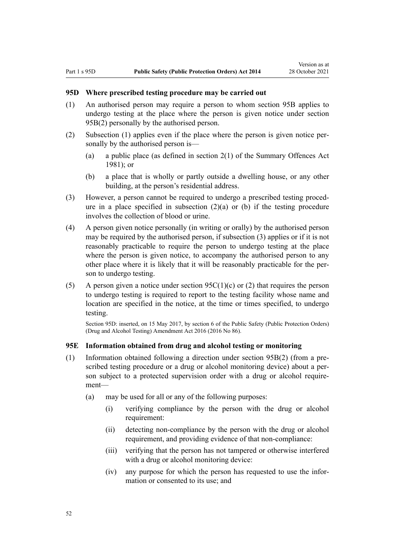### <span id="page-51-0"></span>**95D Where prescribed testing procedure may be carried out**

- (1) An authorised person may require a person to whom [section 95B](#page-49-0) applies to undergo testing at the place where the person is given notice under section 95B(2) personally by the authorised person.
- (2) Subsection (1) applies even if the place where the person is given notice per‐ sonally by the authorised person is—
	- (a) a public place (as defined in [section 2\(1\)](http://legislation.govt.nz/pdflink.aspx?id=DLM53353) of the Summary Offences Act 1981); or
	- (b) a place that is wholly or partly outside a dwelling house, or any other building, at the person's residential address.
- (3) However, a person cannot be required to undergo a prescribed testing proced‐ ure in a place specified in subsection  $(2)(a)$  or (b) if the testing procedure involves the collection of blood or urine.
- (4) A person given notice personally (in writing or orally) by the authorised person may be required by the authorised person, if subsection (3) applies or if it is not reasonably practicable to require the person to undergo testing at the place where the person is given notice, to accompany the authorised person to any other place where it is likely that it will be reasonably practicable for the per‐ son to undergo testing.
- (5) A person given a notice under section  $95C(1)(c)$  or (2) that requires the person to undergo testing is required to report to the testing facility whose name and location are specified in the notice, at the time or times specified, to undergo testing.

Section 95D: inserted, on 15 May 2017, by [section 6](http://legislation.govt.nz/pdflink.aspx?id=DLM7017335) of the Public Safety (Public Protection Orders) (Drug and Alcohol Testing) Amendment Act 2016 (2016 No 86).

## **95E Information obtained from drug and alcohol testing or monitoring**

- (1) Information obtained following a direction under section  $95B(2)$  (from a prescribed testing procedure or a drug or alcohol monitoring device) about a person subject to a protected supervision order with a drug or alcohol requirement—
	- (a) may be used for all or any of the following purposes:
		- (i) verifying compliance by the person with the drug or alcohol requirement:
		- (ii) detecting non-compliance by the person with the drug or alcohol requirement, and providing evidence of that non-compliance:
		- (iii) verifying that the person has not tampered or otherwise interfered with a drug or alcohol monitoring device:
		- (iv) any purpose for which the person has requested to use the infor‐ mation or consented to its use; and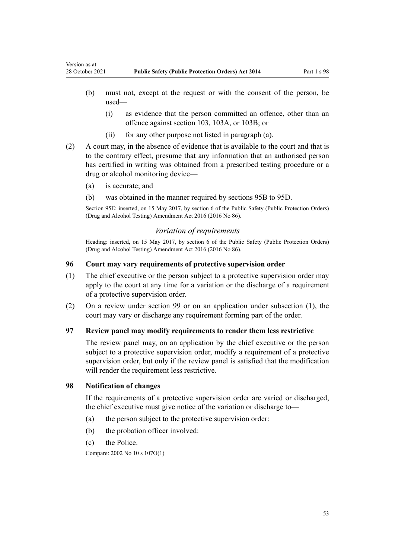- (b) must not, except at the request or with the consent of the person, be used—
	- (i) as evidence that the person committed an offence, other than an offence against [section 103](#page-54-0), [103A,](#page-54-0) or [103B;](#page-55-0) or
	- (ii) for any other purpose not listed in paragraph (a).
- (2) A court may, in the absence of evidence that is available to the court and that is to the contrary effect, presume that any information that an authorised person has certified in writing was obtained from a prescribed testing procedure or a drug or alcohol monitoring device—
	- (a) is accurate; and

<span id="page-52-0"></span>Version as at

(b) was obtained in the manner required by [sections 95B to 95D.](#page-49-0)

Section 95E: inserted, on 15 May 2017, by [section 6](http://legislation.govt.nz/pdflink.aspx?id=DLM7017335) of the Public Safety (Public Protection Orders) (Drug and Alcohol Testing) Amendment Act 2016 (2016 No 86).

### *Variation of requirements*

Heading: inserted, on 15 May 2017, by [section 6](http://legislation.govt.nz/pdflink.aspx?id=DLM7017335) of the Public Safety (Public Protection Orders) (Drug and Alcohol Testing) Amendment Act 2016 (2016 No 86).

### **96 Court may vary requirements of protective supervision order**

- (1) The chief executive or the person subject to a protective supervision order may apply to the court at any time for a variation or the discharge of a requirement of a protective supervision order.
- (2) On a review under [section 99](#page-53-0) or on an application under subsection (1), the court may vary or discharge any requirement forming part of the order.

# **97 Review panel may modify requirements to render them less restrictive**

The review panel may, on an application by the chief executive or the person subject to a protective supervision order, modify a requirement of a protective supervision order, but only if the review panel is satisfied that the modification will render the requirement less restrictive.

### **98 Notification of changes**

If the requirements of a protective supervision order are varied or discharged, the chief executive must give notice of the variation or discharge to—

- (a) the person subject to the protective supervision order:
- (b) the probation officer involved:
- (c) the Police.

Compare: 2002 No 10 [s 107O\(1\)](http://legislation.govt.nz/pdflink.aspx?id=DLM139648)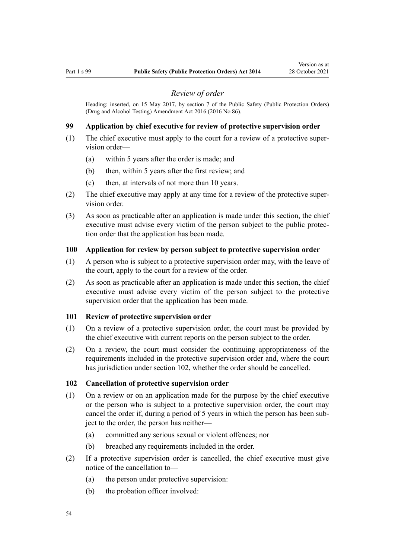#### *Review of order*

<span id="page-53-0"></span>Heading: inserted, on 15 May 2017, by [section 7](http://legislation.govt.nz/pdflink.aspx?id=DLM7017344) of the Public Safety (Public Protection Orders) (Drug and Alcohol Testing) Amendment Act 2016 (2016 No 86).

### **99 Application by chief executive for review of protective supervision order**

- (1) The chief executive must apply to the court for a review of a protective super‐ vision order—
	- (a) within 5 years after the order is made; and
	- (b) then, within 5 years after the first review; and
	- (c) then, at intervals of not more than 10 years.
- (2) The chief executive may apply at any time for a review of the protective super‐ vision order.
- (3) As soon as practicable after an application is made under this section, the chief executive must advise every victim of the person subject to the public protection order that the application has been made.

### **100 Application for review by person subject to protective supervision order**

- (1) A person who is subject to a protective supervision order may, with the leave of the court, apply to the court for a review of the order.
- (2) As soon as practicable after an application is made under this section, the chief executive must advise every victim of the person subject to the protective supervision order that the application has been made.

#### **101 Review of protective supervision order**

- (1) On a review of a protective supervision order, the court must be provided by the chief executive with current reports on the person subject to the order.
- (2) On a review, the court must consider the continuing appropriateness of the requirements included in the protective supervision order and, where the court has jurisdiction under section 102, whether the order should be cancelled.

# **102 Cancellation of protective supervision order**

- (1) On a review or on an application made for the purpose by the chief executive or the person who is subject to a protective supervision order, the court may cancel the order if, during a period of 5 years in which the person has been subject to the order, the person has neither—
	- (a) committed any serious sexual or violent offences; nor
	- (b) breached any requirements included in the order.
- (2) If a protective supervision order is cancelled, the chief executive must give notice of the cancellation to—
	- (a) the person under protective supervision:
	- (b) the probation officer involved: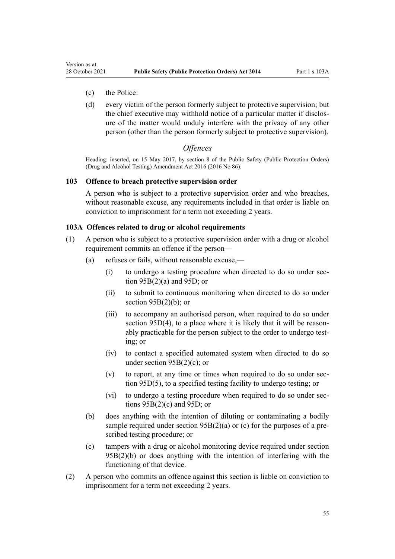- <span id="page-54-0"></span>(c) the Police:
- (d) every victim of the person formerly subject to protective supervision; but the chief executive may withhold notice of a particular matter if disclos‐ ure of the matter would unduly interfere with the privacy of any other person (other than the person formerly subject to protective supervision).

### *Offences*

Heading: inserted, on 15 May 2017, by [section 8](http://legislation.govt.nz/pdflink.aspx?id=DLM7017346) of the Public Safety (Public Protection Orders) (Drug and Alcohol Testing) Amendment Act 2016 (2016 No 86).

#### **103 Offence to breach protective supervision order**

A person who is subject to a protective supervision order and who breaches, without reasonable excuse, any requirements included in that order is liable on conviction to imprisonment for a term not exceeding 2 years.

#### **103A Offences related to drug or alcohol requirements**

- (1) A person who is subject to a protective supervision order with a drug or alcohol requirement commits an offence if the person—
	- (a) refuses or fails, without reasonable excuse,—
		- (i) to undergo a testing procedure when directed to do so under sec[tion 95B\(2\)\(a\)](#page-49-0) and [95D](#page-51-0); or
		- (ii) to submit to continuous monitoring when directed to do so under section  $95B(2)(b)$ ; or
		- (iii) to accompany an authorised person, when required to do so under [section 95D\(4\)](#page-51-0), to a place where it is likely that it will be reasonably practicable for the person subject to the order to undergo test‐ ing; or
		- (iv) to contact a specified automated system when directed to do so under [section 95B\(2\)\(c\)](#page-49-0); or
		- $(v)$  to report, at any time or times when required to do so under sec[tion 95D\(5\)](#page-51-0), to a specified testing facility to undergo testing; or
		- (vi) to undergo a testing procedure when required to do so under sec[tions 95B\(2\)\(c\)](#page-49-0) and [95D;](#page-51-0) or
	- (b) does anything with the intention of diluting or contaminating a bodily sample required under section  $95B(2)(a)$  or (c) for the purposes of a prescribed testing procedure; or
	- (c) tampers with a drug or alcohol monitoring device required under [section](#page-49-0)  $95B(2)(b)$  or does anything with the intention of interfering with the functioning of that device.
- (2) A person who commits an offence against this section is liable on conviction to imprisonment for a term not exceeding 2 years.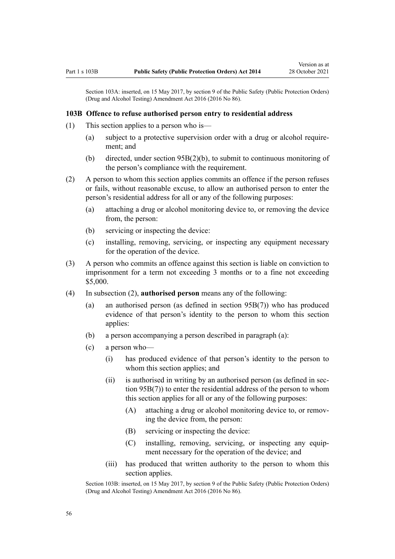<span id="page-55-0"></span>Section 103A: inserted, on 15 May 2017, by [section 9](http://legislation.govt.nz/pdflink.aspx?id=DLM7017348) of the Public Safety (Public Protection Orders) (Drug and Alcohol Testing) Amendment Act 2016 (2016 No 86).

### **103B Offence to refuse authorised person entry to residential address**

- (1) This section applies to a person who is—
	- (a) subject to a protective supervision order with a drug or alcohol require‐ ment; and
	- (b) directed, under section  $95B(2)(b)$ , to submit to continuous monitoring of the person's compliance with the requirement.
- (2) A person to whom this section applies commits an offence if the person refuses or fails, without reasonable excuse, to allow an authorised person to enter the person's residential address for all or any of the following purposes:
	- (a) attaching a drug or alcohol monitoring device to, or removing the device from, the person:
	- (b) servicing or inspecting the device:
	- (c) installing, removing, servicing, or inspecting any equipment necessary for the operation of the device.
- (3) A person who commits an offence against this section is liable on conviction to imprisonment for a term not exceeding 3 months or to a fine not exceeding \$5,000.
- (4) In subsection (2), **authorised person** means any of the following:
	- (a) an authorised person (as defined in [section 95B\(7\)](#page-49-0)) who has produced evidence of that person's identity to the person to whom this section applies:
	- (b) a person accompanying a person described in paragraph (a):
	- (c) a person who—
		- (i) has produced evidence of that person's identity to the person to whom this section applies; and
		- (ii) is authorised in writing by an authorised person (as defined in sec[tion 95B\(7\)\)](#page-49-0) to enter the residential address of the person to whom this section applies for all or any of the following purposes:
			- (A) attaching a drug or alcohol monitoring device to, or removing the device from, the person:
			- (B) servicing or inspecting the device:
			- (C) installing, removing, servicing, or inspecting any equip‐ ment necessary for the operation of the device; and
		- (iii) has produced that written authority to the person to whom this section applies.

Section 103B: inserted, on 15 May 2017, by [section 9](http://legislation.govt.nz/pdflink.aspx?id=DLM7017348) of the Public Safety (Public Protection Orders) (Drug and Alcohol Testing) Amendment Act 2016 (2016 No 86).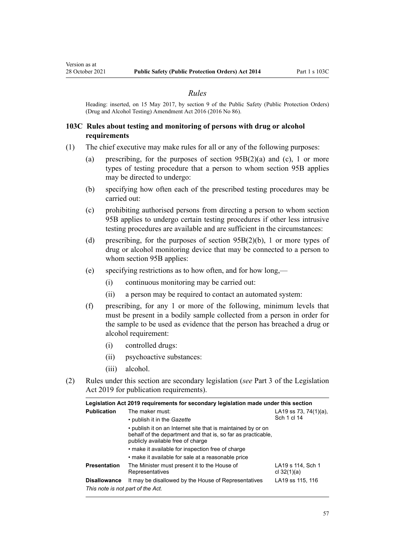#### *Rules*

<span id="page-56-0"></span>Heading: inserted, on 15 May 2017, by [section 9](http://legislation.govt.nz/pdflink.aspx?id=DLM7017348) of the Public Safety (Public Protection Orders) (Drug and Alcohol Testing) Amendment Act 2016 (2016 No 86).

## **103C Rules about testing and monitoring of persons with drug or alcohol requirements**

- (1) The chief executive may make rules for all or any of the following purposes:
	- (a) prescribing, for the purposes of section  $95B(2)(a)$  and (c), 1 or more types of testing procedure that a person to whom section 95B applies may be directed to undergo:
	- (b) specifying how often each of the prescribed testing procedures may be carried out:
	- (c) prohibiting authorised persons from directing a person to whom [section](#page-49-0) [95B](#page-49-0) applies to undergo certain testing procedures if other less intrusive testing procedures are available and are sufficient in the circumstances:
	- (d) prescribing, for the purposes of [section 95B\(2\)\(b\),](#page-49-0) 1 or more types of drug or alcohol monitoring device that may be connected to a person to whom section 95B applies:
	- (e) specifying restrictions as to how often, and for how long,—
		- (i) continuous monitoring may be carried out:
		- (ii) a person may be required to contact an automated system:
	- (f) prescribing, for any 1 or more of the following, minimum levels that must be present in a bodily sample collected from a person in order for the sample to be used as evidence that the person has breached a drug or alcohol requirement:
		- (i) controlled drugs:
		- (ii) psychoactive substances:
		- (iii) alcohol.
- (2) Rules under this section are secondary legislation (*see* [Part 3](http://legislation.govt.nz/pdflink.aspx?id=DLM7298343) of the Legislation Act 2019 for publication requirements).

| Legislation Act 2019 requirements for secondary legislation made under this section |                                                                                                                                                                   |                                      |  |  |
|-------------------------------------------------------------------------------------|-------------------------------------------------------------------------------------------------------------------------------------------------------------------|--------------------------------------|--|--|
| <b>Publication</b>                                                                  | The maker must:                                                                                                                                                   | LA19 ss 73, 74(1)(a),<br>Sch 1 cl 14 |  |  |
|                                                                                     | • publish it in the <i>Gazette</i>                                                                                                                                |                                      |  |  |
|                                                                                     | • publish it on an Internet site that is maintained by or on<br>behalf of the department and that is, so far as practicable,<br>publicly available free of charge |                                      |  |  |
|                                                                                     | • make it available for inspection free of charge                                                                                                                 |                                      |  |  |
|                                                                                     | • make it available for sale at a reasonable price                                                                                                                |                                      |  |  |
| <b>Presentation</b>                                                                 | The Minister must present it to the House of<br>Representatives                                                                                                   | LA19 s 114. Sch 1<br>cl $32(1)(a)$   |  |  |
| <b>Disallowance</b><br>This note is not part of the Act.                            | It may be disallowed by the House of Representatives                                                                                                              | LA19 ss 115, 116                     |  |  |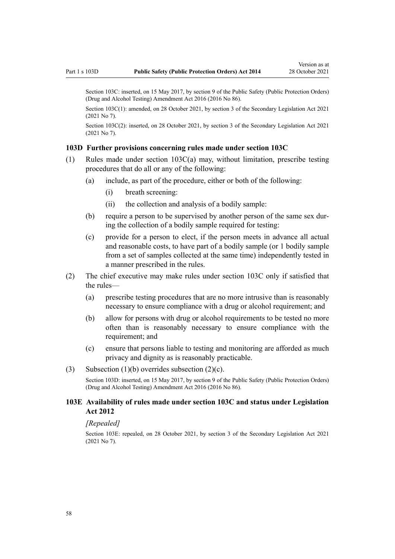Section 103C: inserted, on 15 May 2017, by [section 9](http://legislation.govt.nz/pdflink.aspx?id=DLM7017348) of the Public Safety (Public Protection Orders) (Drug and Alcohol Testing) Amendment Act 2016 (2016 No 86).

Section 103C(1): amended, on 28 October 2021, by [section 3](http://legislation.govt.nz/pdflink.aspx?id=LMS268932) of the Secondary Legislation Act 2021 (2021 No 7).

Section 103C(2): inserted, on 28 October 2021, by [section 3](http://legislation.govt.nz/pdflink.aspx?id=LMS268932) of the Secondary Legislation Act 2021 (2021 No 7).

### **103D Further provisions concerning rules made under section 103C**

- (1) Rules made under [section 103C\(a\)](#page-56-0) may, without limitation, prescribe testing procedures that do all or any of the following:
	- (a) include, as part of the procedure, either or both of the following:
		- (i) breath screening:
		- (ii) the collection and analysis of a bodily sample:
	- (b) require a person to be supervised by another person of the same sex during the collection of a bodily sample required for testing:
	- (c) provide for a person to elect, if the person meets in advance all actual and reasonable costs, to have part of a bodily sample (or 1 bodily sample from a set of samples collected at the same time) independently tested in a manner prescribed in the rules.
- (2) The chief executive may make rules under [section 103C](#page-56-0) only if satisfied that the rules—
	- (a) prescribe testing procedures that are no more intrusive than is reasonably necessary to ensure compliance with a drug or alcohol requirement; and
	- (b) allow for persons with drug or alcohol requirements to be tested no more often than is reasonably necessary to ensure compliance with the requirement; and
	- (c) ensure that persons liable to testing and monitoring are afforded as much privacy and dignity as is reasonably practicable.

### (3) Subsection  $(1)(b)$  overrides subsection  $(2)(c)$ .

Section 103D: inserted, on 15 May 2017, by [section 9](http://legislation.govt.nz/pdflink.aspx?id=DLM7017348) of the Public Safety (Public Protection Orders) (Drug and Alcohol Testing) Amendment Act 2016 (2016 No 86).

### **103E Availability of rules made under section 103C and status under Legislation Act 2012**

*[Repealed]*

Section 103E: repealed, on 28 October 2021, by [section 3](http://legislation.govt.nz/pdflink.aspx?id=LMS268932) of the Secondary Legislation Act 2021 (2021 No 7).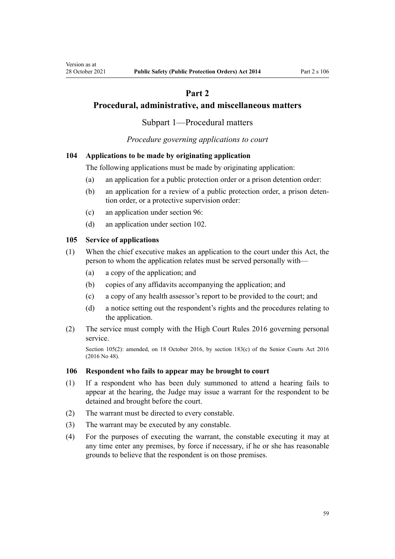# **Part 2**

# <span id="page-58-0"></span>**Procedural, administrative, and miscellaneous matters**

Subpart 1—Procedural matters

*Procedure governing applications to court*

# **104 Applications to be made by originating application**

The following applications must be made by originating application:

- (a) an application for a public protection order or a prison detention order:
- (b) an application for a review of a public protection order, a prison deten‐ tion order, or a protective supervision order:
- (c) an application under [section 96:](#page-52-0)
- (d) an application under [section 102.](#page-53-0)

## **105 Service of applications**

- (1) When the chief executive makes an application to the court under this Act, the person to whom the application relates must be served personally with—
	- (a) a copy of the application; and
	- (b) copies of any affidavits accompanying the application; and
	- (c) a copy of any health assessor's report to be provided to the court; and
	- (d) a notice setting out the respondent's rights and the procedures relating to the application.
- (2) The service must comply with the [High Court Rules 2016](http://legislation.govt.nz/pdflink.aspx?id=DLM6959800) governing personal service.

Section 105(2): amended, on 18 October 2016, by [section 183\(c\)](http://legislation.govt.nz/pdflink.aspx?id=DLM5759564) of the Senior Courts Act 2016 (2016 No 48).

## **106 Respondent who fails to appear may be brought to court**

- (1) If a respondent who has been duly summoned to attend a hearing fails to appear at the hearing, the Judge may issue a warrant for the respondent to be detained and brought before the court.
- (2) The warrant must be directed to every constable.
- (3) The warrant may be executed by any constable.
- (4) For the purposes of executing the warrant, the constable executing it may at any time enter any premises, by force if necessary, if he or she has reasonable grounds to believe that the respondent is on those premises.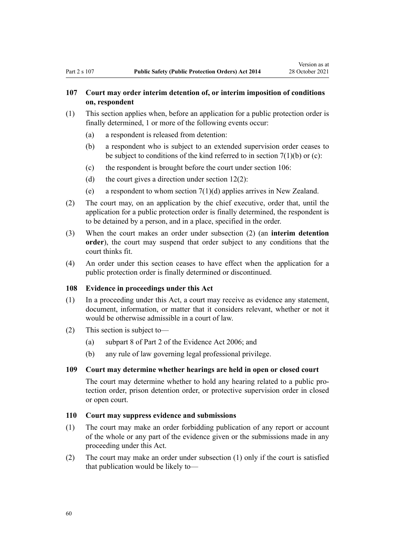# **107 Court may order interim detention of, or interim imposition of conditions on, respondent**

- (1) This section applies when, before an application for a public protection order is finally determined, 1 or more of the following events occur:
	- (a) a respondent is released from detention:
	- (b) a respondent who is subject to an extended supervision order ceases to be subject to conditions of the kind referred to in section  $7(1)(b)$  or (c):
	- (c) the respondent is brought before the court under [section 106](#page-58-0):
	- (d) the court gives a direction under section  $12(2)$ :
	- (e) a respondent to whom section  $7(1)(d)$  applies arrives in New Zealand.
- (2) The court may, on an application by the chief executive, order that, until the application for a public protection order is finally determined, the respondent is to be detained by a person, and in a place, specified in the order.
- (3) When the court makes an order under subsection (2) (an **interim detention order**), the court may suspend that order subject to any conditions that the court thinks fit.
- (4) An order under this section ceases to have effect when the application for a public protection order is finally determined or discontinued.

### **108 Evidence in proceedings under this Act**

- (1) In a proceeding under this Act, a court may receive as evidence any statement, document, information, or matter that it considers relevant, whether or not it would be otherwise admissible in a court of law.
- (2) This section is subject to—
	- (a) [subpart 8](http://legislation.govt.nz/pdflink.aspx?id=DLM393646) of Part 2 of the Evidence Act 2006; and
	- (b) any rule of law governing legal professional privilege.

## **109 Court may determine whether hearings are held in open or closed court**

The court may determine whether to hold any hearing related to a public protection order, prison detention order, or protective supervision order in closed or open court.

#### **110 Court may suppress evidence and submissions**

- (1) The court may make an order forbidding publication of any report or account of the whole or any part of the evidence given or the submissions made in any proceeding under this Act.
- (2) The court may make an order under subsection (1) only if the court is satisfied that publication would be likely to—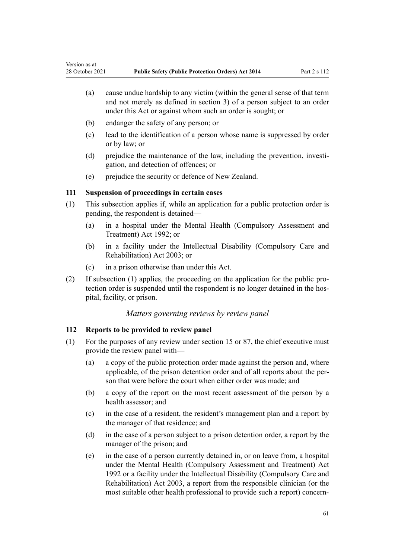- (a) cause undue hardship to any victim (within the general sense of that term and not merely as defined in section 3) of a person subject to an order under this Act or against whom such an order is sought; or
- (b) endanger the safety of any person; or
- (c) lead to the identification of a person whose name is suppressed by order or by law; or
- (d) prejudice the maintenance of the law, including the prevention, investigation, and detection of offences; or
- (e) prejudice the security or defence of New Zealand.

# **111 Suspension of proceedings in certain cases**

- (1) This subsection applies if, while an application for a public protection order is pending, the respondent is detained—
	- (a) in a hospital under the [Mental Health \(Compulsory Assessment and](http://legislation.govt.nz/pdflink.aspx?id=DLM262175) [Treatment\) Act 1992](http://legislation.govt.nz/pdflink.aspx?id=DLM262175); or
	- (b) in a facility under the [Intellectual Disability \(Compulsory Care and](http://legislation.govt.nz/pdflink.aspx?id=DLM224577) [Rehabilitation\) Act 2003;](http://legislation.govt.nz/pdflink.aspx?id=DLM224577) or
	- (c) in a prison otherwise than under this Act.
- (2) If subsection (1) applies, the proceeding on the application for the public pro‐ tection order is suspended until the respondent is no longer detained in the hospital, facility, or prison.

## *Matters governing reviews by review panel*

## **112 Reports to be provided to review panel**

- (1) For the purposes of any review under [section 15](#page-15-0) or [87](#page-45-0), the chief executive must provide the review panel with—
	- (a) a copy of the public protection order made against the person and, where applicable, of the prison detention order and of all reports about the per‐ son that were before the court when either order was made; and
	- (b) a copy of the report on the most recent assessment of the person by a health assessor; and
	- (c) in the case of a resident, the resident's management plan and a report by the manager of that residence; and
	- (d) in the case of a person subject to a prison detention order, a report by the manager of the prison; and
	- (e) in the case of a person currently detained in, or on leave from, a hospital under the [Mental Health \(Compulsory Assessment and Treatment\) Act](http://legislation.govt.nz/pdflink.aspx?id=DLM262175) [1992](http://legislation.govt.nz/pdflink.aspx?id=DLM262175) or a facility under the [Intellectual Disability \(Compulsory Care and](http://legislation.govt.nz/pdflink.aspx?id=DLM224577) [Rehabilitation\) Act 2003](http://legislation.govt.nz/pdflink.aspx?id=DLM224577), a report from the responsible clinician (or the most suitable other health professional to provide such a report) concern-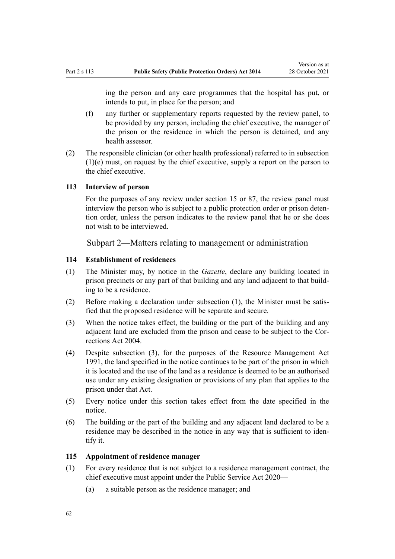ing the person and any care programmes that the hospital has put, or intends to put, in place for the person; and

- (f) any further or supplementary reports requested by the review panel, to be provided by any person, including the chief executive, the manager of the prison or the residence in which the person is detained, and any health assessor.
- (2) The responsible clinician (or other health professional) referred to in subsection (1)(e) must, on request by the chief executive, supply a report on the person to the chief executive.

## **113 Interview of person**

For the purposes of any review under [section 15](#page-15-0) or [87,](#page-45-0) the review panel must interview the person who is subject to a public protection order or prison detention order, unless the person indicates to the review panel that he or she does not wish to be interviewed.

## Subpart 2—Matters relating to management or administration

## **114 Establishment of residences**

- (1) The Minister may, by notice in the *Gazette*, declare any building located in prison precincts or any part of that building and any land adjacent to that building to be a residence.
- (2) Before making a declaration under subsection  $(1)$ , the Minister must be satisfied that the proposed residence will be separate and secure.
- (3) When the notice takes effect, the building or the part of the building and any adjacent land are excluded from the prison and cease to be subject to the [Cor‐](http://legislation.govt.nz/pdflink.aspx?id=DLM294848) [rections Act 2004.](http://legislation.govt.nz/pdflink.aspx?id=DLM294848)
- (4) Despite subsection (3), for the purposes of the Resource Management Act 1991, the land specified in the notice continues to be part of the prison in which it is located and the use of the land as a residence is deemed to be an authorised use under any existing designation or provisions of any plan that applies to the prison under that Act.
- (5) Every notice under this section takes effect from the date specified in the notice.
- (6) The building or the part of the building and any adjacent land declared to be a residence may be described in the notice in any way that is sufficient to identify it.

### **115 Appointment of residence manager**

- (1) For every residence that is not subject to a residence management contract, the chief executive must appoint under the [Public Service Act 2020—](http://legislation.govt.nz/pdflink.aspx?id=LMS106157)
	- (a) a suitable person as the residence manager; and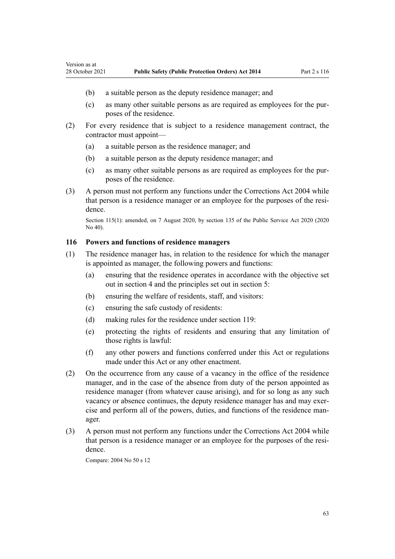- (b) a suitable person as the deputy residence manager; and
- (c) as many other suitable persons as are required as employees for the pur‐ poses of the residence.
- (2) For every residence that is subject to a residence management contract, the contractor must appoint—
	- (a) a suitable person as the residence manager; and
	- (b) a suitable person as the deputy residence manager; and
	- (c) as many other suitable persons as are required as employees for the pur‐ poses of the residence.
- (3) A person must not perform any functions under the [Corrections Act 2004](http://legislation.govt.nz/pdflink.aspx?id=DLM294848) while that person is a residence manager or an employee for the purposes of the resi‐ dence.

Section 115(1): amended, on 7 August 2020, by [section 135](http://legislation.govt.nz/pdflink.aspx?id=LMS176959) of the Public Service Act 2020 (2020 No 40).

### **116 Powers and functions of residence managers**

Version as at

- (1) The residence manager has, in relation to the residence for which the manager is appointed as manager, the following powers and functions:
	- (a) ensuring that the residence operates in accordance with the objective set out in [section 4](#page-11-0) and the principles set out in [section 5:](#page-11-0)
	- (b) ensuring the welfare of residents, staff, and visitors:
	- (c) ensuring the safe custody of residents:
	- (d) making rules for the residence under [section 119:](#page-63-0)
	- (e) protecting the rights of residents and ensuring that any limitation of those rights is lawful:
	- (f) any other powers and functions conferred under this Act or regulations made under this Act or any other enactment.
- (2) On the occurrence from any cause of a vacancy in the office of the residence manager, and in the case of the absence from duty of the person appointed as residence manager (from whatever cause arising), and for so long as any such vacancy or absence continues, the deputy residence manager has and may exercise and perform all of the powers, duties, and functions of the residence man‐ ager.
- (3) A person must not perform any functions under the [Corrections Act 2004](http://legislation.govt.nz/pdflink.aspx?id=DLM294848) while that person is a residence manager or an employee for the purposes of the resi‐ dence.

Compare: 2004 No 50 [s 12](http://legislation.govt.nz/pdflink.aspx?id=DLM295410)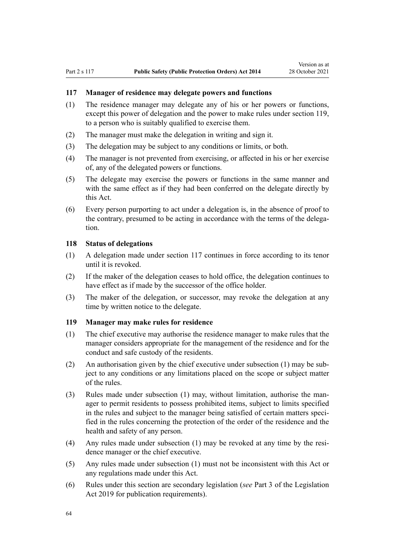### <span id="page-63-0"></span>**117 Manager of residence may delegate powers and functions**

- (1) The residence manager may delegate any of his or her powers or functions, except this power of delegation and the power to make rules under section 119, to a person who is suitably qualified to exercise them.
- (2) The manager must make the delegation in writing and sign it.
- (3) The delegation may be subject to any conditions or limits, or both.
- (4) The manager is not prevented from exercising, or affected in his or her exercise of, any of the delegated powers or functions.
- (5) The delegate may exercise the powers or functions in the same manner and with the same effect as if they had been conferred on the delegate directly by this Act.
- (6) Every person purporting to act under a delegation is, in the absence of proof to the contrary, presumed to be acting in accordance with the terms of the delegation.

## **118 Status of delegations**

- (1) A delegation made under section 117 continues in force according to its tenor until it is revoked.
- (2) If the maker of the delegation ceases to hold office, the delegation continues to have effect as if made by the successor of the office holder.
- (3) The maker of the delegation, or successor, may revoke the delegation at any time by written notice to the delegate.

## **119 Manager may make rules for residence**

- (1) The chief executive may authorise the residence manager to make rules that the manager considers appropriate for the management of the residence and for the conduct and safe custody of the residents.
- (2) An authorisation given by the chief executive under subsection (1) may be sub‐ ject to any conditions or any limitations placed on the scope or subject matter of the rules.
- (3) Rules made under subsection (1) may, without limitation, authorise the man‐ ager to permit residents to possess prohibited items, subject to limits specified in the rules and subject to the manager being satisfied of certain matters specified in the rules concerning the protection of the order of the residence and the health and safety of any person.
- (4) Any rules made under subsection (1) may be revoked at any time by the resi‐ dence manager or the chief executive.
- (5) Any rules made under subsection (1) must not be inconsistent with this Act or any regulations made under this Act.
- (6) Rules under this section are secondary legislation (*see* [Part 3](http://legislation.govt.nz/pdflink.aspx?id=DLM7298343) of the Legislation Act 2019 for publication requirements).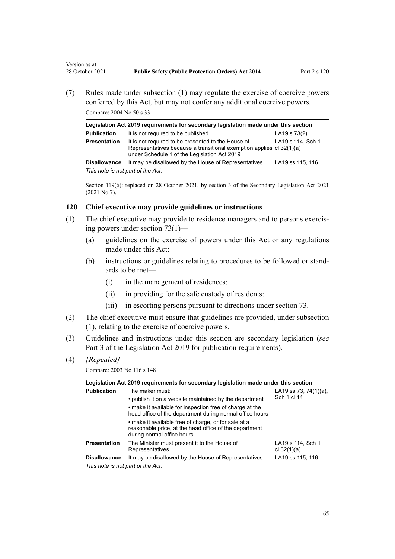(7) Rules made under subsection (1) may regulate the exercise of coercive powers conferred by this Act, but may not confer any additional coercive powers. Compare: 2004 No 50 [s 33](http://legislation.govt.nz/pdflink.aspx?id=DLM295437)

| Legislation Act 2019 requirements for secondary legislation made under this section |                                                                                                                                                                            |                   |  |  |
|-------------------------------------------------------------------------------------|----------------------------------------------------------------------------------------------------------------------------------------------------------------------------|-------------------|--|--|
| <b>Publication</b>                                                                  | It is not required to be published                                                                                                                                         | LA19 s 73(2)      |  |  |
| <b>Presentation</b>                                                                 | It is not required to be presented to the House of<br>Representatives because a transitional exemption applies cl 32(1)(a)<br>under Schedule 1 of the Legislation Act 2019 | LA19 s 114, Sch 1 |  |  |
| <b>Disallowance</b>                                                                 | It may be disallowed by the House of Representatives                                                                                                                       | LA19 ss 115, 116  |  |  |
| This note is not part of the Act.                                                   |                                                                                                                                                                            |                   |  |  |

Section 119(6): replaced on 28 October 2021, by [section 3](http://legislation.govt.nz/pdflink.aspx?id=LMS268932) of the Secondary Legislation Act 2021 (2021 No 7).

### **120 Chief executive may provide guidelines or instructions**

- (1) The chief executive may provide to residence managers and to persons exercis‐ ing powers under [section 73\(1\)](#page-39-0)—
	- (a) guidelines on the exercise of powers under this Act or any regulations made under this Act:
	- (b) instructions or guidelines relating to procedures to be followed or stand‐ ards to be met—
		- (i) in the management of residences:
		- (ii) in providing for the safe custody of residents:
		- (iii) in escorting persons pursuant to directions under [section 73.](#page-39-0)
- (2) The chief executive must ensure that guidelines are provided, under subsection (1), relating to the exercise of coercive powers.
- (3) Guidelines and instructions under this section are secondary legislation (*see* [Part 3](http://legislation.govt.nz/pdflink.aspx?id=DLM7298343) of the Legislation Act 2019 for publication requirements).
- (4) *[Repealed]*

Version as at

Compare: 2003 No 116 [s 148](http://legislation.govt.nz/pdflink.aspx?id=DLM226203)

| Legislation Act 2019 requirements for secondary legislation made under this section |                                                                                                                                                                                                                                                           |                                      |  |  |
|-------------------------------------------------------------------------------------|-----------------------------------------------------------------------------------------------------------------------------------------------------------------------------------------------------------------------------------------------------------|--------------------------------------|--|--|
| <b>Publication</b>                                                                  | The maker must:<br>• publish it on a website maintained by the department<br>• make it available for inspection free of charge at the<br>head office of the department during normal office hours<br>• make it available free of charge, or for sale at a | LA19 ss 73, 74(1)(a),<br>Sch 1 cl 14 |  |  |
|                                                                                     | reasonable price, at the head office of the department<br>during normal office hours                                                                                                                                                                      |                                      |  |  |
| <b>Presentation</b>                                                                 | The Minister must present it to the House of<br>Representatives                                                                                                                                                                                           | LA19 s 114, Sch 1<br>cl $32(1)(a)$   |  |  |
| <b>Disallowance</b><br>This note is not part of the Act.                            | It may be disallowed by the House of Representatives                                                                                                                                                                                                      | LA19 ss 115, 116                     |  |  |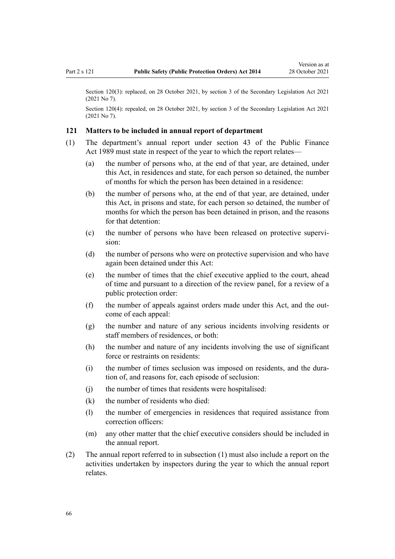Section 120(3): replaced, on 28 October 2021, by [section 3](http://legislation.govt.nz/pdflink.aspx?id=LMS268932) of the Secondary Legislation Act 2021 (2021 No 7).

Section 120(4): repealed, on 28 October 2021, by [section 3](http://legislation.govt.nz/pdflink.aspx?id=LMS268932) of the Secondary Legislation Act 2021 (2021 No 7).

### **121 Matters to be included in annual report of department**

- (1) The department's annual report under [section 43](http://legislation.govt.nz/pdflink.aspx?id=DLM162464) of the Public Finance Act 1989 must state in respect of the year to which the report relates—
	- (a) the number of persons who, at the end of that year, are detained, under this Act, in residences and state, for each person so detained, the number of months for which the person has been detained in a residence:
	- (b) the number of persons who, at the end of that year, are detained, under this Act, in prisons and state, for each person so detained, the number of months for which the person has been detained in prison, and the reasons for that detention:
	- (c) the number of persons who have been released on protective supervision:
	- (d) the number of persons who were on protective supervision and who have again been detained under this Act:
	- (e) the number of times that the chief executive applied to the court, ahead of time and pursuant to a direction of the review panel, for a review of a public protection order:
	- (f) the number of appeals against orders made under this Act, and the outcome of each appeal:
	- (g) the number and nature of any serious incidents involving residents or staff members of residences, or both:
	- (h) the number and nature of any incidents involving the use of significant force or restraints on residents:
	- (i) the number of times seclusion was imposed on residents, and the duration of, and reasons for, each episode of seclusion:
	- (j) the number of times that residents were hospitalised:
	- (k) the number of residents who died:
	- (l) the number of emergencies in residences that required assistance from correction officers:
	- (m) any other matter that the chief executive considers should be included in the annual report.
- (2) The annual report referred to in subsection (1) must also include a report on the activities undertaken by inspectors during the year to which the annual report relates.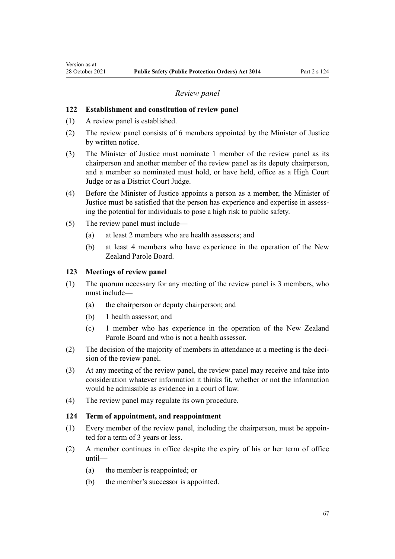### *Review panel*

### **122 Establishment and constitution of review panel**

- (1) A review panel is established.
- (2) The review panel consists of 6 members appointed by the Minister of Justice by written notice.
- (3) The Minister of Justice must nominate 1 member of the review panel as its chairperson and another member of the review panel as its deputy chairperson, and a member so nominated must hold, or have held, office as a High Court Judge or as a District Court Judge.
- (4) Before the Minister of Justice appoints a person as a member, the Minister of Justice must be satisfied that the person has experience and expertise in assessing the potential for individuals to pose a high risk to public safety.
- (5) The review panel must include—
	- (a) at least 2 members who are health assessors; and
	- (b) at least 4 members who have experience in the operation of the New Zealand Parole Board.

## **123 Meetings of review panel**

- (1) The quorum necessary for any meeting of the review panel is 3 members, who must include—
	- (a) the chairperson or deputy chairperson; and
	- (b) 1 health assessor; and
	- (c) 1 member who has experience in the operation of the New Zealand Parole Board and who is not a health assessor.
- (2) The decision of the majority of members in attendance at a meeting is the decision of the review panel.
- (3) At any meeting of the review panel, the review panel may receive and take into consideration whatever information it thinks fit, whether or not the information would be admissible as evidence in a court of law.
- (4) The review panel may regulate its own procedure.

### **124 Term of appointment, and reappointment**

- (1) Every member of the review panel, including the chairperson, must be appoin‐ ted for a term of 3 years or less.
- (2) A member continues in office despite the expiry of his or her term of office until—
	- (a) the member is reappointed; or
	- (b) the member's successor is appointed.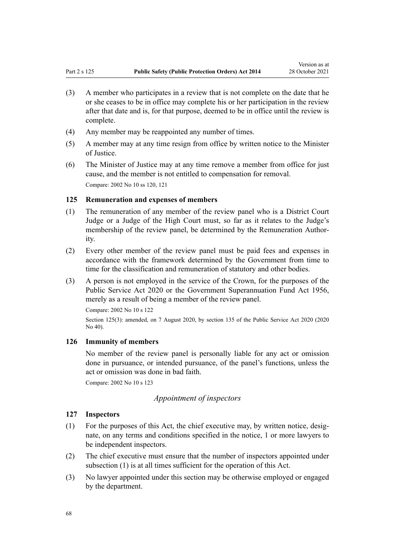- (3) A member who participates in a review that is not complete on the date that he or she ceases to be in office may complete his or her participation in the review after that date and is, for that purpose, deemed to be in office until the review is complete.
- (4) Any member may be reappointed any number of times.
- (5) A member may at any time resign from office by written notice to the Minister of Justice.
- (6) The Minister of Justice may at any time remove a member from office for just cause, and the member is not entitled to compensation for removal. Compare: 2002 No 10 [ss 120](http://legislation.govt.nz/pdflink.aspx?id=DLM140112), [121](http://legislation.govt.nz/pdflink.aspx?id=DLM140113)

## **125 Remuneration and expenses of members**

- (1) The remuneration of any member of the review panel who is a District Court Judge or a Judge of the High Court must, so far as it relates to the Judge's membership of the review panel, be determined by the Remuneration Authority.
- (2) Every other member of the review panel must be paid fees and expenses in accordance with the framework determined by the Government from time to time for the classification and remuneration of statutory and other bodies.
- (3) A person is not employed in the service of the Crown, for the purposes of the [Public Service Act 2020](http://legislation.govt.nz/pdflink.aspx?id=LMS106157) or the [Government Superannuation Fund Act 1956](http://legislation.govt.nz/pdflink.aspx?id=DLM446000), merely as a result of being a member of the review panel.

Compare: 2002 No 10 [s 122](http://legislation.govt.nz/pdflink.aspx?id=DLM140114)

Section 125(3): amended, on 7 August 2020, by [section 135](http://legislation.govt.nz/pdflink.aspx?id=LMS176959) of the Public Service Act 2020 (2020 No 40).

### **126 Immunity of members**

No member of the review panel is personally liable for any act or omission done in pursuance, or intended pursuance, of the panel's functions, unless the act or omission was done in bad faith.

Compare: 2002 No 10 [s 123](http://legislation.govt.nz/pdflink.aspx?id=DLM140115)

# *Appointment of inspectors*

### **127 Inspectors**

- $(1)$  For the purposes of this Act, the chief executive may, by written notice, designate, on any terms and conditions specified in the notice, 1 or more lawyers to be independent inspectors.
- (2) The chief executive must ensure that the number of inspectors appointed under subsection (1) is at all times sufficient for the operation of this Act.
- (3) No lawyer appointed under this section may be otherwise employed or engaged by the department.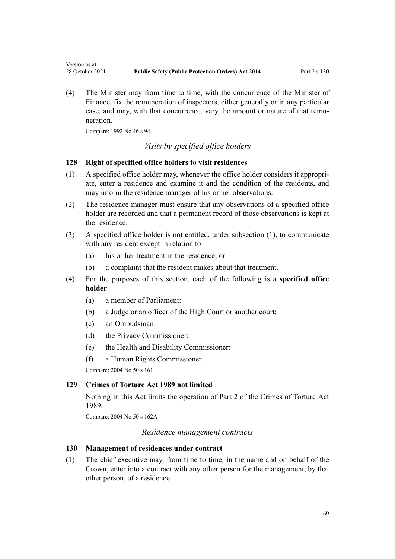(4) The Minister may from time to time, with the concurrence of the Minister of Finance, fix the remuneration of inspectors, either generally or in any particular case, and may, with that concurrence, vary the amount or nature of that remuneration.

Compare: 1992 No 46 [s 94](http://legislation.govt.nz/pdflink.aspx?id=DLM263836)

Version as at

# *Visits by specified office holders*

#### **128 Right of specified office holders to visit residences**

- $(1)$  A specified office holder may, whenever the office holder considers it appropriate, enter a residence and examine it and the condition of the residents, and may inform the residence manager of his or her observations.
- (2) The residence manager must ensure that any observations of a specified office holder are recorded and that a permanent record of those observations is kept at the residence.
- (3) A specified office holder is not entitled, under subsection (1), to communicate with any resident except in relation to—
	- (a) his or her treatment in the residence; or
	- (b) a complaint that the resident makes about that treatment.
- (4) For the purposes of this section, each of the following is a **specified office holder**:
	- (a) a member of Parliament:
	- (b) a Judge or an officer of the High Court or another court:
	- (c) an Ombudsman:
	- (d) the Privacy Commissioner:
	- (e) the Health and Disability Commissioner:
	- (f) a Human Rights Commissioner.

Compare: 2004 No 50 [s 161](http://legislation.govt.nz/pdflink.aspx?id=DLM296545)

## **129 Crimes of Torture Act 1989 not limited**

Nothing in this Act limits the operation of [Part 2](http://legislation.govt.nz/pdflink.aspx?id=DLM192866) of the Crimes of Torture Act 1989.

Compare: 2004 No 50 [s 162A](http://legislation.govt.nz/pdflink.aspx?id=DLM296547)

#### *Residence management contracts*

## **130 Management of residences under contract**

(1) The chief executive may, from time to time, in the name and on behalf of the Crown, enter into a contract with any other person for the management, by that other person, of a residence.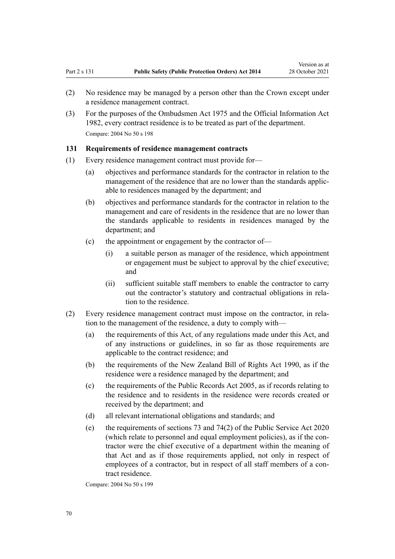- (2) No residence may be managed by a person other than the Crown except under a residence management contract.
- (3) For the purposes of the [Ombudsmen Act 1975](http://legislation.govt.nz/pdflink.aspx?id=DLM430983) and the [Official Information Act](http://legislation.govt.nz/pdflink.aspx?id=DLM64784) [1982](http://legislation.govt.nz/pdflink.aspx?id=DLM64784), every contract residence is to be treated as part of the department. Compare: 2004 No 50 [s 198](http://legislation.govt.nz/pdflink.aspx?id=DLM297118)

### **131 Requirements of residence management contracts**

- (1) Every residence management contract must provide for—
	- (a) objectives and performance standards for the contractor in relation to the management of the residence that are no lower than the standards applic‐ able to residences managed by the department; and
	- (b) objectives and performance standards for the contractor in relation to the management and care of residents in the residence that are no lower than the standards applicable to residents in residences managed by the department; and
	- (c) the appointment or engagement by the contractor of—
		- (i) a suitable person as manager of the residence, which appointment or engagement must be subject to approval by the chief executive; and
		- (ii) sufficient suitable staff members to enable the contractor to carry out the contractor's statutory and contractual obligations in rela‐ tion to the residence.
- (2) Every residence management contract must impose on the contractor, in rela‐ tion to the management of the residence, a duty to comply with—
	- (a) the requirements of this Act, of any regulations made under this Act, and of any instructions or guidelines, in so far as those requirements are applicable to the contract residence; and
	- (b) the requirements of the [New Zealand Bill of Rights Act 1990,](http://legislation.govt.nz/pdflink.aspx?id=DLM224791) as if the residence were a residence managed by the department; and
	- (c) the requirements of the [Public Records Act 2005](http://legislation.govt.nz/pdflink.aspx?id=DLM345528), as if records relating to the residence and to residents in the residence were records created or received by the department; and
	- (d) all relevant international obligations and standards; and
	- (e) the requirements of [sections 73](http://legislation.govt.nz/pdflink.aspx?id=LMS356914) and [74\(2\)](http://legislation.govt.nz/pdflink.aspx?id=LMS219486) of the Public Service Act 2020 (which relate to personnel and equal employment policies), as if the con‐ tractor were the chief executive of a department within the meaning of that Act and as if those requirements applied, not only in respect of employees of a contractor, but in respect of all staff members of a contract residence.

Compare: 2004 No 50 [s 199](http://legislation.govt.nz/pdflink.aspx?id=DLM297119)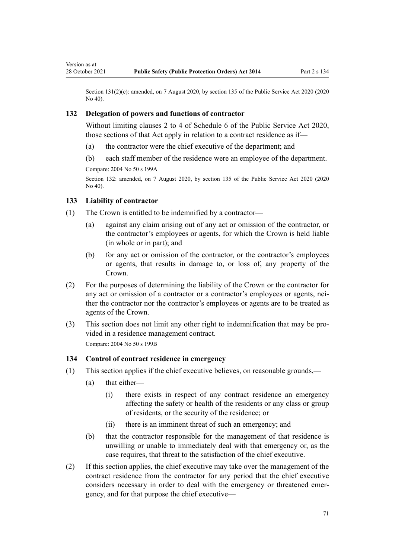Section 131(2)(e): amended, on 7 August 2020, by [section 135](http://legislation.govt.nz/pdflink.aspx?id=LMS176959) of the Public Service Act 2020 (2020) No 40).

### **132 Delegation of powers and functions of contractor**

Without limiting [clauses 2 to 4](http://legislation.govt.nz/pdflink.aspx?id=LMS356992) of Schedule 6 of the Public Service Act 2020, those sections of that Act apply in relation to a contract residence as if—

- (a) the contractor were the chief executive of the department; and
- (b) each staff member of the residence were an employee of the department.

Compare: 2004 No 50 [s 199A](http://legislation.govt.nz/pdflink.aspx?id=DLM2633812)

Section 132: amended, on 7 August 2020, by [section 135](http://legislation.govt.nz/pdflink.aspx?id=LMS176959) of the Public Service Act 2020 (2020 No 40).

### **133 Liability of contractor**

Version as at

- (1) The Crown is entitled to be indemnified by a contractor—
	- (a) against any claim arising out of any act or omission of the contractor, or the contractor's employees or agents, for which the Crown is held liable (in whole or in part); and
	- (b) for any act or omission of the contractor, or the contractor's employees or agents, that results in damage to, or loss of, any property of the Crown.
- (2) For the purposes of determining the liability of the Crown or the contractor for any act or omission of a contractor or a contractor's employees or agents, neither the contractor nor the contractor's employees or agents are to be treated as agents of the Crown.
- (3) This section does not limit any other right to indemnification that may be pro‐ vided in a residence management contract. Compare: 2004 No 50 [s 199B](http://legislation.govt.nz/pdflink.aspx?id=DLM2633813)

# **134 Control of contract residence in emergency**

- (1) This section applies if the chief executive believes, on reasonable grounds,—
	- (a) that either—
		- (i) there exists in respect of any contract residence an emergency affecting the safety or health of the residents or any class or group of residents, or the security of the residence; or
		- (ii) there is an imminent threat of such an emergency; and
	- (b) that the contractor responsible for the management of that residence is unwilling or unable to immediately deal with that emergency or, as the case requires, that threat to the satisfaction of the chief executive.
- (2) If this section applies, the chief executive may take over the management of the contract residence from the contractor for any period that the chief executive considers necessary in order to deal with the emergency or threatened emergency, and for that purpose the chief executive—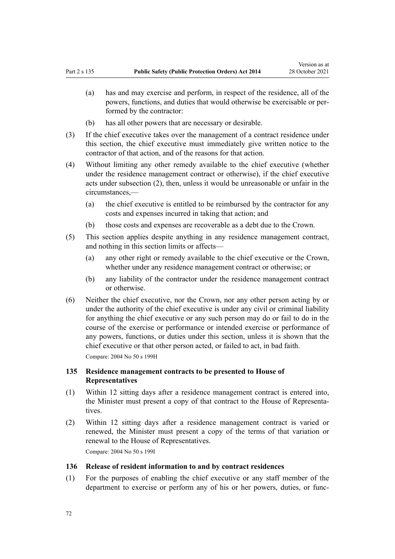- (a) has and may exercise and perform, in respect of the residence, all of the powers, functions, and duties that would otherwise be exercisable or per‐ formed by the contractor:
- (b) has all other powers that are necessary or desirable.
- (3) If the chief executive takes over the management of a contract residence under this section, the chief executive must immediately give written notice to the contractor of that action, and of the reasons for that action.
- (4) Without limiting any other remedy available to the chief executive (whether under the residence management contract or otherwise), if the chief executive acts under subsection (2), then, unless it would be unreasonable or unfair in the circumstances,—
	- (a) the chief executive is entitled to be reimbursed by the contractor for any costs and expenses incurred in taking that action; and
	- (b) those costs and expenses are recoverable as a debt due to the Crown.
- (5) This section applies despite anything in any residence management contract, and nothing in this section limits or affects—
	- (a) any other right or remedy available to the chief executive or the Crown, whether under any residence management contract or otherwise; or
	- (b) any liability of the contractor under the residence management contract or otherwise.
- (6) Neither the chief executive, nor the Crown, nor any other person acting by or under the authority of the chief executive is under any civil or criminal liability for anything the chief executive or any such person may do or fail to do in the course of the exercise or performance or intended exercise or performance of any powers, functions, or duties under this section, unless it is shown that the chief executive or that other person acted, or failed to act, in bad faith. Compare: 2004 No 50 [s 199H](http://legislation.govt.nz/pdflink.aspx?id=DLM2633819)

# **135 Residence management contracts to be presented to House of Representatives**

- (1) Within 12 sitting days after a residence management contract is entered into, the Minister must present a copy of that contract to the House of Representa‐ tives.
- (2) Within 12 sitting days after a residence management contract is varied or renewed, the Minister must present a copy of the terms of that variation or renewal to the House of Representatives. Compare: 2004 No 50 [s 199I](http://legislation.govt.nz/pdflink.aspx?id=DLM2633820)

## **136 Release of resident information to and by contract residences**

(1) For the purposes of enabling the chief executive or any staff member of the department to exercise or perform any of his or her powers, duties, or func‐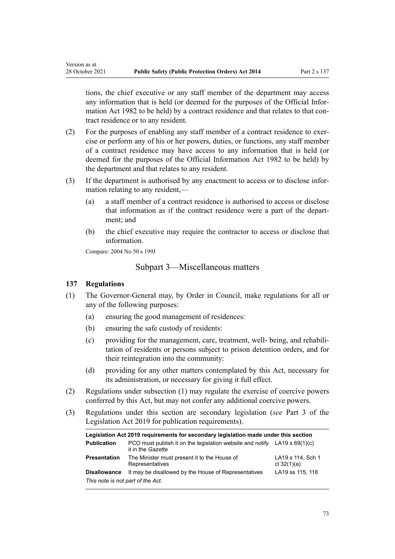tions, the chief executive or any staff member of the department may access any information that is held (or deemed for the purposes of the [Official Infor‐](http://legislation.govt.nz/pdflink.aspx?id=DLM64784) [mation Act 1982](http://legislation.govt.nz/pdflink.aspx?id=DLM64784) to be held) by a contract residence and that relates to that contract residence or to any resident.

- (2) For the purposes of enabling any staff member of a contract residence to exer‐ cise or perform any of his or her powers, duties, or functions, any staff member of a contract residence may have access to any information that is held (or deemed for the purposes of the [Official Information Act 1982](http://legislation.govt.nz/pdflink.aspx?id=DLM64784) to be held) by the department and that relates to any resident.
- (3) If the department is authorised by any enactment to access or to disclose infor‐ mation relating to any resident,—
	- (a) a staff member of a contract residence is authorised to access or disclose that information as if the contract residence were a part of the depart‐ ment; and
	- (b) the chief executive may require the contractor to access or disclose that information.

Compare: 2004 No 50 [s 199J](http://legislation.govt.nz/pdflink.aspx?id=DLM2633821)

## Subpart 3—Miscellaneous matters

### **137 Regulations**

Version as at

- (1) The Governor-General may, by Order in Council, make regulations for all or any of the following purposes:
	- (a) ensuring the good management of residences:
	- (b) ensuring the safe custody of residents:
	- (c) providing for the management, care, treatment, well- being, and rehabilitation of residents or persons subject to prison detention orders, and for their reintegration into the community:
	- (d) providing for any other matters contemplated by this Act, necessary for its administration, or necessary for giving it full effect.
- (2) Regulations under subsection (1) may regulate the exercise of coercive powers conferred by this Act, but may not confer any additional coercive powers.
- (3) Regulations under this section are secondary legislation (*see* [Part 3](http://legislation.govt.nz/pdflink.aspx?id=DLM7298343) of the Legislation Act 2019 for publication requirements).

| Legislation Act 2019 requirements for secondary legislation made under this section |                                                                                                  |                                    |
|-------------------------------------------------------------------------------------|--------------------------------------------------------------------------------------------------|------------------------------------|
| <b>Publication</b>                                                                  | PCO must publish it on the legislation website and notify LA19 s $69(1)(c)$<br>it in the Gazette |                                    |
| <b>Presentation</b>                                                                 | The Minister must present it to the House of<br>Representatives                                  | LA19 s 114, Sch 1<br>cl $32(1)(a)$ |
| <b>Disallowance</b>                                                                 | It may be disallowed by the House of Representatives                                             | LA19 ss 115, 116                   |
| This note is not part of the Act.                                                   |                                                                                                  |                                    |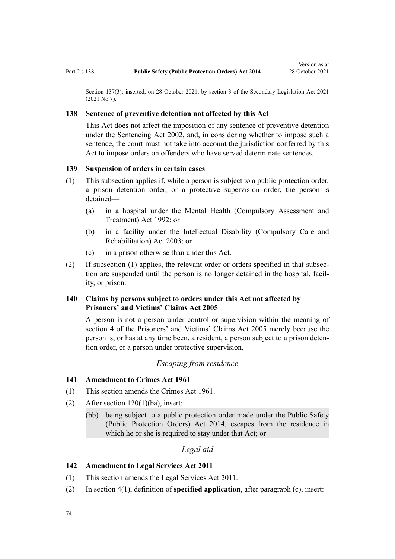Section 137(3): inserted, on 28 October 2021, by [section 3](http://legislation.govt.nz/pdflink.aspx?id=LMS268932) of the Secondary Legislation Act 2021 (2021 No 7).

### **138 Sentence of preventive detention not affected by this Act**

This Act does not affect the imposition of any sentence of preventive detention under the [Sentencing Act 2002](http://legislation.govt.nz/pdflink.aspx?id=DLM135341), and, in considering whether to impose such a sentence, the court must not take into account the jurisdiction conferred by this Act to impose orders on offenders who have served determinate sentences.

### **139 Suspension of orders in certain cases**

- (1) This subsection applies if, while a person is subject to a public protection order, a prison detention order, or a protective supervision order, the person is detained—
	- (a) in a hospital under the [Mental Health \(Compulsory Assessment and](http://legislation.govt.nz/pdflink.aspx?id=DLM262175) [Treatment\) Act 1992](http://legislation.govt.nz/pdflink.aspx?id=DLM262175); or
	- (b) in a facility under the [Intellectual Disability \(Compulsory Care and](http://legislation.govt.nz/pdflink.aspx?id=DLM224577) [Rehabilitation\) Act 2003;](http://legislation.govt.nz/pdflink.aspx?id=DLM224577) or
	- (c) in a prison otherwise than under this Act.
- (2) If subsection (1) applies, the relevant order or orders specified in that subsec‐ tion are suspended until the person is no longer detained in the hospital, facility, or prison.

## **140 Claims by persons subject to orders under this Act not affected by Prisoners' and Victims' Claims Act 2005**

A person is not a person under control or supervision within the meaning of [section 4](http://legislation.govt.nz/pdflink.aspx?id=DLM350828) of the Prisoners' and Victims' Claims Act 2005 merely because the person is, or has at any time been, a resident, a person subject to a prison deten‐ tion order, or a person under protective supervision.

### *Escaping from residence*

#### **141 Amendment to Crimes Act 1961**

- (1) This section amends the [Crimes Act 1961](http://legislation.govt.nz/pdflink.aspx?id=DLM327381).
- (2) After [section 120\(1\)\(ba\),](http://legislation.govt.nz/pdflink.aspx?id=DLM329014) insert:
	- (bb) being subject to a public protection order made under the Public Safety (Public Protection Orders) Act 2014, escapes from the residence in which he or she is required to stay under that Act; or

## *Legal aid*

### **142 Amendment to Legal Services Act 2011**

- (1) This section amends the [Legal Services Act 2011.](http://legislation.govt.nz/pdflink.aspx?id=DLM3142702)
- (2) In [section 4\(1\)](http://legislation.govt.nz/pdflink.aspx?id=DLM3142733), definition of **specified application**, after paragraph (c), insert: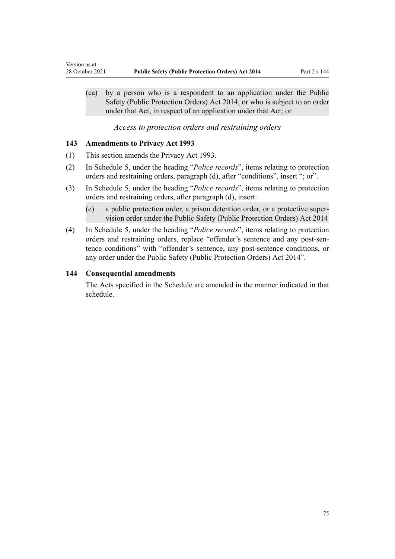(ca) by a person who is a respondent to an application under the Public Safety (Public Protection Orders) Act 2014, or who is subject to an order under that Act, in respect of an application under that Act; or

*Access to protection orders and restraining orders*

### **143 Amendments to Privacy Act 1993**

<span id="page-74-0"></span>Version as at

- (1) This section amends the [Privacy Act 1993](http://legislation.govt.nz/pdflink.aspx?id=DLM296638).
- (2) In [Schedule 5,](http://legislation.govt.nz/pdflink.aspx?id=DLM298798) under the heading "*Police records*", items relating to protection orders and restraining orders, paragraph (d), after "conditions", insert "; or".
- (3) In [Schedule 5,](http://legislation.govt.nz/pdflink.aspx?id=DLM298798) under the heading "*Police records*", items relating to protection orders and restraining orders, after paragraph (d), insert:
	- (e) a public protection order, a prison detention order, or a protective super‐ vision order under the Public Safety (Public Protection Orders) Act 2014
- (4) In [Schedule 5,](http://legislation.govt.nz/pdflink.aspx?id=DLM298798) under the heading "*Police records*", items relating to protection orders and restraining orders, replace "offender's sentence and any post-sentence conditions" with "offender's sentence, any post-sentence conditions, or any order under the Public Safety (Public Protection Orders) Act 2014".

### **144 Consequential amendments**

The Acts specified in the [Schedule](#page-75-0) are amended in the manner indicated in that schedule.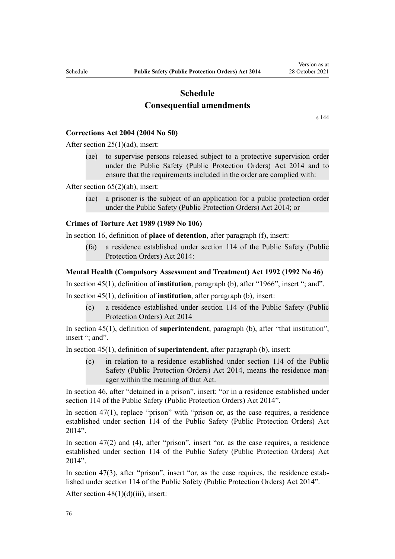# **Schedule Consequential amendments**

[s 144](#page-74-0)

### <span id="page-75-0"></span>**Corrections Act 2004 (2004 No 50)**

After [section 25\(1\)\(ad\)](http://legislation.govt.nz/pdflink.aspx?id=DLM295424), insert:

(ae) to supervise persons released subject to a protective supervision order under the Public Safety (Public Protection Orders) Act 2014 and to ensure that the requirements included in the order are complied with:

After [section 65\(2\)\(ab\),](http://legislation.govt.nz/pdflink.aspx?id=DLM295481) insert:

(ac) a prisoner is the subject of an application for a public protection order under the Public Safety (Public Protection Orders) Act 2014; or

### **Crimes of Torture Act 1989 (1989 No 106)**

In [section 16,](http://legislation.govt.nz/pdflink.aspx?id=DLM192871) definition of **place of detention**, after paragraph (f), insert:

(fa) a residence established under section 114 of the Public Safety (Public Protection Orders) Act 2014:

### **Mental Health (Compulsory Assessment and Treatment) Act 1992 (1992 No 46)**

In [section 45\(1\)](http://legislation.govt.nz/pdflink.aspx?id=DLM263090), definition of **institution**, paragraph (b), after "1966", insert "; and".

In [section 45\(1](http://legislation.govt.nz/pdflink.aspx?id=DLM263090)), definition of **institution**, after paragraph (b), insert:

(c) a residence established under section 114 of the Public Safety (Public Protection Orders) Act 2014

In [section 45\(1\)](http://legislation.govt.nz/pdflink.aspx?id=DLM263090), definition of **superintendent**, paragraph (b), after "that institution", insert "; and".

In [section 45\(1](http://legislation.govt.nz/pdflink.aspx?id=DLM263090)), definition of **superintendent**, after paragraph (b), insert:

(c) in relation to a residence established under section 114 of the Public Safety (Public Protection Orders) Act 2014, means the residence man‐ ager within the meaning of that Act.

In [section 46](http://legislation.govt.nz/pdflink.aspx?id=DLM263406), after "detained in a prison", insert: "or in a residence established under section 114 of the Public Safety (Public Protection Orders) Act 2014".

In section  $47(1)$ , replace "prison" with "prison or, as the case requires, a residence established under section 114 of the Public Safety (Public Protection Orders) Act 2014".

In [section 47\(2\) and \(4](http://legislation.govt.nz/pdflink.aspx?id=DLM263409)), after "prison", insert "or, as the case requires, a residence established under section 114 of the Public Safety (Public Protection Orders) Act 2014".

In section  $47(3)$ , after "prison", insert "or, as the case requires, the residence established under section 114 of the Public Safety (Public Protection Orders) Act 2014".

After section  $48(1)(d)(iii)$ , insert: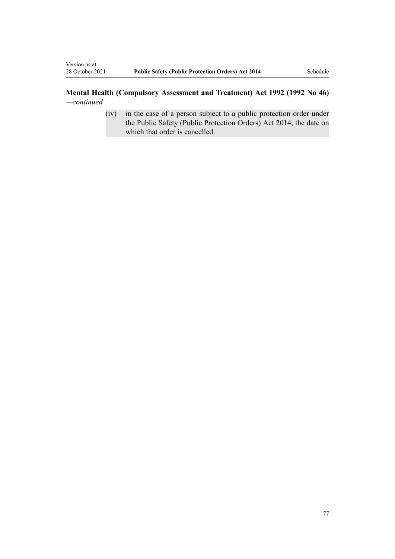## **Mental Health (Compulsory Assessment and Treatment) Act 1992 (1992 No 46)** *—continued*

(iv) in the case of a person subject to a public protection order under the Public Safety (Public Protection Orders) Act 2014, the date on which that order is cancelled.